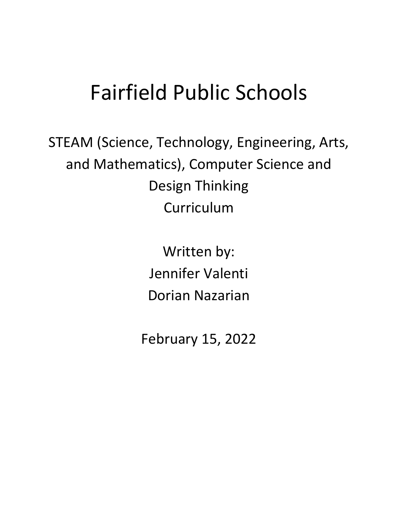# Fairfield Public Schools

STEAM (Science, Technology, Engineering, Arts, and Mathematics), Computer Science and Design Thinking Curriculum

> Written by: Jennifer Valenti Dorian Nazarian

February 15, 2022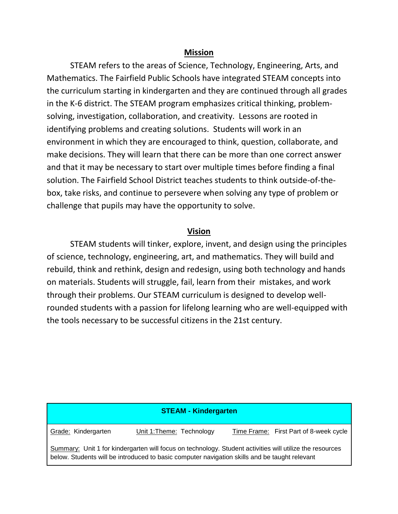## **Mission**

STEAM refers to the areas of Science, Technology, Engineering, Arts, and Mathematics. The Fairfield Public Schools have integrated STEAM concepts into the curriculum starting in kindergarten and they are continued through all grades in the K-6 district. The STEAM program emphasizes critical thinking, problemsolving, investigation, collaboration, and creativity. Lessons are rooted in identifying problems and creating solutions. Students will work in an environment in which they are encouraged to think, question, collaborate, and make decisions. They will learn that there can be more than one correct answer and that it may be necessary to start over multiple times before finding a final solution. The Fairfield School District teaches students to think outside-of-thebox, take risks, and continue to persevere when solving any type of problem or challenge that pupils may have the opportunity to solve.

## **Vision**

STEAM students will tinker, explore, invent, and design using the principles of science, technology, engineering, art, and mathematics. They will build and rebuild, think and rethink, design and redesign, using both technology and hands on materials. Students will struggle, fail, learn from their mistakes, and work through their problems. Our STEAM curriculum is designed to develop wellrounded students with a passion for lifelong learning who are well-equipped with the tools necessary to be successful citizens in the 21st century.

| <b>STEAM - Kindergarten</b>                                                                                                                                                                               |                           |                                        |
|-----------------------------------------------------------------------------------------------------------------------------------------------------------------------------------------------------------|---------------------------|----------------------------------------|
| Grade: Kindergarten                                                                                                                                                                                       | Unit 1: Theme: Technology | Time Frame: First Part of 8-week cycle |
| Summary: Unit 1 for kindergarten will focus on technology. Student activities will utilize the resources<br>below. Students will be introduced to basic computer navigation skills and be taught relevant |                           |                                        |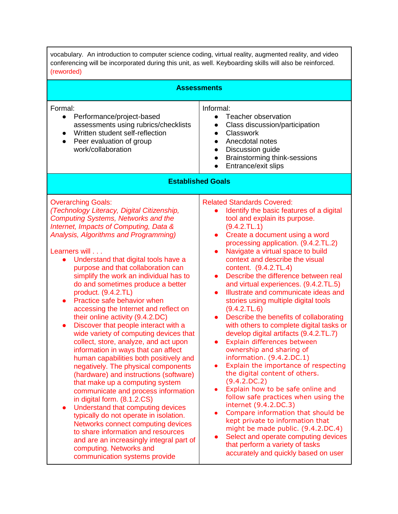| vocabulary. An introduction to computer science coding, virtual reality, augmented reality, and video<br>conferencing will be incorporated during this unit, as well. Keyboarding skills will also be reinforced.<br>(reworded)                                                                                                                                                                                                                                                                                                                                                                                                                                                                                                                                                                                                                                                                                                                                                                                                                                                                                                                                                                                 |                                                                                                                                                                                                                                                                                                                                                                                                                                                                                                                                                                                                                                                                                                                                                                                                                                                                                                                                                                                                                                                                                                                                                                                              |  |
|-----------------------------------------------------------------------------------------------------------------------------------------------------------------------------------------------------------------------------------------------------------------------------------------------------------------------------------------------------------------------------------------------------------------------------------------------------------------------------------------------------------------------------------------------------------------------------------------------------------------------------------------------------------------------------------------------------------------------------------------------------------------------------------------------------------------------------------------------------------------------------------------------------------------------------------------------------------------------------------------------------------------------------------------------------------------------------------------------------------------------------------------------------------------------------------------------------------------|----------------------------------------------------------------------------------------------------------------------------------------------------------------------------------------------------------------------------------------------------------------------------------------------------------------------------------------------------------------------------------------------------------------------------------------------------------------------------------------------------------------------------------------------------------------------------------------------------------------------------------------------------------------------------------------------------------------------------------------------------------------------------------------------------------------------------------------------------------------------------------------------------------------------------------------------------------------------------------------------------------------------------------------------------------------------------------------------------------------------------------------------------------------------------------------------|--|
|                                                                                                                                                                                                                                                                                                                                                                                                                                                                                                                                                                                                                                                                                                                                                                                                                                                                                                                                                                                                                                                                                                                                                                                                                 | <b>Assessments</b>                                                                                                                                                                                                                                                                                                                                                                                                                                                                                                                                                                                                                                                                                                                                                                                                                                                                                                                                                                                                                                                                                                                                                                           |  |
| Formal:<br>Performance/project-based<br>assessments using rubrics/checklists<br>Written student self-reflection<br>Peer evaluation of group<br>$\bullet$<br>work/collaboration                                                                                                                                                                                                                                                                                                                                                                                                                                                                                                                                                                                                                                                                                                                                                                                                                                                                                                                                                                                                                                  | Informal:<br>Teacher observation<br>Class discussion/participation<br>Classwork<br>Anecdotal notes<br>$\bullet$<br>Discussion guide<br>$\bullet$<br>Brainstorming think-sessions<br>$\bullet$<br>Entrance/exit slips                                                                                                                                                                                                                                                                                                                                                                                                                                                                                                                                                                                                                                                                                                                                                                                                                                                                                                                                                                         |  |
|                                                                                                                                                                                                                                                                                                                                                                                                                                                                                                                                                                                                                                                                                                                                                                                                                                                                                                                                                                                                                                                                                                                                                                                                                 | <b>Established Goals</b>                                                                                                                                                                                                                                                                                                                                                                                                                                                                                                                                                                                                                                                                                                                                                                                                                                                                                                                                                                                                                                                                                                                                                                     |  |
| <b>Overarching Goals:</b><br>(Technology Literacy, Digital Citizenship,<br><b>Computing Systems, Networks and the</b><br>Internet, Impacts of Computing, Data &<br>Analysis, Algorithms and Programming)<br>Learners will<br>Understand that digital tools have a<br>purpose and that collaboration can<br>simplify the work an individual has to<br>do and sometimes produce a better<br>product. (9.4.2.TL)<br>Practice safe behavior when<br>accessing the Internet and reflect on<br>their online activity (9.4.2.DC)<br>Discover that people interact with a<br>$\bullet$<br>wide variety of computing devices that<br>collect, store, analyze, and act upon<br>information in ways that can affect<br>human capabilities both positively and<br>negatively. The physical components<br>(hardware) and instructions (software)<br>that make up a computing system<br>communicate and process information<br>in digital form. (8.1.2.CS)<br>Understand that computing devices<br>typically do not operate in isolation.<br>Networks connect computing devices<br>to share information and resources<br>and are an increasingly integral part of<br>computing. Networks and<br>communication systems provide | <b>Related Standards Covered:</b><br>Identify the basic features of a digital<br>tool and explain its purpose.<br>(9.4.2.TL.1)<br>Create a document using a word<br>$\bullet$<br>processing application. (9.4.2.TL.2)<br>Navigate a virtual space to build<br>$\bullet$<br>context and describe the visual<br>content. (9.4.2.TL.4)<br>Describe the difference between real<br>and virtual experiences. (9.4.2.TL.5)<br>Illustrate and communicate ideas and<br>stories using multiple digital tools<br>(9.4.2.TL.6)<br>Describe the benefits of collaborating<br>$\bullet$<br>with others to complete digital tasks or<br>develop digital artifacts (9.4.2.TL.7)<br>Explain differences between<br>ownership and sharing of<br>information. (9.4.2.DC.1)<br>Explain the importance of respecting<br>the digital content of others.<br>(9.4.2.DC.2)<br>Explain how to be safe online and<br>follow safe practices when using the<br>internet (9.4.2.DC.3)<br>Compare information that should be<br>kept private to information that<br>might be made public. (9.4.2.DC.4)<br>Select and operate computing devices<br>that perform a variety of tasks<br>accurately and quickly based on user |  |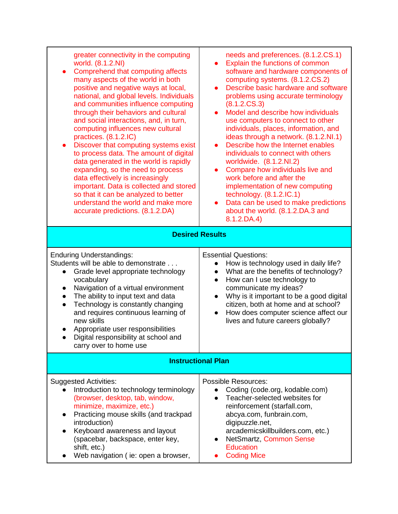| greater connectivity in the computing<br>world. (8.1.2.NI)<br>Comprehend that computing affects<br>$\bullet$<br>many aspects of the world in both<br>positive and negative ways at local,<br>national, and global levels. Individuals<br>and communities influence computing<br>through their behaviors and cultural<br>and social interactions, and, in turn,<br>computing influences new cultural<br>practices. (8.1.2.IC)<br>Discover that computing systems exist<br>$\bullet$<br>to process data. The amount of digital<br>data generated in the world is rapidly<br>expanding, so the need to process<br>data effectively is increasingly<br>important. Data is collected and stored<br>so that it can be analyzed to better<br>understand the world and make more<br>accurate predictions. (8.1.2.DA) | needs and preferences. (8.1.2.CS.1)<br>Explain the functions of common<br>$\bullet$<br>software and hardware components of<br>computing systems. (8.1.2.CS.2)<br>Describe basic hardware and software<br>$\bullet$<br>problems using accurate terminology<br>(8.1.2.CS.3)<br>Model and describe how individuals<br>$\bullet$<br>use computers to connect to other<br>individuals, places, information, and<br>ideas through a network. (8.1.2.NI.1)<br>Describe how the Internet enables<br>$\bullet$<br>individuals to connect with others<br>worldwide. (8.1.2.NI.2)<br>Compare how individuals live and<br>$\bullet$<br>work before and after the<br>implementation of new computing<br>technology. $(8.1.2.1C.1)$<br>Data can be used to make predictions<br>about the world. (8.1.2.DA.3 and<br>$8.1.2$ , DA.4)<br><b>Desired Results</b> |  |
|--------------------------------------------------------------------------------------------------------------------------------------------------------------------------------------------------------------------------------------------------------------------------------------------------------------------------------------------------------------------------------------------------------------------------------------------------------------------------------------------------------------------------------------------------------------------------------------------------------------------------------------------------------------------------------------------------------------------------------------------------------------------------------------------------------------|------------------------------------------------------------------------------------------------------------------------------------------------------------------------------------------------------------------------------------------------------------------------------------------------------------------------------------------------------------------------------------------------------------------------------------------------------------------------------------------------------------------------------------------------------------------------------------------------------------------------------------------------------------------------------------------------------------------------------------------------------------------------------------------------------------------------------------------------|--|
|                                                                                                                                                                                                                                                                                                                                                                                                                                                                                                                                                                                                                                                                                                                                                                                                              |                                                                                                                                                                                                                                                                                                                                                                                                                                                                                                                                                                                                                                                                                                                                                                                                                                                |  |
| <b>Enduring Understandings:</b><br>Students will be able to demonstrate<br>Grade level appropriate technology<br>$\bullet$<br>vocabulary<br>Navigation of a virtual environment<br>$\bullet$<br>The ability to input text and data<br>$\bullet$<br>Technology is constantly changing<br>$\bullet$<br>and requires continuous learning of<br>new skills<br>Appropriate user responsibilities<br>Digital responsibility at school and<br>carry over to home use                                                                                                                                                                                                                                                                                                                                                | <b>Essential Questions:</b><br>How is technology used in daily life?<br>$\bullet$<br>What are the benefits of technology?<br>$\bullet$<br>How can I use technology to<br>$\bullet$<br>communicate my ideas?<br>Why is it important to be a good digital<br>$\bullet$<br>citizen, both at home and at school?<br>How does computer science affect our<br>$\bullet$<br>lives and future careers globally?                                                                                                                                                                                                                                                                                                                                                                                                                                        |  |
| <b>Instructional Plan</b>                                                                                                                                                                                                                                                                                                                                                                                                                                                                                                                                                                                                                                                                                                                                                                                    |                                                                                                                                                                                                                                                                                                                                                                                                                                                                                                                                                                                                                                                                                                                                                                                                                                                |  |
| <b>Suggested Activities:</b><br>Introduction to technology terminology<br>(browser, desktop, tab, window,<br>minimize, maximize, etc.)<br>Practicing mouse skills (and trackpad<br>introduction)<br>Keyboard awareness and layout<br>(spacebar, backspace, enter key,<br>shift, etc.)<br>Web navigation (ie: open a browser,                                                                                                                                                                                                                                                                                                                                                                                                                                                                                 | <b>Possible Resources:</b><br>Coding (code.org, kodable.com)<br>Teacher-selected websites for<br>$\bullet$<br>reinforcement (starfall.com,<br>abcya.com, funbrain.com,<br>digipuzzle.net,<br>arcademicskillbuilders.com, etc.)<br>NetSmartz, Common Sense<br><b>Education</b><br><b>Coding Mice</b>                                                                                                                                                                                                                                                                                                                                                                                                                                                                                                                                            |  |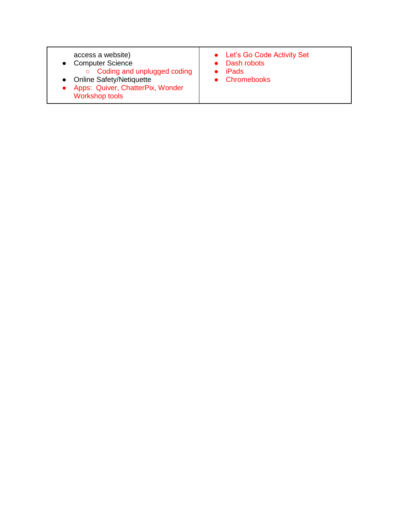| access a website)<br>• Computer Science<br>○ Coding and unplugged coding<br>• Online Safety/Netiquette<br>• Apps: Quiver, ChatterPix, Wonder<br><b>Workshop tools</b> | • Let's Go Code Activity Set<br>• Dash robots<br>iPads<br>• Chromebooks |
|-----------------------------------------------------------------------------------------------------------------------------------------------------------------------|-------------------------------------------------------------------------|
|-----------------------------------------------------------------------------------------------------------------------------------------------------------------------|-------------------------------------------------------------------------|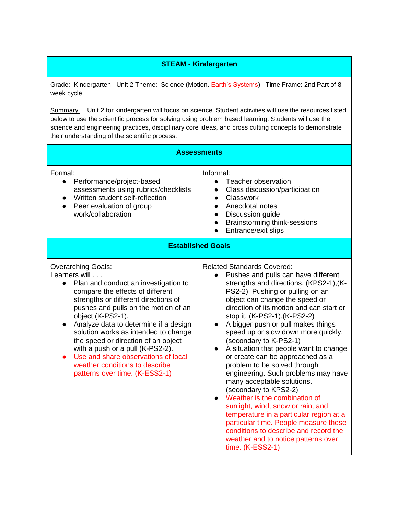## **STEAM - Kindergarten**

Grade: KindergartenUnit 2 Theme: Science (Motion. Earth's Systems) Time Frame: 2nd Part of 8 week cycle

Summary: Unit 2 for kindergarten will focus on science. Student activities will use the resources listed below to use the scientific process for solving using problem based learning. Students will use the science and engineering practices, disciplinary core ideas, and cross cutting concepts to demonstrate their understanding of the scientific process.

| <b>Assessments</b>                                                                                                                                                                                                                                                                                                                                                                                                                                                                                              |                                                                                                                                                                                                                                                                                                                                                                                                                                                                                                                                                                                                                                                                                                                                                                                                                                                                     |  |
|-----------------------------------------------------------------------------------------------------------------------------------------------------------------------------------------------------------------------------------------------------------------------------------------------------------------------------------------------------------------------------------------------------------------------------------------------------------------------------------------------------------------|---------------------------------------------------------------------------------------------------------------------------------------------------------------------------------------------------------------------------------------------------------------------------------------------------------------------------------------------------------------------------------------------------------------------------------------------------------------------------------------------------------------------------------------------------------------------------------------------------------------------------------------------------------------------------------------------------------------------------------------------------------------------------------------------------------------------------------------------------------------------|--|
| Formal:<br>Performance/project-based<br>assessments using rubrics/checklists<br>Written student self-reflection<br>Peer evaluation of group<br>$\bullet$<br>work/collaboration                                                                                                                                                                                                                                                                                                                                  | Informal:<br>Teacher observation<br>$\bullet$<br>Class discussion/participation<br>Classwork<br>$\bullet$<br>Anecdotal notes<br>$\bullet$<br>Discussion guide<br>$\bullet$<br>Brainstorming think-sessions<br>$\bullet$<br>Entrance/exit slips                                                                                                                                                                                                                                                                                                                                                                                                                                                                                                                                                                                                                      |  |
| <b>Established Goals</b>                                                                                                                                                                                                                                                                                                                                                                                                                                                                                        |                                                                                                                                                                                                                                                                                                                                                                                                                                                                                                                                                                                                                                                                                                                                                                                                                                                                     |  |
| <b>Overarching Goals:</b><br>Learners will<br>Plan and conduct an investigation to<br>compare the effects of different<br>strengths or different directions of<br>pushes and pulls on the motion of an<br>object (K-PS2-1).<br>Analyze data to determine if a design<br>$\bullet$<br>solution works as intended to change<br>the speed or direction of an object<br>with a push or a pull (K-PS2-2).<br>Use and share observations of local<br>weather conditions to describe<br>patterns over time. (K-ESS2-1) | <b>Related Standards Covered:</b><br>Pushes and pulls can have different<br>$\bullet$<br>strengths and directions. (KPS2-1), (K-<br>PS2-2) Pushing or pulling on an<br>object can change the speed or<br>direction of its motion and can start or<br>stop it. (K-PS2-1), (K-PS2-2)<br>A bigger push or pull makes things<br>speed up or slow down more quickly.<br>(secondary to K-PS2-1)<br>A situation that people want to change<br>or create can be approached as a<br>problem to be solved through<br>engineering. Such problems may have<br>many acceptable solutions.<br>(secondary to KPS2-2)<br>Weather is the combination of<br>sunlight, wind, snow or rain, and<br>temperature in a particular region at a<br>particular time. People measure these<br>conditions to describe and record the<br>weather and to notice patterns over<br>time. (K-ESS2-1) |  |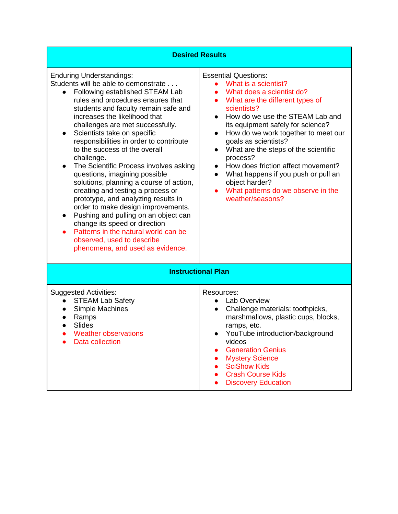| <b>Desired Results</b>                                                                                                                                                                                                                                                                                                                                                                                                                                                                                                                                                                                                                                                                                                                                                                                                                                               |                                                                                                                                                                                                                                                                                                                                                                                                                                                                                                                                                                                   |  |
|----------------------------------------------------------------------------------------------------------------------------------------------------------------------------------------------------------------------------------------------------------------------------------------------------------------------------------------------------------------------------------------------------------------------------------------------------------------------------------------------------------------------------------------------------------------------------------------------------------------------------------------------------------------------------------------------------------------------------------------------------------------------------------------------------------------------------------------------------------------------|-----------------------------------------------------------------------------------------------------------------------------------------------------------------------------------------------------------------------------------------------------------------------------------------------------------------------------------------------------------------------------------------------------------------------------------------------------------------------------------------------------------------------------------------------------------------------------------|--|
|                                                                                                                                                                                                                                                                                                                                                                                                                                                                                                                                                                                                                                                                                                                                                                                                                                                                      |                                                                                                                                                                                                                                                                                                                                                                                                                                                                                                                                                                                   |  |
| <b>Enduring Understandings:</b><br>Students will be able to demonstrate<br>Following established STEAM Lab<br>$\bullet$<br>rules and procedures ensures that<br>students and faculty remain safe and<br>increases the likelihood that<br>challenges are met successfully.<br>Scientists take on specific<br>$\bullet$<br>responsibilities in order to contribute<br>to the success of the overall<br>challenge.<br>The Scientific Process involves asking<br>$\bullet$<br>questions, imagining possible<br>solutions, planning a course of action,<br>creating and testing a process or<br>prototype, and analyzing results in<br>order to make design improvements.<br>Pushing and pulling on an object can<br>$\bullet$<br>change its speed or direction<br>Patterns in the natural world can be<br>observed, used to describe<br>phenomena, and used as evidence. | <b>Essential Questions:</b><br>What is a scientist?<br>$\bullet$<br>What does a scientist do?<br>$\bullet$<br>What are the different types of<br>$\bullet$<br>scientists?<br>How do we use the STEAM Lab and<br>$\bullet$<br>its equipment safely for science?<br>How do we work together to meet our<br>$\bullet$<br>goals as scientists?<br>What are the steps of the scientific<br>$\bullet$<br>process?<br>How does friction affect movement?<br>$\bullet$<br>What happens if you push or pull an<br>object harder?<br>What patterns do we observe in the<br>weather/seasons? |  |
| <b>Instructional Plan</b>                                                                                                                                                                                                                                                                                                                                                                                                                                                                                                                                                                                                                                                                                                                                                                                                                                            |                                                                                                                                                                                                                                                                                                                                                                                                                                                                                                                                                                                   |  |
| <b>Suggested Activities:</b><br><b>STEAM Lab Safety</b><br>Simple Machines<br>Ramps<br><b>Slides</b><br>Weather observations<br>Data collection                                                                                                                                                                                                                                                                                                                                                                                                                                                                                                                                                                                                                                                                                                                      | Resources:<br><b>Lab Overview</b><br>Challenge materials: toothpicks,<br>marshmallows, plastic cups, blocks,<br>ramps, etc.<br>YouTube introduction/background<br>videos<br><b>Generation Genius</b><br><b>Mystery Science</b><br><b>SciShow Kids</b><br><b>Crash Course Kids</b><br><b>Discovery Education</b>                                                                                                                                                                                                                                                                   |  |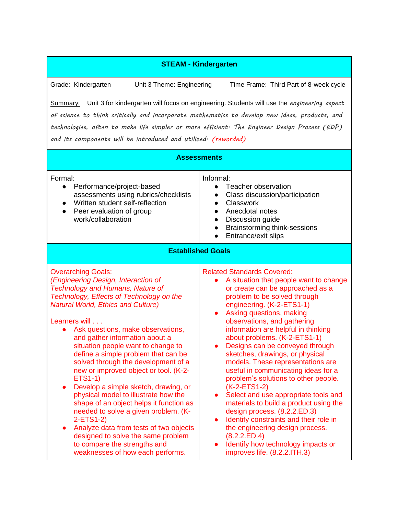### **STEAM - Kindergarten**

Grade: Kindergarten **Unit 3 Theme: Engineering** Time Frame: Third Part of 8-week cycle

Summary: Unit 3 for kindergarten will focus on engineering. Students will use the *engineering aspect of science to think critically and incorporate mathematics to develop new ideas, products, and technologies, often to make life simpler or more efficient. The Engineer Design Process (EDP) and its components will be introduced and utilized. (reworded)*

| <b>Assessments</b>                                                                                                                                                                                                                                                                                                                                                                                                                                                                                                                                                                                                                                                                                                                                                                                                                        |                                                                                                                                                                                                                                                                                                                                                                                                                                                                                                                                                                                                                                                                                                                                                                                                                                                      |  |
|-------------------------------------------------------------------------------------------------------------------------------------------------------------------------------------------------------------------------------------------------------------------------------------------------------------------------------------------------------------------------------------------------------------------------------------------------------------------------------------------------------------------------------------------------------------------------------------------------------------------------------------------------------------------------------------------------------------------------------------------------------------------------------------------------------------------------------------------|------------------------------------------------------------------------------------------------------------------------------------------------------------------------------------------------------------------------------------------------------------------------------------------------------------------------------------------------------------------------------------------------------------------------------------------------------------------------------------------------------------------------------------------------------------------------------------------------------------------------------------------------------------------------------------------------------------------------------------------------------------------------------------------------------------------------------------------------------|--|
| Formal:<br>Performance/project-based<br>$\bullet$<br>assessments using rubrics/checklists<br>Written student self-reflection<br>$\bullet$<br>Peer evaluation of group<br>$\bullet$<br>work/collaboration                                                                                                                                                                                                                                                                                                                                                                                                                                                                                                                                                                                                                                  | Informal:<br>Teacher observation<br>$\bullet$<br>Class discussion/participation<br>$\bullet$<br>Classwork<br>$\bullet$<br>Anecdotal notes<br>$\bullet$<br>Discussion guide<br>$\bullet$<br>Brainstorming think-sessions<br>$\bullet$<br>Entrance/exit slips                                                                                                                                                                                                                                                                                                                                                                                                                                                                                                                                                                                          |  |
| <b>Established Goals</b>                                                                                                                                                                                                                                                                                                                                                                                                                                                                                                                                                                                                                                                                                                                                                                                                                  |                                                                                                                                                                                                                                                                                                                                                                                                                                                                                                                                                                                                                                                                                                                                                                                                                                                      |  |
| <b>Overarching Goals:</b><br>(Engineering Design, Interaction of<br><b>Technology and Humans, Nature of</b><br>Technology, Effects of Technology on the<br><b>Natural World, Ethics and Culture)</b><br>Learners will<br>Ask questions, make observations,<br>and gather information about a<br>situation people want to change to<br>define a simple problem that can be<br>solved through the development of a<br>new or improved object or tool. (K-2-<br><b>ETS1-1)</b><br>Develop a simple sketch, drawing, or<br>$\bullet$<br>physical model to illustrate how the<br>shape of an object helps it function as<br>needed to solve a given problem. (K-<br>2-ETS1-2)<br>Analyze data from tests of two objects<br>$\bullet$<br>designed to solve the same problem<br>to compare the strengths and<br>weaknesses of how each performs. | <b>Related Standards Covered:</b><br>A situation that people want to change<br>or create can be approached as a<br>problem to be solved through<br>engineering. (K-2-ETS1-1)<br>Asking questions, making<br>observations, and gathering<br>information are helpful in thinking<br>about problems. (K-2-ETS1-1)<br>Designs can be conveyed through<br>$\bullet$<br>sketches, drawings, or physical<br>models. These representations are<br>useful in communicating ideas for a<br>problem's solutions to other people.<br>(K-2-ETS1-2)<br>Select and use appropriate tools and<br>$\bullet$<br>materials to build a product using the<br>design process. (8.2.2.ED.3)<br>Identify constraints and their role in<br>$\bullet$<br>the engineering design process.<br>(8.2.2.ED.4)<br>Identify how technology impacts or<br>improves life. (8.2.2.ITH.3) |  |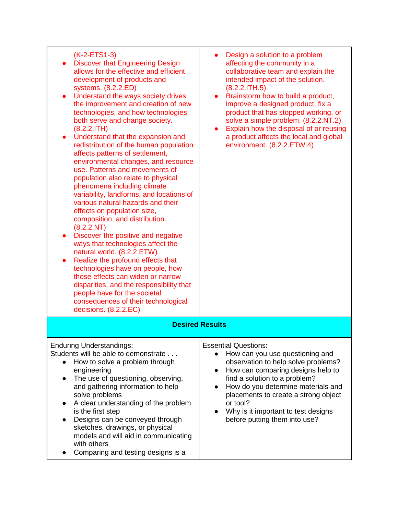| $(K-2-ETS1-3)$<br><b>Discover that Engineering Design</b><br>allows for the effective and efficient<br>development of products and<br>systems. (8.2.2.ED)<br>Understand the ways society drives<br>$\bullet$<br>the improvement and creation of new<br>technologies, and how technologies<br>both serve and change society.<br>(8.2.2.1TH)<br>Understand that the expansion and<br>$\bullet$<br>redistribution of the human population<br>affects patterns of settlement,<br>environmental changes, and resource<br>use. Patterns and movements of<br>population also relate to physical<br>phenomena including climate<br>variability, landforms, and locations of<br>various natural hazards and their<br>effects on population size,<br>composition, and distribution.<br>(8.2.2.NT)<br>Discover the positive and negative<br>ways that technologies affect the<br>natural world. (8.2.2.ETW)<br>Realize the profound effects that<br>$\bullet$<br>technologies have on people, how<br>those effects can widen or narrow<br>disparities, and the responsibility that<br>people have for the societal<br>consequences of their technological<br>decisions. (8.2.2.EC) | Design a solution to a problem<br>affecting the community in a<br>collaborative team and explain the<br>intended impact of the solution.<br>(8.2.2.1TH.5)<br>Brainstorm how to build a product,<br>$\bullet$<br>improve a designed product, fix a<br>product that has stopped working, or<br>solve a simple problem. (8.2.2.NT.2)<br>Explain how the disposal of or reusing<br>$\bullet$<br>a product affects the local and global<br>environment. (8.2.2.ETW.4) |  |
|-------------------------------------------------------------------------------------------------------------------------------------------------------------------------------------------------------------------------------------------------------------------------------------------------------------------------------------------------------------------------------------------------------------------------------------------------------------------------------------------------------------------------------------------------------------------------------------------------------------------------------------------------------------------------------------------------------------------------------------------------------------------------------------------------------------------------------------------------------------------------------------------------------------------------------------------------------------------------------------------------------------------------------------------------------------------------------------------------------------------------------------------------------------------------|------------------------------------------------------------------------------------------------------------------------------------------------------------------------------------------------------------------------------------------------------------------------------------------------------------------------------------------------------------------------------------------------------------------------------------------------------------------|--|
| <b>Desired Results</b>                                                                                                                                                                                                                                                                                                                                                                                                                                                                                                                                                                                                                                                                                                                                                                                                                                                                                                                                                                                                                                                                                                                                                  |                                                                                                                                                                                                                                                                                                                                                                                                                                                                  |  |
| <b>Enduring Understandings:</b><br>Students will be able to demonstrate<br>How to solve a problem through<br>$\bullet$<br>engineering<br>The use of questioning, observing,<br>$\bullet$<br>and gathering information to help<br>solve problems<br>A clear understanding of the problem<br>$\bullet$<br>is the first step<br>Designs can be conveyed through<br>$\bullet$<br>sketches, drawings, or physical<br>models and will aid in communicating<br>with others<br>Comparing and testing designs is a                                                                                                                                                                                                                                                                                                                                                                                                                                                                                                                                                                                                                                                               | <b>Essential Questions:</b><br>How can you use questioning and<br>observation to help solve problems?<br>How can comparing designs help to<br>$\bullet$<br>find a solution to a problem?<br>How do you determine materials and<br>$\bullet$<br>placements to create a strong object<br>or tool?<br>Why is it important to test designs<br>before putting them into use?                                                                                          |  |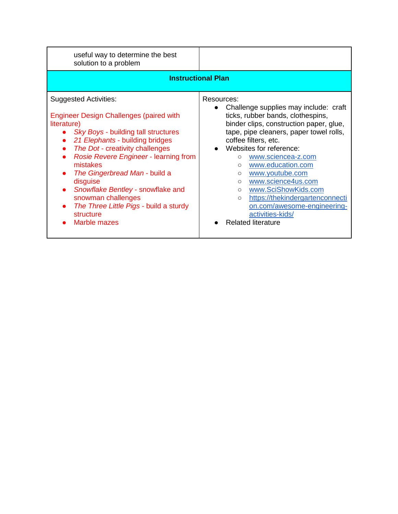| useful way to determine the best<br>solution to a problem                                                                                                                                                                                                                                                                                                                                                                                      |                                                                                                                                                                                                                                                                                                                                                                                                                                                                                                                                                |  |
|------------------------------------------------------------------------------------------------------------------------------------------------------------------------------------------------------------------------------------------------------------------------------------------------------------------------------------------------------------------------------------------------------------------------------------------------|------------------------------------------------------------------------------------------------------------------------------------------------------------------------------------------------------------------------------------------------------------------------------------------------------------------------------------------------------------------------------------------------------------------------------------------------------------------------------------------------------------------------------------------------|--|
| <b>Instructional Plan</b>                                                                                                                                                                                                                                                                                                                                                                                                                      |                                                                                                                                                                                                                                                                                                                                                                                                                                                                                                                                                |  |
| <b>Suggested Activities:</b><br><b>Engineer Design Challenges (paired with</b><br>literature)<br>Sky Boys - building tall structures<br>21 Elephants - building bridges<br>The Dot - creativity challenges<br>Rosie Revere Engineer - learning from<br>mistakes<br>The Gingerbread Man - build a<br>disguise<br>Snowflake Bentley - snowflake and<br>snowman challenges<br>The Three Little Pigs - build a sturdy<br>structure<br>Marble mazes | Resources:<br>Challenge supplies may include: craft<br>$\bullet$<br>ticks, rubber bands, clothespins,<br>binder clips, construction paper, glue,<br>tape, pipe cleaners, paper towel rolls,<br>coffee filters, etc.<br>Websites for reference:<br>www.sciencea-z.com<br>$\circ$<br>www.education.com<br>$\circ$<br>www.youtube.com<br>$\circ$<br>www.science4us.com<br>$\circ$<br>www.SciShowKids.com<br>$\circ$<br>https://thekindergartenconnecti<br>$\circ$<br>on.com/awesome-engineering-<br>activities-kids/<br><b>Related literature</b> |  |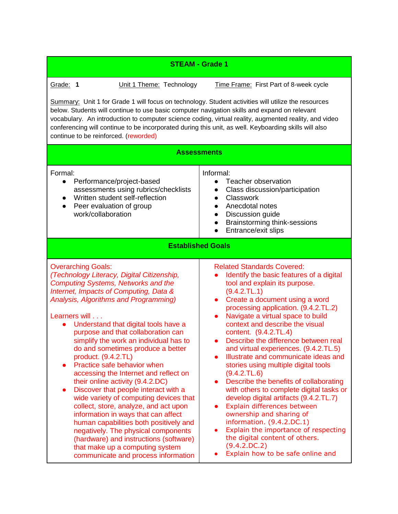| <b>STEAM - Grade 1</b>                                                                                                                                                                                                                                                                                                                                                                                                                                                                                                                                                                                                                                                                                                                                                                                                                                                                                        |                                                                                                                                                                                                                                                                                                                                                                                                                                                                                                                                                                                                                                                                                                                                                                                                                                                                  |  |
|---------------------------------------------------------------------------------------------------------------------------------------------------------------------------------------------------------------------------------------------------------------------------------------------------------------------------------------------------------------------------------------------------------------------------------------------------------------------------------------------------------------------------------------------------------------------------------------------------------------------------------------------------------------------------------------------------------------------------------------------------------------------------------------------------------------------------------------------------------------------------------------------------------------|------------------------------------------------------------------------------------------------------------------------------------------------------------------------------------------------------------------------------------------------------------------------------------------------------------------------------------------------------------------------------------------------------------------------------------------------------------------------------------------------------------------------------------------------------------------------------------------------------------------------------------------------------------------------------------------------------------------------------------------------------------------------------------------------------------------------------------------------------------------|--|
| Grade: 1<br>Unit 1 Theme: Technology<br>Time Frame: First Part of 8-week cycle<br>Summary: Unit 1 for Grade 1 will focus on technology. Student activities will utilize the resources<br>below. Students will continue to use basic computer navigation skills and expand on relevant<br>vocabulary. An introduction to computer science coding, virtual reality, augmented reality, and video<br>conferencing will continue to be incorporated during this unit, as well. Keyboarding skills will also<br>continue to be reinforced. (reworded)<br><b>Assessments</b><br>Informal:<br>Formal:                                                                                                                                                                                                                                                                                                                |                                                                                                                                                                                                                                                                                                                                                                                                                                                                                                                                                                                                                                                                                                                                                                                                                                                                  |  |
| Performance/project-based<br>$\bullet$<br>assessments using rubrics/checklists<br>Written student self-reflection<br>Peer evaluation of group<br>$\bullet$<br>work/collaboration                                                                                                                                                                                                                                                                                                                                                                                                                                                                                                                                                                                                                                                                                                                              | Teacher observation<br>$\bullet$<br>Class discussion/participation<br>$\bullet$<br>Classwork<br>$\bullet$<br>Anecdotal notes<br>$\bullet$<br>Discussion guide<br>$\bullet$<br>Brainstorming think-sessions<br>$\bullet$<br>Entrance/exit slips                                                                                                                                                                                                                                                                                                                                                                                                                                                                                                                                                                                                                   |  |
|                                                                                                                                                                                                                                                                                                                                                                                                                                                                                                                                                                                                                                                                                                                                                                                                                                                                                                               | <b>Established Goals</b>                                                                                                                                                                                                                                                                                                                                                                                                                                                                                                                                                                                                                                                                                                                                                                                                                                         |  |
| <b>Overarching Goals:</b><br>(Technology Literacy, Digital Citizenship,<br><b>Computing Systems, Networks and the</b><br>Internet, Impacts of Computing, Data &<br>Analysis, Algorithms and Programming)<br>Learners will<br>Understand that digital tools have a<br>$\bullet$<br>purpose and that collaboration can<br>simplify the work an individual has to<br>do and sometimes produce a better<br>product. (9.4.2.TL)<br>Practice safe behavior when<br>accessing the Internet and reflect on<br>their online activity (9.4.2.DC)<br>Discover that people interact with a<br>wide variety of computing devices that<br>collect, store, analyze, and act upon<br>information in ways that can affect<br>human capabilities both positively and<br>negatively. The physical components<br>(hardware) and instructions (software)<br>that make up a computing system<br>communicate and process information | <b>Related Standards Covered:</b><br>Identify the basic features of a digital<br>tool and explain its purpose.<br>(9.4.2.TL.1)<br>Create a document using a word<br>$\bullet$<br>processing application. (9.4.2.TL.2)<br>Navigate a virtual space to build<br>context and describe the visual<br>content. (9.4.2.TL.4)<br>• Describe the difference between real<br>and virtual experiences. (9.4.2.TL.5)<br>Illustrate and communicate ideas and<br>stories using multiple digital tools<br>(9.4.2.7L.6)<br>Describe the benefits of collaborating<br>with others to complete digital tasks or<br>develop digital artifacts (9.4.2.TL.7)<br>Explain differences between<br>ownership and sharing of<br>information. (9.4.2.DC.1)<br>Explain the importance of respecting<br>the digital content of others.<br>(9.4.2.DC.2)<br>Explain how to be safe online and |  |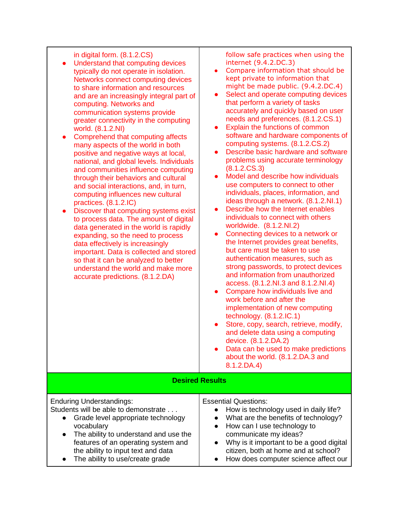| in digital form. (8.1.2.CS)<br>Understand that computing devices<br>$\bullet$<br>typically do not operate in isolation.<br>Networks connect computing devices<br>to share information and resources<br>and are an increasingly integral part of<br>computing. Networks and<br>communication systems provide<br>greater connectivity in the computing<br>world. (8.1.2.NI)<br>Comprehend that computing affects<br>$\bullet$<br>many aspects of the world in both<br>positive and negative ways at local,<br>national, and global levels. Individuals<br>and communities influence computing<br>through their behaviors and cultural<br>and social interactions, and, in turn,<br>computing influences new cultural<br>practices. (8.1.2.IC)<br>Discover that computing systems exist<br>$\bullet$<br>to process data. The amount of digital<br>data generated in the world is rapidly<br>expanding, so the need to process<br>data effectively is increasingly<br>important. Data is collected and stored<br>so that it can be analyzed to better<br>understand the world and make more<br>accurate predictions. (8.1.2.DA) | follow safe practices when using the<br>internet (9.4.2.DC.3)<br>Compare information that should be<br>$\bullet$<br>kept private to information that<br>might be made public. (9.4.2.DC.4)<br>Select and operate computing devices<br>$\bullet$<br>that perform a variety of tasks<br>accurately and quickly based on user<br>needs and preferences. (8.1.2.CS.1)<br>Explain the functions of common<br>$\bullet$<br>software and hardware components of<br>computing systems. (8.1.2.CS.2)<br>Describe basic hardware and software<br>problems using accurate terminology<br>(8.1.2.CS.3)<br>Model and describe how individuals<br>$\bullet$<br>use computers to connect to other<br>individuals, places, information, and<br>ideas through a network. (8.1.2.NI.1)<br>Describe how the Internet enables<br>$\bullet$<br>individuals to connect with others<br>worldwide. (8.1.2.NI.2)<br>Connecting devices to a network or<br>$\bullet$<br>the Internet provides great benefits,<br>but care must be taken to use<br>authentication measures, such as<br>strong passwords, to protect devices<br>and information from unauthorized<br>access. (8.1.2.NI.3 and 8.1.2.NI.4)<br>Compare how individuals live and<br>$\bullet$<br>work before and after the<br>implementation of new computing<br>technology. $(8.1.2.1C.1)$<br>Store, copy, search, retrieve, modify,<br>and delete data using a computing<br>device. (8.1.2.DA.2)<br>Data can be used to make predictions<br>about the world. (8.1.2.DA.3 and<br>$8.1.2$ , DA.4) |
|-----------------------------------------------------------------------------------------------------------------------------------------------------------------------------------------------------------------------------------------------------------------------------------------------------------------------------------------------------------------------------------------------------------------------------------------------------------------------------------------------------------------------------------------------------------------------------------------------------------------------------------------------------------------------------------------------------------------------------------------------------------------------------------------------------------------------------------------------------------------------------------------------------------------------------------------------------------------------------------------------------------------------------------------------------------------------------------------------------------------------------|-----------------------------------------------------------------------------------------------------------------------------------------------------------------------------------------------------------------------------------------------------------------------------------------------------------------------------------------------------------------------------------------------------------------------------------------------------------------------------------------------------------------------------------------------------------------------------------------------------------------------------------------------------------------------------------------------------------------------------------------------------------------------------------------------------------------------------------------------------------------------------------------------------------------------------------------------------------------------------------------------------------------------------------------------------------------------------------------------------------------------------------------------------------------------------------------------------------------------------------------------------------------------------------------------------------------------------------------------------------------------------------------------------------------------------------------------------------------------------------------------------------------------------------|
| <b>Desired Results</b>                                                                                                                                                                                                                                                                                                                                                                                                                                                                                                                                                                                                                                                                                                                                                                                                                                                                                                                                                                                                                                                                                                      |                                                                                                                                                                                                                                                                                                                                                                                                                                                                                                                                                                                                                                                                                                                                                                                                                                                                                                                                                                                                                                                                                                                                                                                                                                                                                                                                                                                                                                                                                                                                   |
| <b>Enduring Understandings:</b><br>Students will be able to demonstrate<br>Grade level appropriate technology<br>$\bullet$<br>vocabulary<br>The ability to understand and use the<br>features of an operating system and<br>the ability to input text and data<br>The ability to use/create grade                                                                                                                                                                                                                                                                                                                                                                                                                                                                                                                                                                                                                                                                                                                                                                                                                           | <b>Essential Questions:</b><br>How is technology used in daily life?<br>What are the benefits of technology?<br>How can I use technology to<br>communicate my ideas?<br>Why is it important to be a good digital<br>citizen, both at home and at school?<br>How does computer science affect our                                                                                                                                                                                                                                                                                                                                                                                                                                                                                                                                                                                                                                                                                                                                                                                                                                                                                                                                                                                                                                                                                                                                                                                                                                  |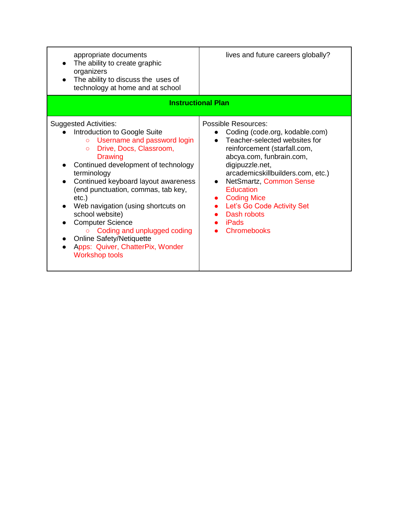| appropriate documents<br>The ability to create graphic<br>organizers<br>The ability to discuss the uses of<br>technology at home and at school                                                                                                                                                                                                                                                                                                                                                                                   | lives and future careers globally?                                                                                                                                                                                                                                                                                                                                       |  |
|----------------------------------------------------------------------------------------------------------------------------------------------------------------------------------------------------------------------------------------------------------------------------------------------------------------------------------------------------------------------------------------------------------------------------------------------------------------------------------------------------------------------------------|--------------------------------------------------------------------------------------------------------------------------------------------------------------------------------------------------------------------------------------------------------------------------------------------------------------------------------------------------------------------------|--|
| <b>Instructional Plan</b>                                                                                                                                                                                                                                                                                                                                                                                                                                                                                                        |                                                                                                                                                                                                                                                                                                                                                                          |  |
| <b>Suggested Activities:</b><br>Introduction to Google Suite<br>Username and password login<br>$\overline{O}$<br>Drive, Docs, Classroom,<br>$\circ$<br>Drawing<br>Continued development of technology<br>terminology<br>Continued keyboard layout awareness<br>(end punctuation, commas, tab key,<br>$etc.$ )<br>Web navigation (using shortcuts on<br>school website)<br><b>Computer Science</b><br>Coding and unplugged coding<br><b>Online Safety/Netiquette</b><br>Apps: Quiver, ChatterPix, Wonder<br><b>Workshop tools</b> | Possible Resources:<br>Coding (code.org, kodable.com)<br>Teacher-selected websites for<br>reinforcement (starfall.com,<br>abcya.com, funbrain.com,<br>digipuzzle.net,<br>arcademicskillbuilders.com, etc.)<br>NetSmartz, Common Sense<br>$\bullet$<br><b>Education</b><br><b>Coding Mice</b><br>Let's Go Code Activity Set<br>Dash robots<br>iPads<br><b>Chromebooks</b> |  |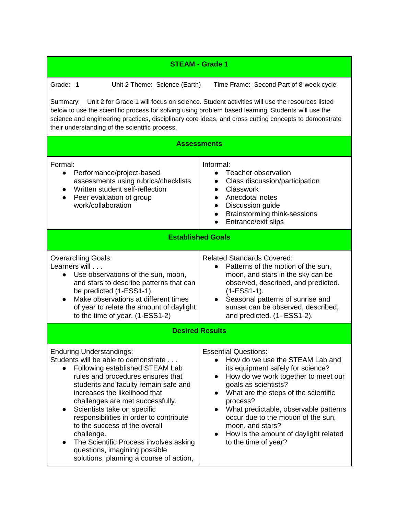| <b>STEAM - Grade 1</b>                                                                                                                                                                                                                                                                                                                                                                                                                                                                                                                |                                                                                                                                                                                                                                                                                                                                                                                                                                    |  |
|---------------------------------------------------------------------------------------------------------------------------------------------------------------------------------------------------------------------------------------------------------------------------------------------------------------------------------------------------------------------------------------------------------------------------------------------------------------------------------------------------------------------------------------|------------------------------------------------------------------------------------------------------------------------------------------------------------------------------------------------------------------------------------------------------------------------------------------------------------------------------------------------------------------------------------------------------------------------------------|--|
| Grade: 1<br>Unit 2 Theme: Science (Earth)<br>Time Frame: Second Part of 8-week cycle<br>Unit 2 for Grade 1 will focus on science. Student activities will use the resources listed<br><u>Summary:</u><br>below to use the scientific process for solving using problem based learning. Students will use the<br>science and engineering practices, disciplinary core ideas, and cross cutting concepts to demonstrate                                                                                                                 |                                                                                                                                                                                                                                                                                                                                                                                                                                    |  |
| their understanding of the scientific process.                                                                                                                                                                                                                                                                                                                                                                                                                                                                                        | <b>Assessments</b>                                                                                                                                                                                                                                                                                                                                                                                                                 |  |
| Formal:<br>Performance/project-based<br>$\bullet$<br>assessments using rubrics/checklists<br>Written student self-reflection<br>Peer evaluation of group<br>work/collaboration                                                                                                                                                                                                                                                                                                                                                        | Informal:<br>Teacher observation<br>$\bullet$<br>Class discussion/participation<br>$\bullet$<br>Classwork<br>$\bullet$<br>Anecdotal notes<br>Discussion guide<br>$\bullet$<br>Brainstorming think-sessions<br>$\bullet$<br>Entrance/exit slips                                                                                                                                                                                     |  |
| <b>Established Goals</b>                                                                                                                                                                                                                                                                                                                                                                                                                                                                                                              |                                                                                                                                                                                                                                                                                                                                                                                                                                    |  |
| <b>Overarching Goals:</b><br>Learners will<br>Use observations of the sun, moon,<br>$\bullet$<br>and stars to describe patterns that can<br>be predicted (1-ESS1-1).<br>Make observations at different times<br>of year to relate the amount of daylight<br>to the time of year. (1-ESS1-2)                                                                                                                                                                                                                                           | <b>Related Standards Covered:</b><br>Patterns of the motion of the sun,<br>$\bullet$<br>moon, and stars in the sky can be<br>observed, described, and predicted.<br>$(1-ESS1-1).$<br>Seasonal patterns of sunrise and<br>sunset can be observed, described,<br>and predicted. (1- ESS1-2).                                                                                                                                         |  |
| <b>Desired Results</b>                                                                                                                                                                                                                                                                                                                                                                                                                                                                                                                |                                                                                                                                                                                                                                                                                                                                                                                                                                    |  |
| <b>Enduring Understandings:</b><br>Students will be able to demonstrate<br>Following established STEAM Lab<br>$\bullet$<br>rules and procedures ensures that<br>students and faculty remain safe and<br>increases the likelihood that<br>challenges are met successfully.<br>Scientists take on specific<br>responsibilities in order to contribute<br>to the success of the overall<br>challenge.<br>The Scientific Process involves asking<br>$\bullet$<br>questions, imagining possible<br>solutions, planning a course of action, | <b>Essential Questions:</b><br>How do we use the STEAM Lab and<br>its equipment safely for science?<br>How do we work together to meet our<br>$\bullet$<br>goals as scientists?<br>What are the steps of the scientific<br>$\bullet$<br>process?<br>What predictable, observable patterns<br>occur due to the motion of the sun,<br>moon, and stars?<br>How is the amount of daylight related<br>$\bullet$<br>to the time of year? |  |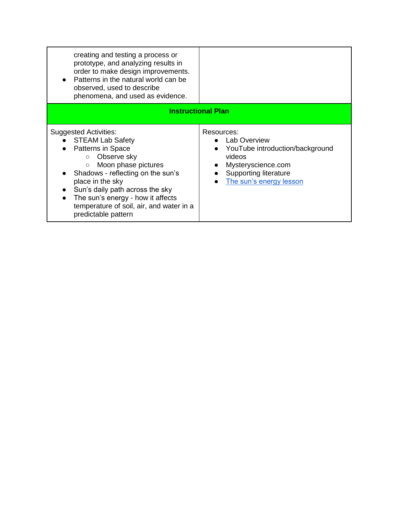| creating and testing a process or<br>prototype, and analyzing results in<br>order to make design improvements.<br>• Patterns in the natural world can be<br>observed, used to describe<br>phenomena, and used as evidence.                                                                                                                                  |                                                                                                                                                                                    |
|-------------------------------------------------------------------------------------------------------------------------------------------------------------------------------------------------------------------------------------------------------------------------------------------------------------------------------------------------------------|------------------------------------------------------------------------------------------------------------------------------------------------------------------------------------|
|                                                                                                                                                                                                                                                                                                                                                             | <b>Instructional Plan</b>                                                                                                                                                          |
| <b>Suggested Activities:</b><br><b>STEAM Lab Safety</b><br>Patterns in Space<br>Observe sky<br>$\circ$<br>Moon phase pictures<br>$\circ$<br>• Shadows - reflecting on the sun's<br>place in the sky<br>Sun's daily path across the sky<br>The sun's energy - how it affects<br>$\bullet$<br>temperature of soil, air, and water in a<br>predictable pattern | Resources:<br><b>Lab Overview</b><br>YouTube introduction/background<br>$\bullet$<br>videos<br>Mysteryscience.com<br>Supporting literature<br>$\bullet$<br>The sun's energy lesson |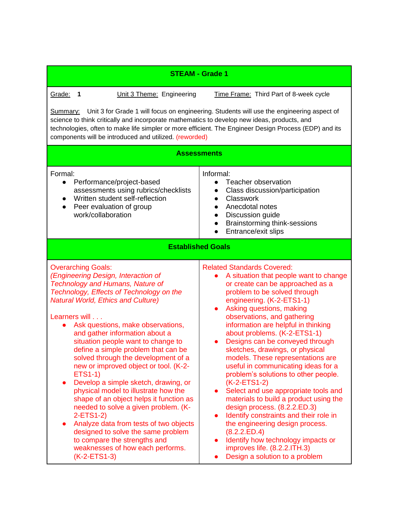| <b>STEAM - Grade 1</b>                                                                                                                                                                                                                                                                                                                                                                                                                                                                                                                                                                                                                                                                                                                                                                                                                                                   |                                                                                                                                                                                                                                                                                                                                                                                                                                                                                                                                                                                                                                                                                                                                                                                                                                                                                        |  |
|--------------------------------------------------------------------------------------------------------------------------------------------------------------------------------------------------------------------------------------------------------------------------------------------------------------------------------------------------------------------------------------------------------------------------------------------------------------------------------------------------------------------------------------------------------------------------------------------------------------------------------------------------------------------------------------------------------------------------------------------------------------------------------------------------------------------------------------------------------------------------|----------------------------------------------------------------------------------------------------------------------------------------------------------------------------------------------------------------------------------------------------------------------------------------------------------------------------------------------------------------------------------------------------------------------------------------------------------------------------------------------------------------------------------------------------------------------------------------------------------------------------------------------------------------------------------------------------------------------------------------------------------------------------------------------------------------------------------------------------------------------------------------|--|
| Grade:<br>Unit 3 Theme: Engineering<br>$\overline{\mathbf{1}}$                                                                                                                                                                                                                                                                                                                                                                                                                                                                                                                                                                                                                                                                                                                                                                                                           | Time Frame: Third Part of 8-week cycle                                                                                                                                                                                                                                                                                                                                                                                                                                                                                                                                                                                                                                                                                                                                                                                                                                                 |  |
| Unit 3 for Grade 1 will focus on engineering. Students will use the engineering aspect of<br><u>Summary:</u><br>science to think critically and incorporate mathematics to develop new ideas, products, and<br>technologies, often to make life simpler or more efficient. The Engineer Design Process (EDP) and its<br>components will be introduced and utilized. (reworded)                                                                                                                                                                                                                                                                                                                                                                                                                                                                                           |                                                                                                                                                                                                                                                                                                                                                                                                                                                                                                                                                                                                                                                                                                                                                                                                                                                                                        |  |
|                                                                                                                                                                                                                                                                                                                                                                                                                                                                                                                                                                                                                                                                                                                                                                                                                                                                          | <b>Assessments</b>                                                                                                                                                                                                                                                                                                                                                                                                                                                                                                                                                                                                                                                                                                                                                                                                                                                                     |  |
| Formal:<br>Performance/project-based<br>$\bullet$<br>assessments using rubrics/checklists<br>Written student self-reflection<br>$\bullet$<br>Peer evaluation of group<br>work/collaboration                                                                                                                                                                                                                                                                                                                                                                                                                                                                                                                                                                                                                                                                              | Informal:<br>Teacher observation<br>$\bullet$<br>Class discussion/participation<br>$\bullet$<br>Classwork<br>$\bullet$<br>Anecdotal notes<br>$\bullet$<br>Discussion guide<br>Brainstorming think-sessions<br>$\bullet$<br>Entrance/exit slips                                                                                                                                                                                                                                                                                                                                                                                                                                                                                                                                                                                                                                         |  |
| <b>Established Goals</b>                                                                                                                                                                                                                                                                                                                                                                                                                                                                                                                                                                                                                                                                                                                                                                                                                                                 |                                                                                                                                                                                                                                                                                                                                                                                                                                                                                                                                                                                                                                                                                                                                                                                                                                                                                        |  |
| <b>Overarching Goals:</b><br>(Engineering Design, Interaction of<br><b>Technology and Humans, Nature of</b><br>Technology, Effects of Technology on the<br><b>Natural World, Ethics and Culture)</b><br>Learners will<br>Ask questions, make observations,<br>$\bullet$<br>and gather information about a<br>situation people want to change to<br>define a simple problem that can be<br>solved through the development of a<br>new or improved object or tool. (K-2-<br><b>ETS1-1)</b><br>Develop a simple sketch, drawing, or<br>$\bullet$<br>physical model to illustrate how the<br>shape of an object helps it function as<br>needed to solve a given problem. (K-<br>2-ETS1-2)<br>Analyze data from tests of two objects<br>$\bullet$<br>designed to solve the same problem<br>to compare the strengths and<br>weaknesses of how each performs.<br>$(K-2-ETS1-3)$ | <b>Related Standards Covered:</b><br>A situation that people want to change<br>or create can be approached as a<br>problem to be solved through<br>engineering. (K-2-ETS1-1)<br>Asking questions, making<br>observations, and gathering<br>information are helpful in thinking<br>about problems. (K-2-ETS1-1)<br>Designs can be conveyed through<br>sketches, drawings, or physical<br>models. These representations are<br>useful in communicating ideas for a<br>problem's solutions to other people.<br>(K-2-ETS1-2)<br>Select and use appropriate tools and<br>$\bullet$<br>materials to build a product using the<br>design process. (8.2.2.ED.3)<br>Identify constraints and their role in<br>$\bullet$<br>the engineering design process.<br>(8.2.2.ED.4)<br>Identify how technology impacts or<br>$\bullet$<br>improves life. (8.2.2.ITH.3)<br>Design a solution to a problem |  |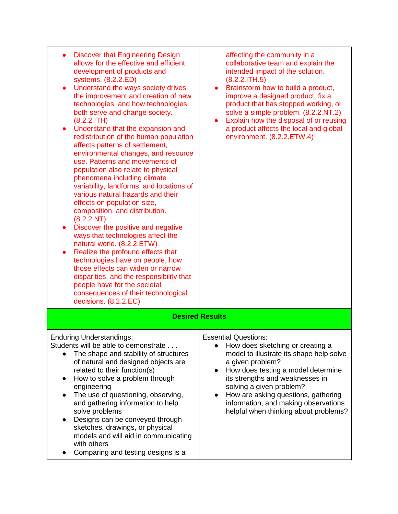| <b>Discover that Engineering Design</b><br>allows for the effective and efficient<br>development of products and<br>systems. (8.2.2.ED)<br>Understand the ways society drives<br>the improvement and creation of new<br>technologies, and how technologies<br>both serve and change society.<br>(8.2.2.1TH)<br>Understand that the expansion and<br>$\bullet$<br>redistribution of the human population<br>affects patterns of settlement,<br>environmental changes, and resource<br>use. Patterns and movements of<br>population also relate to physical<br>phenomena including climate<br>variability, landforms, and locations of<br>various natural hazards and their<br>effects on population size,<br>composition, and distribution.<br>(8.2.2.NT)<br>Discover the positive and negative<br>ways that technologies affect the<br>natural world. (8.2.2.ETW)<br>Realize the profound effects that<br>technologies have on people, how<br>those effects can widen or narrow<br>disparities, and the responsibility that<br>people have for the societal<br>consequences of their technological<br>decisions. (8.2.2.EC) | affecting the community in a<br>collaborative team and explain the<br>intended impact of the solution.<br>(8.2.2.1TH.5)<br>Brainstorm how to build a product,<br>$\bullet$<br>improve a designed product, fix a<br>product that has stopped working, or<br>solve a simple problem. (8.2.2.NT.2)<br>Explain how the disposal of or reusing<br>a product affects the local and global<br>environment. (8.2.2.ETW.4) |
|-----------------------------------------------------------------------------------------------------------------------------------------------------------------------------------------------------------------------------------------------------------------------------------------------------------------------------------------------------------------------------------------------------------------------------------------------------------------------------------------------------------------------------------------------------------------------------------------------------------------------------------------------------------------------------------------------------------------------------------------------------------------------------------------------------------------------------------------------------------------------------------------------------------------------------------------------------------------------------------------------------------------------------------------------------------------------------------------------------------------------------|-------------------------------------------------------------------------------------------------------------------------------------------------------------------------------------------------------------------------------------------------------------------------------------------------------------------------------------------------------------------------------------------------------------------|
|                                                                                                                                                                                                                                                                                                                                                                                                                                                                                                                                                                                                                                                                                                                                                                                                                                                                                                                                                                                                                                                                                                                             | <b>Desired Results</b>                                                                                                                                                                                                                                                                                                                                                                                            |
| <b>Enduring Understandings:</b><br>Students will be able to demonstrate<br>The shape and stability of structures<br>of natural and designed objects are<br>related to their function(s)<br>How to solve a problem through<br>$\bullet$<br>engineering<br>The use of questioning, observing,<br>and gathering information to help<br>solve problems<br>Designs can be conveyed through<br>$\bullet$<br>sketches, drawings, or physical<br>models and will aid in communicating<br>with others<br>Comparing and testing designs is a                                                                                                                                                                                                                                                                                                                                                                                                                                                                                                                                                                                          | <b>Essential Questions:</b><br>How does sketching or creating a<br>$\bullet$<br>model to illustrate its shape help solve<br>a given problem?<br>How does testing a model determine<br>$\bullet$<br>its strengths and weaknesses in<br>solving a given problem?<br>How are asking questions, gathering<br>information, and making observations<br>helpful when thinking about problems?                            |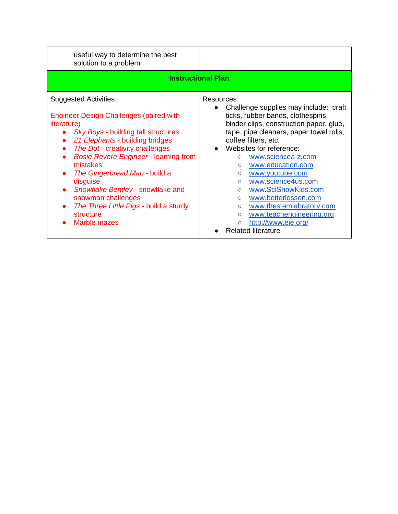| useful way to determine the best<br>solution to a problem                                                                                                                                                                                                                                                                                                                                                                                      |                                                                                                                                                                                                                                                                                                                                                                                                                                                                                                                                                                                                  |  |
|------------------------------------------------------------------------------------------------------------------------------------------------------------------------------------------------------------------------------------------------------------------------------------------------------------------------------------------------------------------------------------------------------------------------------------------------|--------------------------------------------------------------------------------------------------------------------------------------------------------------------------------------------------------------------------------------------------------------------------------------------------------------------------------------------------------------------------------------------------------------------------------------------------------------------------------------------------------------------------------------------------------------------------------------------------|--|
| <b>Instructional Plan</b>                                                                                                                                                                                                                                                                                                                                                                                                                      |                                                                                                                                                                                                                                                                                                                                                                                                                                                                                                                                                                                                  |  |
| <b>Suggested Activities:</b><br><b>Engineer Design Challenges (paired with</b><br>literature)<br>Sky Boys - building tall structures<br>21 Elephants - building bridges<br>The Dot - creativity challenges<br>Rosie Revere Engineer - learning from<br>mistakes<br>The Gingerbread Man - build a<br>disguise<br>Snowflake Bentley - snowflake and<br>snowman challenges<br>The Three Little Pigs - build a sturdy<br>structure<br>Marble mazes | Resources:<br>Challenge supplies may include: craft<br>$\bullet$<br>ticks, rubber bands, clothespins,<br>binder clips, construction paper, glue,<br>tape, pipe cleaners, paper towel rolls,<br>coffee filters, etc.<br>Websites for reference:<br>www.sciencea-z.com<br>$\circ$<br>www.education.com<br>$\circ$<br>www.youtube.com<br>$\circ$<br>www.science4us.com<br>$\circ$<br>www.SciShowKids.com<br>$\circ$<br>www.betterlesson.com<br>$\circ$<br>www.thestemlabratory.com<br>$\circ$<br>www.teachengineering.org<br>$\circ$<br>http://www.eie.org/<br>$\circ$<br><b>Related literature</b> |  |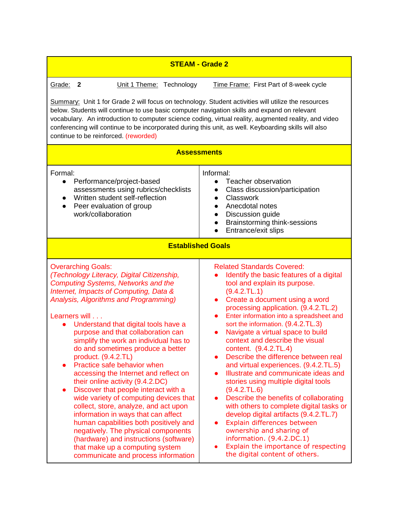| <b>STEAM - Grade 2</b>                                                                                                                                                                                                                                                                                                                                                                                                                                                                                                                                                                                                                                                                                                                                                                                                                                                                                        |                                                                                                                                                                                                                                                                                                                                                                                                                                                                                                                                                                                                                                                                                                                                                                                                                                                                                                                       |  |
|---------------------------------------------------------------------------------------------------------------------------------------------------------------------------------------------------------------------------------------------------------------------------------------------------------------------------------------------------------------------------------------------------------------------------------------------------------------------------------------------------------------------------------------------------------------------------------------------------------------------------------------------------------------------------------------------------------------------------------------------------------------------------------------------------------------------------------------------------------------------------------------------------------------|-----------------------------------------------------------------------------------------------------------------------------------------------------------------------------------------------------------------------------------------------------------------------------------------------------------------------------------------------------------------------------------------------------------------------------------------------------------------------------------------------------------------------------------------------------------------------------------------------------------------------------------------------------------------------------------------------------------------------------------------------------------------------------------------------------------------------------------------------------------------------------------------------------------------------|--|
| Grade:<br>Time Frame: First Part of 8-week cycle<br>$\mathbf{2}$<br>Unit 1 Theme: Technology<br>Summary: Unit 1 for Grade 2 will focus on technology. Student activities will utilize the resources<br>below. Students will continue to use basic computer navigation skills and expand on relevant<br>vocabulary. An introduction to computer science coding, virtual reality, augmented reality, and video<br>conferencing will continue to be incorporated during this unit, as well. Keyboarding skills will also<br>continue to be reinforced. (reworded)<br><b>Assessments</b>                                                                                                                                                                                                                                                                                                                          |                                                                                                                                                                                                                                                                                                                                                                                                                                                                                                                                                                                                                                                                                                                                                                                                                                                                                                                       |  |
| Formal:<br>Performance/project-based<br>$\bullet$<br>assessments using rubrics/checklists<br>Written student self-reflection<br>Peer evaluation of group<br>$\bullet$<br>work/collaboration                                                                                                                                                                                                                                                                                                                                                                                                                                                                                                                                                                                                                                                                                                                   | Informal:<br>Teacher observation<br>$\bullet$<br>Class discussion/participation<br>$\bullet$<br>Classwork<br>$\bullet$<br>Anecdotal notes<br>Discussion guide<br>$\bullet$<br><b>Brainstorming think-sessions</b><br>Entrance/exit slips                                                                                                                                                                                                                                                                                                                                                                                                                                                                                                                                                                                                                                                                              |  |
| <b>Established Goals</b>                                                                                                                                                                                                                                                                                                                                                                                                                                                                                                                                                                                                                                                                                                                                                                                                                                                                                      |                                                                                                                                                                                                                                                                                                                                                                                                                                                                                                                                                                                                                                                                                                                                                                                                                                                                                                                       |  |
| <b>Overarching Goals:</b><br>(Technology Literacy, Digital Citizenship,<br><b>Computing Systems, Networks and the</b><br>Internet, Impacts of Computing, Data &<br>Analysis, Algorithms and Programming)<br>Learners will<br>Understand that digital tools have a<br>purpose and that collaboration can<br>simplify the work an individual has to<br>do and sometimes produce a better<br>product. (9.4.2.TL)<br>Practice safe behavior when<br>accessing the Internet and reflect on<br>their online activity (9.4.2.DC)<br>Discover that people interact with a<br>$\bullet$<br>wide variety of computing devices that<br>collect, store, analyze, and act upon<br>information in ways that can affect<br>human capabilities both positively and<br>negatively. The physical components<br>(hardware) and instructions (software)<br>that make up a computing system<br>communicate and process information | <b>Related Standards Covered:</b><br>Identify the basic features of a digital<br>tool and explain its purpose.<br>(9.4.2.TL.1)<br>Create a document using a word<br>$\bullet$<br>processing application. (9.4.2.TL.2)<br>Enter information into a spreadsheet and<br>$\bullet$<br>sort the information. (9.4.2.TL.3)<br>Navigate a virtual space to build<br>context and describe the visual<br>content. (9.4.2.TL.4)<br>Describe the difference between real<br>and virtual experiences. (9.4.2.TL.5)<br>Illustrate and communicate ideas and<br>stories using multiple digital tools<br>(9.4.2.7L.6)<br>Describe the benefits of collaborating<br>with others to complete digital tasks or<br>develop digital artifacts (9.4.2.TL.7)<br>Explain differences between<br>$\bullet$<br>ownership and sharing of<br>information. (9.4.2.DC.1)<br>Explain the importance of respecting<br>the digital content of others. |  |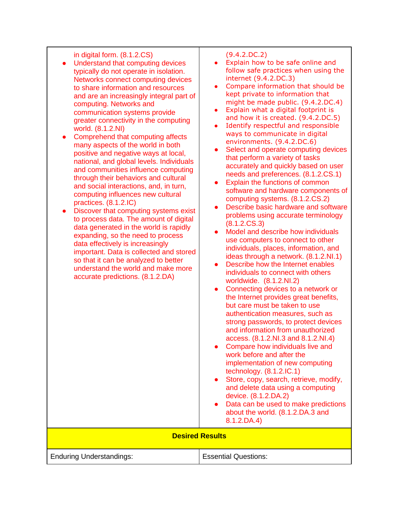| in digital form. (8.1.2.CS)<br>Understand that computing devices<br>typically do not operate in isolation.<br>Networks connect computing devices<br>to share information and resources<br>and are an increasingly integral part of<br>computing. Networks and<br>communication systems provide<br>greater connectivity in the computing<br>world. (8.1.2.NI)<br>Comprehend that computing affects<br>$\bullet$<br>many aspects of the world in both<br>positive and negative ways at local,<br>national, and global levels. Individuals<br>and communities influence computing<br>through their behaviors and cultural<br>and social interactions, and, in turn,<br>computing influences new cultural<br>practices. (8.1.2.IC)<br>Discover that computing systems exist<br>to process data. The amount of digital<br>data generated in the world is rapidly<br>expanding, so the need to process<br>data effectively is increasingly<br>important. Data is collected and stored<br>so that it can be analyzed to better<br>understand the world and make more<br>accurate predictions. (8.1.2.DA) | (9.4.2.DC.2)<br>Explain how to be safe online and<br>follow safe practices when using the<br>internet (9.4.2.DC.3)<br>Compare information that should be<br>$\bullet$<br>kept private to information that<br>might be made public. (9.4.2.DC.4)<br>Explain what a digital footprint is<br>$\bullet$<br>and how it is created. (9.4.2.DC.5)<br>Identify respectful and responsible<br>$\bullet$<br>ways to communicate in digital<br>environments. (9.4.2.DC.6)<br>Select and operate computing devices<br>$\bullet$<br>that perform a variety of tasks<br>accurately and quickly based on user<br>needs and preferences. (8.1.2.CS.1)<br>Explain the functions of common<br>$\bullet$<br>software and hardware components of<br>computing systems. (8.1.2.CS.2)<br>Describe basic hardware and software<br>problems using accurate terminology<br>(8.1.2.CS.3)<br>Model and describe how individuals<br>use computers to connect to other<br>individuals, places, information, and<br>ideas through a network. (8.1.2.NI.1)<br>Describe how the Internet enables<br>$\bullet$<br>individuals to connect with others<br>worldwide. (8.1.2.NI.2)<br>Connecting devices to a network or<br>$\bullet$<br>the Internet provides great benefits,<br>but care must be taken to use<br>authentication measures, such as<br>strong passwords, to protect devices<br>and information from unauthorized<br>access. (8.1.2.NI.3 and 8.1.2.NI.4)<br>Compare how individuals live and<br>work before and after the<br>implementation of new computing<br>technology. $(8.1.2.1C.1)$<br>Store, copy, search, retrieve, modify,<br>$\bullet$<br>and delete data using a computing<br>device. (8.1.2.DA.2)<br>Data can be used to make predictions<br>about the world. (8.1.2.DA.3 and<br>$8.1.2$ , DA.4) |
|---------------------------------------------------------------------------------------------------------------------------------------------------------------------------------------------------------------------------------------------------------------------------------------------------------------------------------------------------------------------------------------------------------------------------------------------------------------------------------------------------------------------------------------------------------------------------------------------------------------------------------------------------------------------------------------------------------------------------------------------------------------------------------------------------------------------------------------------------------------------------------------------------------------------------------------------------------------------------------------------------------------------------------------------------------------------------------------------------|------------------------------------------------------------------------------------------------------------------------------------------------------------------------------------------------------------------------------------------------------------------------------------------------------------------------------------------------------------------------------------------------------------------------------------------------------------------------------------------------------------------------------------------------------------------------------------------------------------------------------------------------------------------------------------------------------------------------------------------------------------------------------------------------------------------------------------------------------------------------------------------------------------------------------------------------------------------------------------------------------------------------------------------------------------------------------------------------------------------------------------------------------------------------------------------------------------------------------------------------------------------------------------------------------------------------------------------------------------------------------------------------------------------------------------------------------------------------------------------------------------------------------------------------------------------------------------------------------------------------------------------------------------------------------------------------------------------------------------------------------------------------------------------|
| <b>Desired Results</b>                                                                                                                                                                                                                                                                                                                                                                                                                                                                                                                                                                                                                                                                                                                                                                                                                                                                                                                                                                                                                                                                            |                                                                                                                                                                                                                                                                                                                                                                                                                                                                                                                                                                                                                                                                                                                                                                                                                                                                                                                                                                                                                                                                                                                                                                                                                                                                                                                                                                                                                                                                                                                                                                                                                                                                                                                                                                                          |
| <b>Enduring Understandings:</b>                                                                                                                                                                                                                                                                                                                                                                                                                                                                                                                                                                                                                                                                                                                                                                                                                                                                                                                                                                                                                                                                   | <b>Essential Questions:</b>                                                                                                                                                                                                                                                                                                                                                                                                                                                                                                                                                                                                                                                                                                                                                                                                                                                                                                                                                                                                                                                                                                                                                                                                                                                                                                                                                                                                                                                                                                                                                                                                                                                                                                                                                              |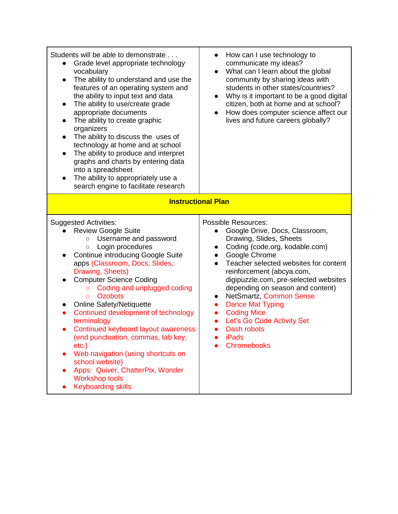| Students will be able to demonstrate<br>Grade level appropriate technology<br>$\bullet$<br>vocabulary<br>The ability to understand and use the<br>$\bullet$<br>features of an operating system and<br>the ability to input text and data<br>The ability to use/create grade<br>$\bullet$<br>appropriate documents<br>The ability to create graphic<br>$\bullet$<br>organizers<br>The ability to discuss the uses of<br>$\bullet$<br>technology at home and at school<br>The ability to produce and interpret<br>$\bullet$<br>graphs and charts by entering data<br>into a spreadsheet<br>The ability to appropriately use a<br>search engine to facilitate research                      | How can I use technology to<br>$\bullet$<br>communicate my ideas?<br>What can I learn about the global<br>$\bullet$<br>community by sharing ideas with<br>students in other states/countries?<br>Why is it important to be a good digital<br>$\bullet$<br>citizen, both at home and at school?<br>How does computer science affect our<br>lives and future careers globally?                                                                                                                                                  |  |
|------------------------------------------------------------------------------------------------------------------------------------------------------------------------------------------------------------------------------------------------------------------------------------------------------------------------------------------------------------------------------------------------------------------------------------------------------------------------------------------------------------------------------------------------------------------------------------------------------------------------------------------------------------------------------------------|-------------------------------------------------------------------------------------------------------------------------------------------------------------------------------------------------------------------------------------------------------------------------------------------------------------------------------------------------------------------------------------------------------------------------------------------------------------------------------------------------------------------------------|--|
| <b>Instructional Plan</b>                                                                                                                                                                                                                                                                                                                                                                                                                                                                                                                                                                                                                                                                |                                                                                                                                                                                                                                                                                                                                                                                                                                                                                                                               |  |
| <b>Suggested Activities:</b><br><b>Review Google Suite</b><br>Username and password<br>$\bigcirc$<br>Login procedures<br>$\bigcirc$<br><b>Continue introducing Google Suite</b><br>apps (Classroom, Docs, Slides,<br>Drawing, Sheets)<br><b>Computer Science Coding</b><br>Coding and unplugged coding<br>$\circ$<br><b>Ozobots</b><br>$\circ$<br><b>Online Safety/Netiquette</b><br>Continued development of technology<br>terminology<br>Continued keyboard layout awareness<br>(end punctuation, commas, tab key,<br>$etc.$ )<br>Web navigation (using shortcuts on<br>school website)<br>Apps: Quiver, ChatterPix, Wonder<br>0<br><b>Workshop tools</b><br><b>Keyboarding skills</b> | <b>Possible Resources:</b><br>Google Drive, Docs, Classroom,<br>$\bullet$<br>Drawing, Slides, Sheets<br>Coding (code.org, kodable.com)<br>$\bullet$<br>Google Chrome<br>$\bullet$<br>Teacher selected websites for content<br>$\bullet$<br>reinforcement (abcya.com,<br>digipuzzle.com, pre-selected websites<br>depending on season and content)<br>NetSmartz, Common Sense<br>$\bullet$<br><b>Dance Mat Typing</b><br><b>Coding Mice</b><br>Let's Go Code Activity Set<br>Dash robots<br><b>iPads</b><br><b>Chromebooks</b> |  |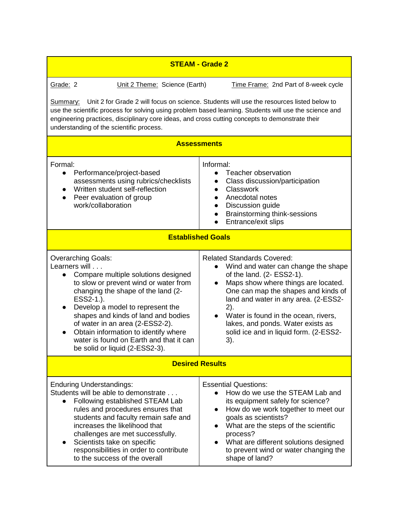| <b>STEAM - Grade 2</b>                                                                                                                                                                                                                                                                                                                                                                                                                     |                                                                                                                                                                                                                                                                                                                                                                                            |  |
|--------------------------------------------------------------------------------------------------------------------------------------------------------------------------------------------------------------------------------------------------------------------------------------------------------------------------------------------------------------------------------------------------------------------------------------------|--------------------------------------------------------------------------------------------------------------------------------------------------------------------------------------------------------------------------------------------------------------------------------------------------------------------------------------------------------------------------------------------|--|
| Grade: 2<br>Unit 2 Theme: Science (Earth)                                                                                                                                                                                                                                                                                                                                                                                                  | Time Frame: 2nd Part of 8-week cycle                                                                                                                                                                                                                                                                                                                                                       |  |
| Unit 2 for Grade 2 will focus on science. Students will use the resources listed below to<br><u>Summary:</u><br>use the scientific process for solving using problem based learning. Students will use the science and<br>engineering practices, disciplinary core ideas, and cross cutting concepts to demonstrate their<br>understanding of the scientific process.                                                                      |                                                                                                                                                                                                                                                                                                                                                                                            |  |
|                                                                                                                                                                                                                                                                                                                                                                                                                                            | <b>Assessments</b>                                                                                                                                                                                                                                                                                                                                                                         |  |
| Formal:<br>Performance/project-based<br>$\bullet$<br>assessments using rubrics/checklists<br>Written student self-reflection<br>$\bullet$<br>Peer evaluation of group<br>$\bullet$<br>work/collaboration                                                                                                                                                                                                                                   | Informal:<br>Teacher observation<br>Class discussion/participation<br>Classwork<br>$\bullet$<br>Anecdotal notes<br>$\bullet$<br>Discussion guide<br>$\bullet$<br>Brainstorming think-sessions<br>$\bullet$<br>Entrance/exit slips                                                                                                                                                          |  |
| <b>Established Goals</b>                                                                                                                                                                                                                                                                                                                                                                                                                   |                                                                                                                                                                                                                                                                                                                                                                                            |  |
| <b>Overarching Goals:</b><br>Learners will<br>Compare multiple solutions designed<br>$\bullet$<br>to slow or prevent wind or water from<br>changing the shape of the land (2-<br>ESS2-1.).<br>Develop a model to represent the<br>$\bullet$<br>shapes and kinds of land and bodies<br>of water in an area (2-ESS2-2).<br>Obtain information to identify where<br>water is found on Earth and that it can<br>be solid or liquid (2-ESS2-3). | <b>Related Standards Covered:</b><br>Wind and water can change the shape<br>of the land. (2- ESS2-1).<br>Maps show where things are located.<br>$\bullet$<br>One can map the shapes and kinds of<br>land and water in any area. (2-ESS2-<br>2).<br>Water is found in the ocean, rivers,<br>$\bullet$<br>lakes, and ponds. Water exists as<br>solid ice and in liquid form. (2-ESS2-<br>3). |  |
| <b>Desired Results</b>                                                                                                                                                                                                                                                                                                                                                                                                                     |                                                                                                                                                                                                                                                                                                                                                                                            |  |
| <b>Enduring Understandings:</b><br>Students will be able to demonstrate<br>Following established STEAM Lab<br>$\bullet$<br>rules and procedures ensures that<br>students and faculty remain safe and<br>increases the likelihood that<br>challenges are met successfully.<br>Scientists take on specific<br>responsibilities in order to contribute<br>to the success of the overall                                                       | <b>Essential Questions:</b><br>How do we use the STEAM Lab and<br>its equipment safely for science?<br>How do we work together to meet our<br>$\bullet$<br>goals as scientists?<br>What are the steps of the scientific<br>process?<br>What are different solutions designed<br>to prevent wind or water changing the<br>shape of land?                                                    |  |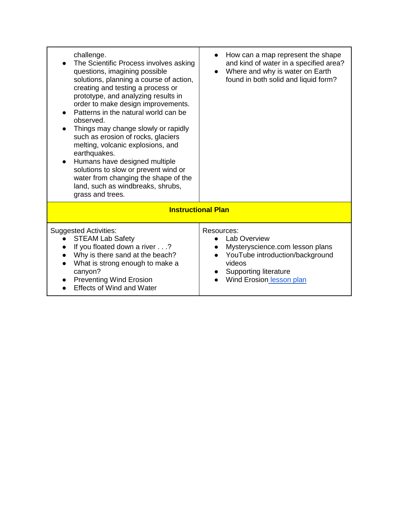| challenge.<br>The Scientific Process involves asking<br>questions, imagining possible<br>solutions, planning a course of action,<br>creating and testing a process or<br>prototype, and analyzing results in<br>order to make design improvements.<br>Patterns in the natural world can be<br>observed.<br>Things may change slowly or rapidly<br>such as erosion of rocks, glaciers<br>melting, volcanic explosions, and<br>earthquakes.<br>Humans have designed multiple<br>$\bullet$<br>solutions to slow or prevent wind or<br>water from changing the shape of the<br>land, such as windbreaks, shrubs,<br>grass and trees. | How can a map represent the shape<br>and kind of water in a specified area?<br>Where and why is water on Earth<br>found in both solid and liquid form?                        |
|----------------------------------------------------------------------------------------------------------------------------------------------------------------------------------------------------------------------------------------------------------------------------------------------------------------------------------------------------------------------------------------------------------------------------------------------------------------------------------------------------------------------------------------------------------------------------------------------------------------------------------|-------------------------------------------------------------------------------------------------------------------------------------------------------------------------------|
|                                                                                                                                                                                                                                                                                                                                                                                                                                                                                                                                                                                                                                  | <b>Instructional Plan</b>                                                                                                                                                     |
| <b>Suggested Activities:</b><br><b>STEAM Lab Safety</b><br>If you floated down a river?<br>Why is there sand at the beach?<br>What is strong enough to make a<br>canyon?<br><b>Preventing Wind Erosion</b><br><b>Effects of Wind and Water</b>                                                                                                                                                                                                                                                                                                                                                                                   | Resources:<br><b>Lab Overview</b><br>Mysteryscience.com lesson plans<br>YouTube introduction/background<br>videos<br><b>Supporting literature</b><br>Wind Erosion lesson plan |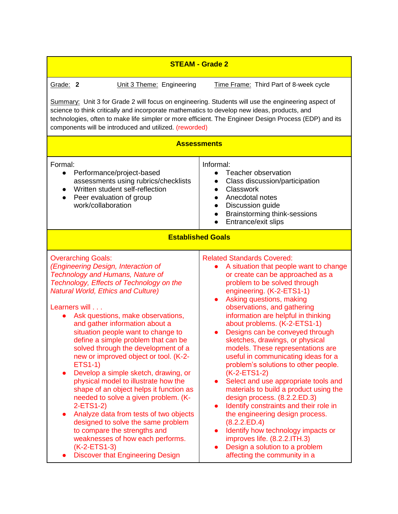| <b>STEAM - Grade 2</b>                                                                                                                                                                                                                                                                                                                                                                                                                                                                                                                                                                                                                                                                                                                                                                                                                                                                                   |                                                                                                                                                                                                                                                                                                                                                                                                                                                                                                                                                                                                                                                                                                                                                                                                                                                                                                                          |  |
|----------------------------------------------------------------------------------------------------------------------------------------------------------------------------------------------------------------------------------------------------------------------------------------------------------------------------------------------------------------------------------------------------------------------------------------------------------------------------------------------------------------------------------------------------------------------------------------------------------------------------------------------------------------------------------------------------------------------------------------------------------------------------------------------------------------------------------------------------------------------------------------------------------|--------------------------------------------------------------------------------------------------------------------------------------------------------------------------------------------------------------------------------------------------------------------------------------------------------------------------------------------------------------------------------------------------------------------------------------------------------------------------------------------------------------------------------------------------------------------------------------------------------------------------------------------------------------------------------------------------------------------------------------------------------------------------------------------------------------------------------------------------------------------------------------------------------------------------|--|
| Grade: 2<br>Unit 3 Theme: Engineering                                                                                                                                                                                                                                                                                                                                                                                                                                                                                                                                                                                                                                                                                                                                                                                                                                                                    | Time Frame: Third Part of 8-week cycle                                                                                                                                                                                                                                                                                                                                                                                                                                                                                                                                                                                                                                                                                                                                                                                                                                                                                   |  |
| Summary: Unit 3 for Grade 2 will focus on engineering. Students will use the engineering aspect of<br>science to think critically and incorporate mathematics to develop new ideas, products, and<br>technologies, often to make life simpler or more efficient. The Engineer Design Process (EDP) and its<br>components will be introduced and utilized. (reworded)                                                                                                                                                                                                                                                                                                                                                                                                                                                                                                                                     |                                                                                                                                                                                                                                                                                                                                                                                                                                                                                                                                                                                                                                                                                                                                                                                                                                                                                                                          |  |
|                                                                                                                                                                                                                                                                                                                                                                                                                                                                                                                                                                                                                                                                                                                                                                                                                                                                                                          | <b>Assessments</b>                                                                                                                                                                                                                                                                                                                                                                                                                                                                                                                                                                                                                                                                                                                                                                                                                                                                                                       |  |
| Formal:<br>Performance/project-based<br>$\bullet$<br>assessments using rubrics/checklists<br>Written student self-reflection<br>Peer evaluation of group<br>$\bullet$<br>work/collaboration                                                                                                                                                                                                                                                                                                                                                                                                                                                                                                                                                                                                                                                                                                              | Informal:<br>Teacher observation<br>$\bullet$<br>Class discussion/participation<br>Classwork<br>Anecdotal notes<br>$\bullet$<br>Discussion guide<br>$\bullet$<br>Brainstorming think-sessions<br>$\bullet$<br>Entrance/exit slips                                                                                                                                                                                                                                                                                                                                                                                                                                                                                                                                                                                                                                                                                        |  |
| <b>Established Goals</b>                                                                                                                                                                                                                                                                                                                                                                                                                                                                                                                                                                                                                                                                                                                                                                                                                                                                                 |                                                                                                                                                                                                                                                                                                                                                                                                                                                                                                                                                                                                                                                                                                                                                                                                                                                                                                                          |  |
| <b>Overarching Goals:</b><br>(Engineering Design, Interaction of<br><b>Technology and Humans, Nature of</b><br>Technology, Effects of Technology on the<br><b>Natural World, Ethics and Culture)</b><br>Learners will<br>Ask questions, make observations,<br>$\bullet$<br>and gather information about a<br>situation people want to change to<br>define a simple problem that can be<br>solved through the development of a<br>new or improved object or tool. (K-2-<br><b>ETS1-1)</b><br>Develop a simple sketch, drawing, or<br>$\bullet$<br>physical model to illustrate how the<br>shape of an object helps it function as<br>needed to solve a given problem. (K-<br>$2-ETS1-2)$<br>Analyze data from tests of two objects<br>designed to solve the same problem<br>to compare the strengths and<br>weaknesses of how each performs.<br>$(K-2-ETS1-3)$<br><b>Discover that Engineering Design</b> | <b>Related Standards Covered:</b><br>A situation that people want to change<br>or create can be approached as a<br>problem to be solved through<br>engineering. (K-2-ETS1-1)<br>Asking questions, making<br>$\bullet$<br>observations, and gathering<br>information are helpful in thinking<br>about problems. (K-2-ETS1-1)<br>Designs can be conveyed through<br>sketches, drawings, or physical<br>models. These representations are<br>useful in communicating ideas for a<br>problem's solutions to other people.<br>$(K-2-ETS1-2)$<br>Select and use appropriate tools and<br>$\bullet$<br>materials to build a product using the<br>design process. (8.2.2.ED.3)<br>Identify constraints and their role in<br>the engineering design process.<br>(8.2.2.ED.4)<br>Identify how technology impacts or<br>improves life. (8.2.2.ITH.3)<br>Design a solution to a problem<br>$\bullet$<br>affecting the community in a |  |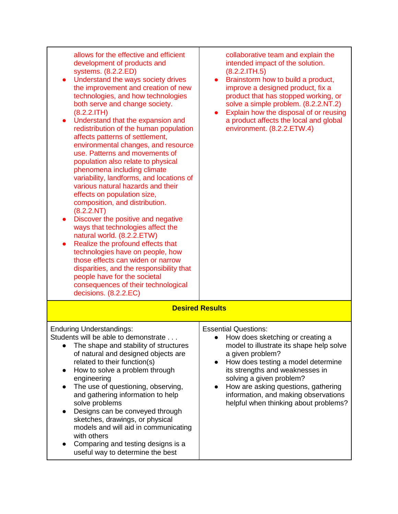| allows for the effective and efficient<br>development of products and<br>systems. (8.2.2.ED)<br>Understand the ways society drives<br>the improvement and creation of new                                                                                                                                                                                                                                                                                                                                                                                                                                                                                                                                                                                                                                                                                                                                        | collaborative team and explain the<br>intended impact of the solution.<br>(8.2.2.1TH.5)<br>Brainstorm how to build a product,<br>$\bullet$<br>improve a designed product, fix a                                                                                                                                                                                           |
|------------------------------------------------------------------------------------------------------------------------------------------------------------------------------------------------------------------------------------------------------------------------------------------------------------------------------------------------------------------------------------------------------------------------------------------------------------------------------------------------------------------------------------------------------------------------------------------------------------------------------------------------------------------------------------------------------------------------------------------------------------------------------------------------------------------------------------------------------------------------------------------------------------------|---------------------------------------------------------------------------------------------------------------------------------------------------------------------------------------------------------------------------------------------------------------------------------------------------------------------------------------------------------------------------|
| technologies, and how technologies<br>both serve and change society.<br>(8.2.2.1TH)<br>Understand that the expansion and<br>$\bullet$<br>redistribution of the human population<br>affects patterns of settlement,<br>environmental changes, and resource<br>use. Patterns and movements of<br>population also relate to physical<br>phenomena including climate<br>variability, landforms, and locations of<br>various natural hazards and their<br>effects on population size,<br>composition, and distribution.<br>(8.2.2.NT)<br>Discover the positive and negative<br>ways that technologies affect the<br>natural world. (8.2.2.ETW)<br>Realize the profound effects that<br>$\bullet$<br>technologies have on people, how<br>those effects can widen or narrow<br>disparities, and the responsibility that<br>people have for the societal<br>consequences of their technological<br>decisions. (8.2.2.EC) | product that has stopped working, or<br>solve a simple problem. (8.2.2.NT.2)<br>Explain how the disposal of or reusing<br>$\bullet$<br>a product affects the local and global<br>environment. (8.2.2.ETW.4)                                                                                                                                                               |
|                                                                                                                                                                                                                                                                                                                                                                                                                                                                                                                                                                                                                                                                                                                                                                                                                                                                                                                  | <b>Desired Results</b>                                                                                                                                                                                                                                                                                                                                                    |
| <b>Enduring Understandings:</b><br>Students will be able to demonstrate<br>The shape and stability of structures<br>of natural and designed objects are<br>related to their function(s)<br>How to solve a problem through<br>$\bullet$<br>engineering<br>The use of questioning, observing,<br>and gathering information to help<br>solve problems<br>Designs can be conveyed through<br>$\bullet$<br>sketches, drawings, or physical<br>models and will aid in communicating<br>with others<br>Comparing and testing designs is a<br>$\bullet$<br>useful way to determine the best                                                                                                                                                                                                                                                                                                                              | <b>Essential Questions:</b><br>How does sketching or creating a<br>model to illustrate its shape help solve<br>a given problem?<br>How does testing a model determine<br>$\bullet$<br>its strengths and weaknesses in<br>solving a given problem?<br>How are asking questions, gathering<br>information, and making observations<br>helpful when thinking about problems? |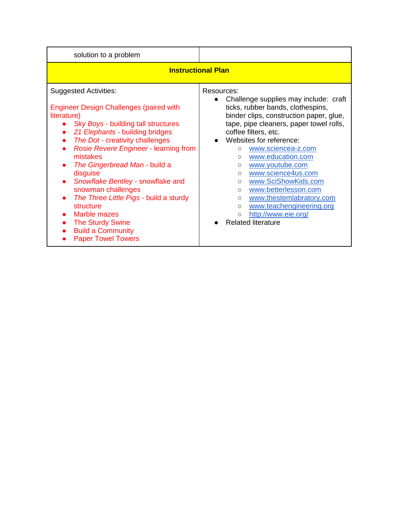| solution to a problem                                                                                                                                                                                                                                                                                                                                                                                                                                                                                                              |                                                                                                                                                                                                                                                                                                                                                                                                                                                                                                                                                                                                  |  |
|------------------------------------------------------------------------------------------------------------------------------------------------------------------------------------------------------------------------------------------------------------------------------------------------------------------------------------------------------------------------------------------------------------------------------------------------------------------------------------------------------------------------------------|--------------------------------------------------------------------------------------------------------------------------------------------------------------------------------------------------------------------------------------------------------------------------------------------------------------------------------------------------------------------------------------------------------------------------------------------------------------------------------------------------------------------------------------------------------------------------------------------------|--|
| <b>Instructional Plan</b>                                                                                                                                                                                                                                                                                                                                                                                                                                                                                                          |                                                                                                                                                                                                                                                                                                                                                                                                                                                                                                                                                                                                  |  |
| <b>Suggested Activities:</b><br><b>Engineer Design Challenges (paired with</b><br>literature)<br>Sky Boys - building tall structures<br>21 Elephants - building bridges<br>The Dot - creativity challenges<br>Rosie Revere Engineer - learning from<br>mistakes<br>The Gingerbread Man - build a<br>disguise<br>Snowflake Bentley - snowflake and<br>snowman challenges<br>The Three Little Pigs - build a sturdy<br>structure<br>Marble mazes<br><b>The Sturdy Swine</b><br><b>Build a Community</b><br><b>Paper Towel Towers</b> | Resources:<br>Challenge supplies may include: craft<br>$\bullet$<br>ticks, rubber bands, clothespins,<br>binder clips, construction paper, glue,<br>tape, pipe cleaners, paper towel rolls,<br>coffee filters, etc.<br>Websites for reference:<br>www.sciencea-z.com<br>$\circ$<br>www.education.com<br>$\circ$<br>www.youtube.com<br>$\circ$<br>www.science4us.com<br>$\circ$<br>www.SciShowKids.com<br>$\circ$<br>www.betterlesson.com<br>$\circ$<br>www.thestemlabratory.com<br>$\circ$<br>www.teachengineering.org<br>$\circ$<br>http://www.eie.org/<br>$\circ$<br><b>Related literature</b> |  |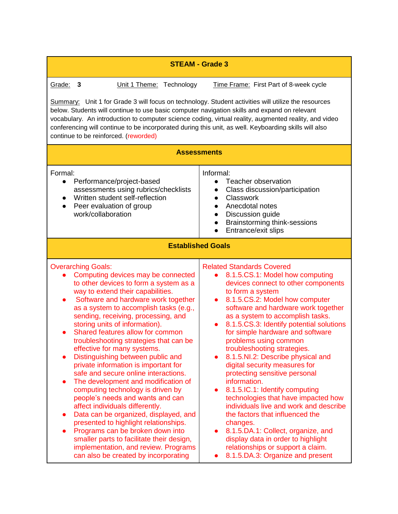| <b>STEAM - Grade 3</b>                                                                                                                                                                                                                                                                                                                                                                                                                                                                                                                                                                                                                                                                                                                                                                                                                                                                                                                                                                  |                                                                                                                                                                                                                                                                                                                                                                                                                                                                                                                                                                                                                                                                                                                                                                                                                                                             |  |
|-----------------------------------------------------------------------------------------------------------------------------------------------------------------------------------------------------------------------------------------------------------------------------------------------------------------------------------------------------------------------------------------------------------------------------------------------------------------------------------------------------------------------------------------------------------------------------------------------------------------------------------------------------------------------------------------------------------------------------------------------------------------------------------------------------------------------------------------------------------------------------------------------------------------------------------------------------------------------------------------|-------------------------------------------------------------------------------------------------------------------------------------------------------------------------------------------------------------------------------------------------------------------------------------------------------------------------------------------------------------------------------------------------------------------------------------------------------------------------------------------------------------------------------------------------------------------------------------------------------------------------------------------------------------------------------------------------------------------------------------------------------------------------------------------------------------------------------------------------------------|--|
| Grade:<br>Unit 1 Theme: Technology<br>Time Frame: First Part of 8-week cycle<br>3<br>Summary: Unit 1 for Grade 3 will focus on technology. Student activities will utilize the resources<br>below. Students will continue to use basic computer navigation skills and expand on relevant<br>vocabulary. An introduction to computer science coding, virtual reality, augmented reality, and video<br>conferencing will continue to be incorporated during this unit, as well. Keyboarding skills will also<br>continue to be reinforced. (reworded)<br><b>Assessments</b>                                                                                                                                                                                                                                                                                                                                                                                                               |                                                                                                                                                                                                                                                                                                                                                                                                                                                                                                                                                                                                                                                                                                                                                                                                                                                             |  |
| Formal:<br>Performance/project-based<br>$\bullet$<br>assessments using rubrics/checklists<br>Written student self-reflection<br>$\bullet$<br>Peer evaluation of group<br>$\bullet$<br>work/collaboration                                                                                                                                                                                                                                                                                                                                                                                                                                                                                                                                                                                                                                                                                                                                                                                | Informal:<br>Teacher observation<br>$\bullet$<br>Class discussion/participation<br>$\bullet$<br>Classwork<br>$\bullet$<br>Anecdotal notes<br>$\bullet$<br>Discussion guide<br>$\bullet$<br>Brainstorming think-sessions<br>Entrance/exit slips                                                                                                                                                                                                                                                                                                                                                                                                                                                                                                                                                                                                              |  |
|                                                                                                                                                                                                                                                                                                                                                                                                                                                                                                                                                                                                                                                                                                                                                                                                                                                                                                                                                                                         | <b>Established Goals</b>                                                                                                                                                                                                                                                                                                                                                                                                                                                                                                                                                                                                                                                                                                                                                                                                                                    |  |
| <b>Overarching Goals:</b><br>Computing devices may be connected<br>$\bullet$<br>to other devices to form a system as a<br>way to extend their capabilities.<br>Software and hardware work together<br>$\bullet$<br>as a system to accomplish tasks (e.g.,<br>sending, receiving, processing, and<br>storing units of information).<br>Shared features allow for common<br>troubleshooting strategies that can be<br>effective for many systems.<br>Distinguishing between public and<br>private information is important for<br>safe and secure online interactions.<br>The development and modification of<br>computing technology is driven by<br>people's needs and wants and can<br>affect individuals differently.<br>Data can be organized, displayed, and<br>$\bullet$<br>presented to highlight relationships.<br>Programs can be broken down into<br>smaller parts to facilitate their design,<br>implementation, and review. Programs<br>can also be created by incorporating | <b>Related Standards Covered</b><br>8.1.5.CS.1: Model how computing<br>$\bullet$<br>devices connect to other components<br>to form a system<br>8.1.5.CS.2: Model how computer<br>$\bullet$<br>software and hardware work together<br>as a system to accomplish tasks.<br>8.1.5.CS.3: Identify potential solutions<br>for simple hardware and software<br>problems using common<br>troubleshooting strategies.<br>8.1.5.NI.2: Describe physical and<br>digital security measures for<br>protecting sensitive personal<br>information.<br>8.1.5.IC.1: Identify computing<br>technologies that have impacted how<br>individuals live and work and describe<br>the factors that influenced the<br>changes.<br>8.1.5.DA.1: Collect, organize, and<br>display data in order to highlight<br>relationships or support a claim.<br>8.1.5.DA.3: Organize and present |  |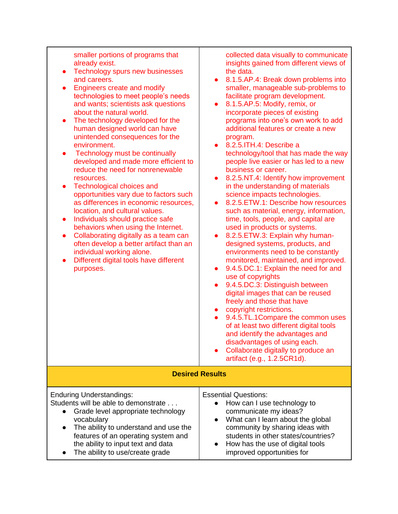| smaller portions of programs that<br>already exist.<br>Technology spurs new businesses<br>$\bullet$<br>and careers.<br><b>Engineers create and modify</b><br>$\bullet$<br>technologies to meet people's needs<br>and wants; scientists ask questions<br>about the natural world.<br>The technology developed for the<br>$\bullet$<br>human designed world can have<br>unintended consequences for the<br>environment.<br>Technology must be continually<br>$\bullet$<br>developed and made more efficient to<br>reduce the need for nonrenewable<br>resources.<br>Technological choices and<br>$\bullet$<br>opportunities vary due to factors such<br>as differences in economic resources,<br>location, and cultural values.<br>Individuals should practice safe<br>$\bullet$<br>behaviors when using the Internet.<br>Collaborating digitally as a team can<br>$\bullet$<br>often develop a better artifact than an<br>individual working alone.<br>Different digital tools have different<br>$\bullet$<br>purposes. | collected data visually to communicate<br>insights gained from different views of<br>the data.<br>8.1.5.AP.4: Break down problems into<br>$\bullet$<br>smaller, manageable sub-problems to<br>facilitate program development.<br>8.1.5.AP.5: Modify, remix, or<br>$\bullet$<br>incorporate pieces of existing<br>programs into one's own work to add<br>additional features or create a new<br>program.<br>8.2.5.ITH.4: Describe a<br>$\bullet$<br>technology/tool that has made the way<br>people live easier or has led to a new<br>business or career.<br>8.2.5.NT.4: Identify how improvement<br>$\bullet$<br>in the understanding of materials<br>science impacts technologies.<br>8.2.5. ETW.1: Describe how resources<br>such as material, energy, information,<br>time, tools, people, and capital are<br>used in products or systems.<br>8.2.5. ETW.3: Explain why human-<br>$\bullet$<br>designed systems, products, and<br>environments need to be constantly<br>monitored, maintained, and improved.<br>9.4.5.DC.1: Explain the need for and<br>$\bullet$<br>use of copyrights<br>9.4.5.DC.3: Distinguish between<br>$\bullet$<br>digital images that can be reused<br>freely and those that have<br>copyright restrictions.<br>$\bullet$<br>9.4.5.TL.1Compare the common uses<br>$\bullet$<br>of at least two different digital tools<br>and identify the advantages and<br>disadvantages of using each.<br>Collaborate digitally to produce an<br>artifact (e.g., 1.2.5CR1d). |
|------------------------------------------------------------------------------------------------------------------------------------------------------------------------------------------------------------------------------------------------------------------------------------------------------------------------------------------------------------------------------------------------------------------------------------------------------------------------------------------------------------------------------------------------------------------------------------------------------------------------------------------------------------------------------------------------------------------------------------------------------------------------------------------------------------------------------------------------------------------------------------------------------------------------------------------------------------------------------------------------------------------------|---------------------------------------------------------------------------------------------------------------------------------------------------------------------------------------------------------------------------------------------------------------------------------------------------------------------------------------------------------------------------------------------------------------------------------------------------------------------------------------------------------------------------------------------------------------------------------------------------------------------------------------------------------------------------------------------------------------------------------------------------------------------------------------------------------------------------------------------------------------------------------------------------------------------------------------------------------------------------------------------------------------------------------------------------------------------------------------------------------------------------------------------------------------------------------------------------------------------------------------------------------------------------------------------------------------------------------------------------------------------------------------------------------------------------------------------------------------------------------------------|
| <b>Desired Results</b>                                                                                                                                                                                                                                                                                                                                                                                                                                                                                                                                                                                                                                                                                                                                                                                                                                                                                                                                                                                                 |                                                                                                                                                                                                                                                                                                                                                                                                                                                                                                                                                                                                                                                                                                                                                                                                                                                                                                                                                                                                                                                                                                                                                                                                                                                                                                                                                                                                                                                                                             |
| <b>Enduring Understandings:</b><br>Students will be able to demonstrate<br>Grade level appropriate technology<br>$\bullet$<br>vocabulary<br>The ability to understand and use the<br>$\bullet$<br>features of an operating system and<br>the ability to input text and data<br>The ability to use/create grade                                                                                                                                                                                                                                                                                                                                                                                                                                                                                                                                                                                                                                                                                                         | <b>Essential Questions:</b><br>How can I use technology to<br>$\bullet$<br>communicate my ideas?<br>What can I learn about the global<br>$\bullet$<br>community by sharing ideas with<br>students in other states/countries?<br>How has the use of digital tools<br>improved opportunities for                                                                                                                                                                                                                                                                                                                                                                                                                                                                                                                                                                                                                                                                                                                                                                                                                                                                                                                                                                                                                                                                                                                                                                                              |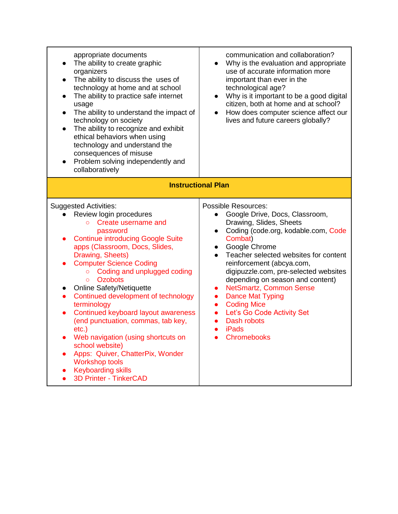| appropriate documents<br>The ability to create graphic<br>$\bullet$<br>organizers<br>The ability to discuss the uses of<br>$\bullet$<br>technology at home and at school<br>The ability to practice safe internet<br>$\bullet$<br>usage<br>The ability to understand the impact of<br>$\bullet$<br>technology on society<br>The ability to recognize and exhibit<br>$\bullet$<br>ethical behaviors when using<br>technology and understand the<br>consequences of misuse<br>Problem solving independently and<br>collaboratively                                                                                                                                                                                  | communication and collaboration?<br>Why is the evaluation and appropriate<br>use of accurate information more<br>important than ever in the<br>technological age?<br>Why is it important to be a good digital<br>$\bullet$<br>citizen, both at home and at school?<br>How does computer science affect our<br>$\bullet$<br>lives and future careers globally?                                                                                                                                                                                                                                            |  |
|-------------------------------------------------------------------------------------------------------------------------------------------------------------------------------------------------------------------------------------------------------------------------------------------------------------------------------------------------------------------------------------------------------------------------------------------------------------------------------------------------------------------------------------------------------------------------------------------------------------------------------------------------------------------------------------------------------------------|----------------------------------------------------------------------------------------------------------------------------------------------------------------------------------------------------------------------------------------------------------------------------------------------------------------------------------------------------------------------------------------------------------------------------------------------------------------------------------------------------------------------------------------------------------------------------------------------------------|--|
| <b>Instructional Plan</b>                                                                                                                                                                                                                                                                                                                                                                                                                                                                                                                                                                                                                                                                                         |                                                                                                                                                                                                                                                                                                                                                                                                                                                                                                                                                                                                          |  |
| <b>Suggested Activities:</b><br>Review login procedures<br>Create username and<br>$\circ$<br>password<br><b>Continue introducing Google Suite</b><br>apps (Classroom, Docs, Slides,<br>Drawing, Sheets)<br><b>Computer Science Coding</b><br>Coding and unplugged coding<br>$\circ$<br><b>Ozobots</b><br>$\Omega$<br><b>Online Safety/Netiquette</b><br>$\bullet$<br>Continued development of technology<br>$\bullet$<br>terminology<br>Continued keyboard layout awareness<br>(end punctuation, commas, tab key,<br>$etc.$ )<br>Web navigation (using shortcuts on<br>school website)<br>Apps: Quiver, ChatterPix, Wonder<br><b>Workshop tools</b><br><b>Keyboarding skills</b><br><b>3D Printer - TinkerCAD</b> | <b>Possible Resources:</b><br>Google Drive, Docs, Classroom,<br>$\bullet$<br>Drawing, Slides, Sheets<br>Coding (code.org, kodable.com, Code<br>$\bullet$<br>Combat)<br>Google Chrome<br>$\bullet$<br>Teacher selected websites for content<br>reinforcement (abcya.com,<br>digipuzzle.com, pre-selected websites<br>depending on season and content)<br><b>NetSmartz, Common Sense</b><br>$\bullet$<br><b>Dance Mat Typing</b><br>$\bullet$<br><b>Coding Mice</b><br>$\bullet$<br>Let's Go Code Activity Set<br>$\bullet$<br>Dash robots<br>$\bullet$<br><b>iPads</b><br>$\bullet$<br><b>Chromebooks</b> |  |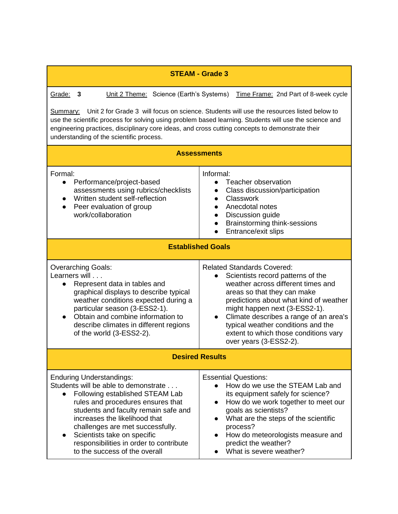| <b>STEAM - Grade 3</b>                                                                                                                                                                                                                                                                                                                                                               |                                                                                                                                                                                                                                                                                                                                                                           |  |
|--------------------------------------------------------------------------------------------------------------------------------------------------------------------------------------------------------------------------------------------------------------------------------------------------------------------------------------------------------------------------------------|---------------------------------------------------------------------------------------------------------------------------------------------------------------------------------------------------------------------------------------------------------------------------------------------------------------------------------------------------------------------------|--|
| Grade:<br>Unit 2 Theme: Science (Earth's Systems)<br>3                                                                                                                                                                                                                                                                                                                               | Time Frame: 2nd Part of 8-week cycle                                                                                                                                                                                                                                                                                                                                      |  |
| Unit 2 for Grade 3 will focus on science. Students will use the resources listed below to<br><u>Summary:</u><br>use the scientific process for solving using problem based learning. Students will use the science and<br>engineering practices, disciplinary core ideas, and cross cutting concepts to demonstrate their<br>understanding of the scientific process.                |                                                                                                                                                                                                                                                                                                                                                                           |  |
| <b>Assessments</b>                                                                                                                                                                                                                                                                                                                                                                   |                                                                                                                                                                                                                                                                                                                                                                           |  |
| Formal:<br>Performance/project-based<br>assessments using rubrics/checklists<br>Written student self-reflection<br>Peer evaluation of group<br>$\bullet$<br>work/collaboration                                                                                                                                                                                                       | Informal:<br>Teacher observation<br>Class discussion/participation<br>Classwork<br>$\bullet$<br>Anecdotal notes<br>Discussion guide<br>$\bullet$<br>Brainstorming think-sessions<br>$\bullet$<br>Entrance/exit slips                                                                                                                                                      |  |
| <b>Established Goals</b>                                                                                                                                                                                                                                                                                                                                                             |                                                                                                                                                                                                                                                                                                                                                                           |  |
| <b>Overarching Goals:</b><br>Learners will<br>Represent data in tables and<br>$\bullet$<br>graphical displays to describe typical<br>weather conditions expected during a<br>particular season (3-ESS2-1).<br>Obtain and combine information to<br>describe climates in different regions<br>of the world (3-ESS2-2).                                                                | <b>Related Standards Covered:</b><br>Scientists record patterns of the<br>weather across different times and<br>areas so that they can make<br>predictions about what kind of weather<br>might happen next (3-ESS2-1).<br>Climate describes a range of an area's<br>typical weather conditions and the<br>extent to which those conditions vary<br>over years (3-ESS2-2). |  |
| <b>Desired Results</b>                                                                                                                                                                                                                                                                                                                                                               |                                                                                                                                                                                                                                                                                                                                                                           |  |
| <b>Enduring Understandings:</b><br>Students will be able to demonstrate<br>Following established STEAM Lab<br>$\bullet$<br>rules and procedures ensures that<br>students and faculty remain safe and<br>increases the likelihood that<br>challenges are met successfully.<br>Scientists take on specific<br>responsibilities in order to contribute<br>to the success of the overall | <b>Essential Questions:</b><br>How do we use the STEAM Lab and<br>$\bullet$<br>its equipment safely for science?<br>How do we work together to meet our<br>goals as scientists?<br>What are the steps of the scientific<br>process?<br>How do meteorologists measure and<br>predict the weather?<br>What is severe weather?                                               |  |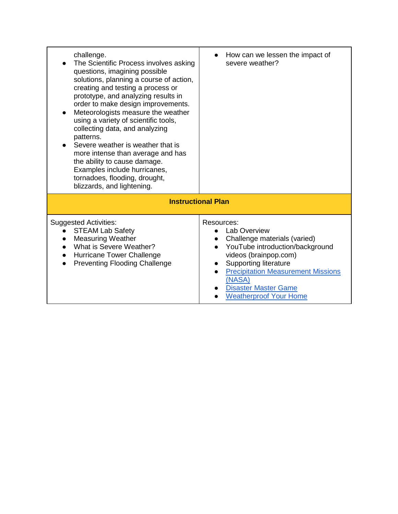| challenge.<br>The Scientific Process involves asking<br>questions, imagining possible<br>solutions, planning a course of action,<br>creating and testing a process or<br>prototype, and analyzing results in<br>order to make design improvements.<br>Meteorologists measure the weather<br>using a variety of scientific tools,<br>collecting data, and analyzing<br>patterns.<br>Severe weather is weather that is<br>more intense than average and has<br>the ability to cause damage.<br>Examples include hurricanes,<br>tornadoes, flooding, drought,<br>blizzards, and lightening. | How can we lessen the impact of<br>severe weather?                                                                                                                                                                                                                     |  |
|------------------------------------------------------------------------------------------------------------------------------------------------------------------------------------------------------------------------------------------------------------------------------------------------------------------------------------------------------------------------------------------------------------------------------------------------------------------------------------------------------------------------------------------------------------------------------------------|------------------------------------------------------------------------------------------------------------------------------------------------------------------------------------------------------------------------------------------------------------------------|--|
| <b>Instructional Plan</b>                                                                                                                                                                                                                                                                                                                                                                                                                                                                                                                                                                |                                                                                                                                                                                                                                                                        |  |
| <b>Suggested Activities:</b><br><b>STEAM Lab Safety</b><br><b>Measuring Weather</b><br>What is Severe Weather?<br>Hurricane Tower Challenge<br><b>Preventing Flooding Challenge</b>                                                                                                                                                                                                                                                                                                                                                                                                      | Resources:<br>Lab Overview<br>Challenge materials (varied)<br>YouTube introduction/background<br>videos (brainpop.com)<br><b>Supporting literature</b><br><b>Precipitation Measurement Missions</b><br>(NASA)<br>Disaster Master Game<br><b>Weatherproof Your Home</b> |  |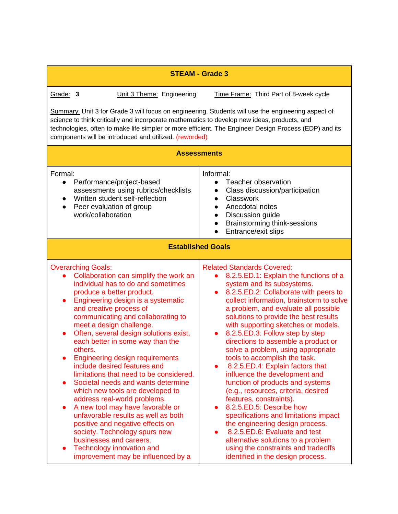| <b>STEAM - Grade 3</b>                                                                                                                                                                                                                                                                                                                                                                                                                                                                                                                                                                                                                                                                                                                                                                                                                                                    |                                                                                                                                                                                                                                                                                                                                                                                                                                                                                                                                                                                                                                                                                                                                                                                                                                                                                                                                         |
|---------------------------------------------------------------------------------------------------------------------------------------------------------------------------------------------------------------------------------------------------------------------------------------------------------------------------------------------------------------------------------------------------------------------------------------------------------------------------------------------------------------------------------------------------------------------------------------------------------------------------------------------------------------------------------------------------------------------------------------------------------------------------------------------------------------------------------------------------------------------------|-----------------------------------------------------------------------------------------------------------------------------------------------------------------------------------------------------------------------------------------------------------------------------------------------------------------------------------------------------------------------------------------------------------------------------------------------------------------------------------------------------------------------------------------------------------------------------------------------------------------------------------------------------------------------------------------------------------------------------------------------------------------------------------------------------------------------------------------------------------------------------------------------------------------------------------------|
| Grade: 3<br>Unit 3 Theme: Engineering                                                                                                                                                                                                                                                                                                                                                                                                                                                                                                                                                                                                                                                                                                                                                                                                                                     | Time Frame: Third Part of 8-week cycle                                                                                                                                                                                                                                                                                                                                                                                                                                                                                                                                                                                                                                                                                                                                                                                                                                                                                                  |
| Summary: Unit 3 for Grade 3 will focus on engineering. Students will use the engineering aspect of<br>science to think critically and incorporate mathematics to develop new ideas, products, and<br>technologies, often to make life simpler or more efficient. The Engineer Design Process (EDP) and its<br>components will be introduced and utilized. (reworded)                                                                                                                                                                                                                                                                                                                                                                                                                                                                                                      |                                                                                                                                                                                                                                                                                                                                                                                                                                                                                                                                                                                                                                                                                                                                                                                                                                                                                                                                         |
|                                                                                                                                                                                                                                                                                                                                                                                                                                                                                                                                                                                                                                                                                                                                                                                                                                                                           | <b>Assessments</b>                                                                                                                                                                                                                                                                                                                                                                                                                                                                                                                                                                                                                                                                                                                                                                                                                                                                                                                      |
| Formal:<br>Performance/project-based<br>$\bullet$<br>assessments using rubrics/checklists<br>Written student self-reflection<br>Peer evaluation of group<br>$\bullet$<br>work/collaboration                                                                                                                                                                                                                                                                                                                                                                                                                                                                                                                                                                                                                                                                               | Informal:<br>Teacher observation<br>$\bullet$<br>Class discussion/participation<br>$\bullet$<br>Classwork<br>$\bullet$<br>Anecdotal notes<br>$\bullet$<br>Discussion guide<br>$\bullet$<br><b>Brainstorming think-sessions</b><br>Entrance/exit slips                                                                                                                                                                                                                                                                                                                                                                                                                                                                                                                                                                                                                                                                                   |
|                                                                                                                                                                                                                                                                                                                                                                                                                                                                                                                                                                                                                                                                                                                                                                                                                                                                           | <b>Established Goals</b>                                                                                                                                                                                                                                                                                                                                                                                                                                                                                                                                                                                                                                                                                                                                                                                                                                                                                                                |
| <b>Overarching Goals:</b><br>Collaboration can simplify the work an<br>individual has to do and sometimes<br>produce a better product.<br>Engineering design is a systematic<br>$\bullet$<br>and creative process of<br>communicating and collaborating to<br>meet a design challenge.<br>Often, several design solutions exist,<br>$\bullet$<br>each better in some way than the<br>others.<br><b>Engineering design requirements</b><br>include desired features and<br>limitations that need to be considered.<br>Societal needs and wants determine<br>which new tools are developed to<br>address real-world problems.<br>A new tool may have favorable or<br>unfavorable results as well as both<br>positive and negative effects on<br>society. Technology spurs new<br>businesses and careers.<br>Technology innovation and<br>improvement may be influenced by a | <b>Related Standards Covered:</b><br>8.2.5.ED.1: Explain the functions of a<br>system and its subsystems.<br>8.2.5.ED.2: Collaborate with peers to<br>$\bullet$<br>collect information, brainstorm to solve<br>a problem, and evaluate all possible<br>solutions to provide the best results<br>with supporting sketches or models.<br>8.2.5.ED.3: Follow step by step<br>$\bullet$<br>directions to assemble a product or<br>solve a problem, using appropriate<br>tools to accomplish the task.<br>8.2.5.ED.4: Explain factors that<br>influence the development and<br>function of products and systems<br>(e.g., resources, criteria, desired<br>features, constraints).<br>8.2.5.ED.5: Describe how<br>specifications and limitations impact<br>the engineering design process.<br>8.2.5.ED.6: Evaluate and test<br>alternative solutions to a problem<br>using the constraints and tradeoffs<br>identified in the design process. |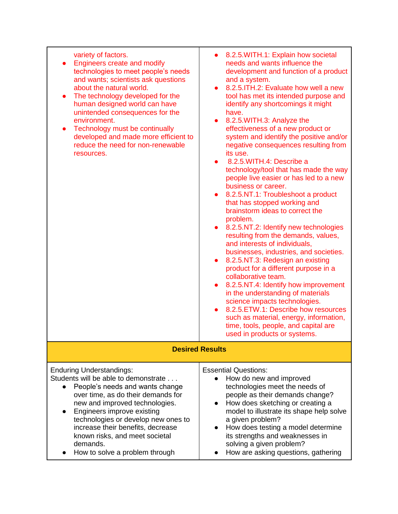| variety of factors.<br><b>Engineers create and modify</b><br>technologies to meet people's needs<br>and wants; scientists ask questions<br>about the natural world.<br>The technology developed for the<br>$\bullet$<br>human designed world can have<br>unintended consequences for the<br>environment.<br>Technology must be continually<br>$\bullet$<br>developed and made more efficient to<br>reduce the need for non-renewable<br>resources. | 8.2.5. WITH.1: Explain how societal<br>$\bullet$<br>needs and wants influence the<br>development and function of a product<br>and a system.<br>8.2.5. ITH.2: Evaluate how well a new<br>$\bullet$<br>tool has met its intended purpose and<br>identify any shortcomings it might<br>have.<br>8.2.5. WITH.3: Analyze the<br>$\bullet$<br>effectiveness of a new product or<br>system and identify the positive and/or<br>negative consequences resulting from<br>its use.<br>8.2.5. WITH.4: Describe a<br>technology/tool that has made the way<br>people live easier or has led to a new<br>business or career.<br>8.2.5.NT.1: Troubleshoot a product<br>$\bullet$<br>that has stopped working and<br>brainstorm ideas to correct the<br>problem.<br>8.2.5.NT.2: Identify new technologies<br>$\bullet$<br>resulting from the demands, values,<br>and interests of individuals,<br>businesses, industries, and societies.<br>8.2.5.NT.3: Redesign an existing<br>$\bullet$<br>product for a different purpose in a<br>collaborative team.<br>8.2.5.NT.4: Identify how improvement<br>$\bullet$<br>in the understanding of materials<br>science impacts technologies.<br>8.2.5. ETW.1: Describe how resources<br>$\bullet$<br>such as material, energy, information,<br>time, tools, people, and capital are<br>used in products or systems. |
|----------------------------------------------------------------------------------------------------------------------------------------------------------------------------------------------------------------------------------------------------------------------------------------------------------------------------------------------------------------------------------------------------------------------------------------------------|---------------------------------------------------------------------------------------------------------------------------------------------------------------------------------------------------------------------------------------------------------------------------------------------------------------------------------------------------------------------------------------------------------------------------------------------------------------------------------------------------------------------------------------------------------------------------------------------------------------------------------------------------------------------------------------------------------------------------------------------------------------------------------------------------------------------------------------------------------------------------------------------------------------------------------------------------------------------------------------------------------------------------------------------------------------------------------------------------------------------------------------------------------------------------------------------------------------------------------------------------------------------------------------------------------------------------------------------|
|                                                                                                                                                                                                                                                                                                                                                                                                                                                    | <b>Desired Results</b>                                                                                                                                                                                                                                                                                                                                                                                                                                                                                                                                                                                                                                                                                                                                                                                                                                                                                                                                                                                                                                                                                                                                                                                                                                                                                                                      |
| <b>Enduring Understandings:</b><br>Students will be able to demonstrate<br>People's needs and wants change<br>$\bullet$<br>over time, as do their demands for<br>new and improved technologies.<br>Engineers improve existing<br>technologies or develop new ones to<br>increase their benefits, decrease<br>known risks, and meet societal<br>demands.<br>How to solve a problem through                                                          | <b>Essential Questions:</b><br>How do new and improved<br>technologies meet the needs of<br>people as their demands change?<br>How does sketching or creating a<br>model to illustrate its shape help solve<br>a given problem?<br>How does testing a model determine<br>its strengths and weaknesses in<br>solving a given problem?<br>How are asking questions, gathering                                                                                                                                                                                                                                                                                                                                                                                                                                                                                                                                                                                                                                                                                                                                                                                                                                                                                                                                                                 |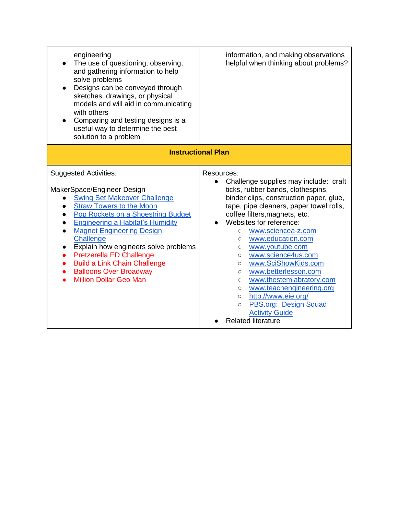| engineering<br>The use of questioning, observing,<br>and gathering information to help<br>solve problems<br>Designs can be conveyed through<br>sketches, drawings, or physical<br>models and will aid in communicating<br>with others<br>Comparing and testing designs is a<br>$\bullet$<br>useful way to determine the best<br>solution to a problem                                                                                                            | information, and making observations<br>helpful when thinking about problems?                                                                                                                                                                                                                                                                                                                                                                                                                                                                                                                                                                                          |
|------------------------------------------------------------------------------------------------------------------------------------------------------------------------------------------------------------------------------------------------------------------------------------------------------------------------------------------------------------------------------------------------------------------------------------------------------------------|------------------------------------------------------------------------------------------------------------------------------------------------------------------------------------------------------------------------------------------------------------------------------------------------------------------------------------------------------------------------------------------------------------------------------------------------------------------------------------------------------------------------------------------------------------------------------------------------------------------------------------------------------------------------|
| <b>Instructional Plan</b>                                                                                                                                                                                                                                                                                                                                                                                                                                        |                                                                                                                                                                                                                                                                                                                                                                                                                                                                                                                                                                                                                                                                        |
| <b>Suggested Activities:</b><br>MakerSpace/Engineer Design<br><b>Swing Set Makeover Challenge</b><br>$\bullet$<br><b>Straw Towers to the Moon</b><br>Pop Rockets on a Shoestring Budget<br><b>Engineering a Habitat's Humidity</b><br><b>Magnet Engineering Design</b><br>Challenge<br>Explain how engineers solve problems<br>Pretzerella ED Challenge<br><b>Build a Link Chain Challenge</b><br><b>Balloons Over Broadway</b><br><b>Million Dollar Geo Man</b> | Resources:<br>Challenge supplies may include: craft<br>$\bullet$<br>ticks, rubber bands, clothespins,<br>binder clips, construction paper, glue,<br>tape, pipe cleaners, paper towel rolls,<br>coffee filters, magnets, etc.<br>Websites for reference:<br>www.sciencea-z.com<br>$\circ$<br>www.education.com<br>$\circ$<br>www.youtube.com<br>$\circ$<br>www.science4us.com<br>$\circ$<br>www.SciShowKids.com<br>$\circ$<br>www.betterlesson.com<br>$\circ$<br>www.thestemlabratory.com<br>$\circ$<br>www.teachengineering.org<br>$\circ$<br>http://www.eie.org/<br>$\circ$<br>PBS.org: Design Squad<br>$\circ$<br><b>Activity Guide</b><br><b>Related literature</b> |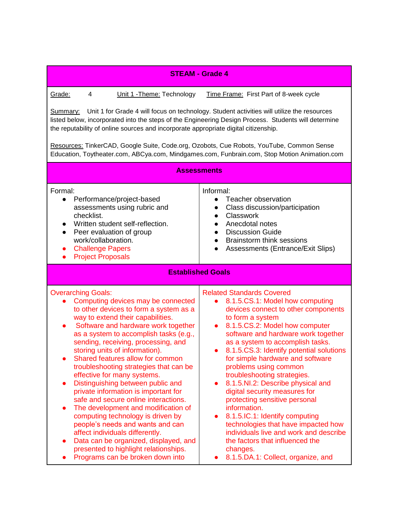|                                                                                                                                                                                                                                                                                                                                                                                                                                                                                                                                                                                                                                                                                                                                                                                                                                                            | <b>STEAM - Grade 4</b>                                                                                                                                                                                                                                                                                                                                                                                                                                                                                                                                                                                                                                                                                                                                    |  |
|------------------------------------------------------------------------------------------------------------------------------------------------------------------------------------------------------------------------------------------------------------------------------------------------------------------------------------------------------------------------------------------------------------------------------------------------------------------------------------------------------------------------------------------------------------------------------------------------------------------------------------------------------------------------------------------------------------------------------------------------------------------------------------------------------------------------------------------------------------|-----------------------------------------------------------------------------------------------------------------------------------------------------------------------------------------------------------------------------------------------------------------------------------------------------------------------------------------------------------------------------------------------------------------------------------------------------------------------------------------------------------------------------------------------------------------------------------------------------------------------------------------------------------------------------------------------------------------------------------------------------------|--|
| Grade:<br>4<br>Unit 1 - Theme: Technology<br>Time Frame: First Part of 8-week cycle<br>Summary: Unit 1 for Grade 4 will focus on technology. Student activities will utilize the resources<br>listed below, incorporated into the steps of the Engineering Design Process. Students will determine<br>the reputability of online sources and incorporate appropriate digital citizenship.<br>Resources: TinkerCAD, Google Suite, Code.org, Ozobots, Cue Robots, YouTube, Common Sense<br>Education, Toytheater.com, ABCya.com, Mindgames.com, Funbrain.com, Stop Motion Animation.com<br><b>Assessments</b>                                                                                                                                                                                                                                                |                                                                                                                                                                                                                                                                                                                                                                                                                                                                                                                                                                                                                                                                                                                                                           |  |
| Formal:<br>Performance/project-based<br>$\bullet$<br>assessments using rubric and<br>checklist.<br>Written student self-reflection.<br>Peer evaluation of group<br>$\bullet$<br>work/collaboration.<br><b>Challenge Papers</b><br>$\bullet$<br><b>Project Proposals</b><br>$\bullet$                                                                                                                                                                                                                                                                                                                                                                                                                                                                                                                                                                       | Informal:<br>Teacher observation<br>$\bullet$<br>Class discussion/participation<br>$\bullet$<br><b>Classwork</b><br>$\bullet$<br>Anecdotal notes<br>$\bullet$<br><b>Discussion Guide</b><br>$\bullet$<br><b>Brainstorm think sessions</b><br>$\bullet$<br>Assessments (Entrance/Exit Slips)<br><b>Established Goals</b>                                                                                                                                                                                                                                                                                                                                                                                                                                   |  |
| <b>Overarching Goals:</b><br>Computing devices may be connected<br>to other devices to form a system as a<br>way to extend their capabilities.<br>Software and hardware work together<br>$\bullet$<br>as a system to accomplish tasks (e.g.,<br>sending, receiving, processing, and<br>storing units of information).<br>Shared features allow for common<br>troubleshooting strategies that can be<br>effective for many systems.<br>Distinguishing between public and<br>$\bullet$<br>private information is important for<br>safe and secure online interactions.<br>The development and modification of<br>computing technology is driven by<br>people's needs and wants and can<br>affect individuals differently.<br>Data can be organized, displayed, and<br>$\bullet$<br>presented to highlight relationships.<br>Programs can be broken down into | <b>Related Standards Covered</b><br>8.1.5.CS.1: Model how computing<br>$\bullet$<br>devices connect to other components<br>to form a system<br>8.1.5.CS.2: Model how computer<br>$\bullet$<br>software and hardware work together<br>as a system to accomplish tasks.<br>8.1.5.CS.3: Identify potential solutions<br>for simple hardware and software<br>problems using common<br>troubleshooting strategies.<br>8.1.5.NI.2: Describe physical and<br>$\bullet$<br>digital security measures for<br>protecting sensitive personal<br>information.<br>8.1.5.IC.1: Identify computing<br>technologies that have impacted how<br>individuals live and work and describe<br>the factors that influenced the<br>changes.<br>8.1.5.DA.1: Collect, organize, and |  |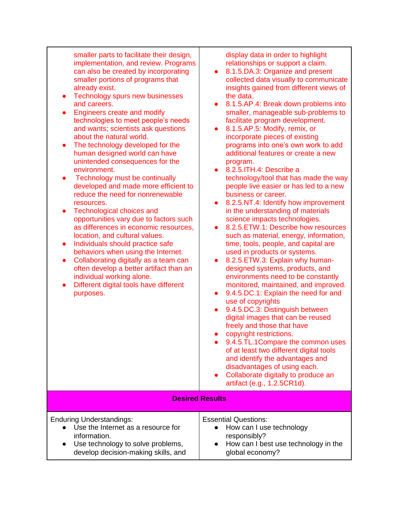smaller parts to facilitate their design, implementation, and review. Programs can also be created by incorporating smaller portions of programs that already exist.

- Technology spurs new businesses and careers.
- **Engineers create and modify** technologies to meet people's needs and wants; scientists ask questions about the natural world.
- The technology developed for the human designed world can have unintended consequences for the environment.
- Technology must be continually developed and made more efficient to reduce the need for nonrenewable resources.
- Technological choices and opportunities vary due to factors such as differences in economic resources, location, and cultural values.
- Individuals should practice safe behaviors when using the Internet.
- Collaborating digitally as a team can often develop a better artifact than an individual working alone.
- Different digital tools have different purposes.

display data in order to highlight relationships or support a claim.

- 8.1.5.DA.3: Organize and present collected data visually to communicate insights gained from different views of the data.
- 8.1.5.AP.4: Break down problems into smaller, manageable sub-problems to facilitate program development.
- 8.1.5.AP.5: Modify, remix, or incorporate pieces of existing programs into one's own work to add additional features or create a new program.
- 8.2.5.ITH.4: Describe a technology/tool that has made the way people live easier or has led to a new business or career.
- 8.2.5.NT.4: Identify how improvement in the understanding of materials science impacts technologies.
- 8.2.5. ETW.1: Describe how resources such as material, energy, information, time, tools, people, and capital are used in products or systems.
- 8.2.5. ETW.3: Explain why humandesigned systems, products, and environments need to be constantly monitored, maintained, and improved.
- 9.4.5.DC.1: Explain the need for and use of copyrights
- 9.4.5.DC.3: Distinguish between digital images that can be reused freely and those that have
- copyright restrictions.
- 9.4.5.TL.1Compare the common uses of at least two different digital tools and identify the advantages and disadvantages of using each.
- Collaborate digitally to produce an artifact (e.g., 1.2.5CR1d).

**Desired Results**

| <b>Enduring Understandings:</b>      | <b>Essential Questions:</b>            |
|--------------------------------------|----------------------------------------|
| • Use the Internet as a resource for | • How can I use technology             |
| information.                         | responsibly?                           |
| • Use technology to solve problems,  | • How can I best use technology in the |
| develop decision-making skills, and  | global economy?                        |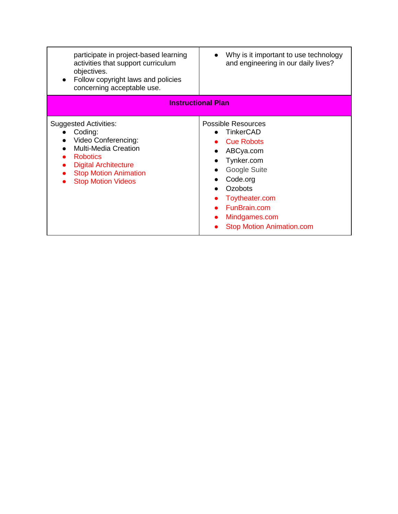| participate in project-based learning<br>activities that support curriculum<br>objectives.<br>Follow copyright laws and policies<br>concerning acceptable use.                                               | Why is it important to use technology<br>and engineering in our daily lives?                                                                                                                                                                                              |
|--------------------------------------------------------------------------------------------------------------------------------------------------------------------------------------------------------------|---------------------------------------------------------------------------------------------------------------------------------------------------------------------------------------------------------------------------------------------------------------------------|
| <b>Instructional Plan</b>                                                                                                                                                                                    |                                                                                                                                                                                                                                                                           |
| <b>Suggested Activities:</b><br>Coding:<br>Video Conferencing:<br><b>Multi-Media Creation</b><br><b>Robotics</b><br><b>Digital Architecture</b><br><b>Stop Motion Animation</b><br><b>Stop Motion Videos</b> | <b>Possible Resources</b><br><b>TinkerCAD</b><br><b>Cue Robots</b><br>ABCya.com<br>$\bullet$<br>Tynker.com<br>$\bullet$<br>Google Suite<br>Code.org<br><b>Ozobots</b><br>Toytheater.com<br>FunBrain.com<br>$\bullet$<br>Mindgames.com<br><b>Stop Motion Animation.com</b> |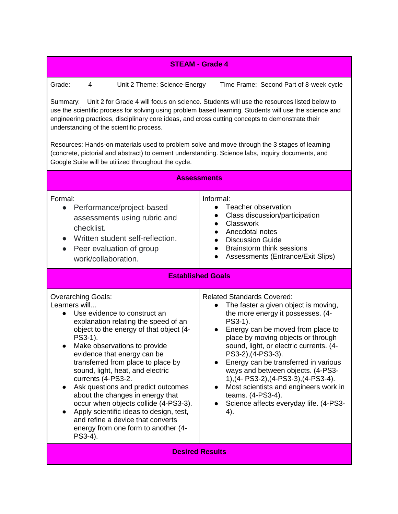| <b>STEAM - Grade 4</b>                                                                                                                                                                                                                                                                                                                                                                                                                                                                                                                                                                                                                                                                                                      |                                                                                                                                                                                                                                                                                                                                                                                                                                                                                                                                      |  |
|-----------------------------------------------------------------------------------------------------------------------------------------------------------------------------------------------------------------------------------------------------------------------------------------------------------------------------------------------------------------------------------------------------------------------------------------------------------------------------------------------------------------------------------------------------------------------------------------------------------------------------------------------------------------------------------------------------------------------------|--------------------------------------------------------------------------------------------------------------------------------------------------------------------------------------------------------------------------------------------------------------------------------------------------------------------------------------------------------------------------------------------------------------------------------------------------------------------------------------------------------------------------------------|--|
| Grade:<br>4<br>Unit 2 Theme: Science-Energy<br>Time Frame: Second Part of 8-week cycle<br>Unit 2 for Grade 4 will focus on science. Students will use the resources listed below to<br><u>Summary:</u><br>use the scientific process for solving using problem based learning. Students will use the science and<br>engineering practices, disciplinary core ideas, and cross cutting concepts to demonstrate their<br>understanding of the scientific process.<br>Resources: Hands-on materials used to problem solve and move through the 3 stages of learning<br>(concrete, pictorial and abstract) to cement understanding. Science labs, inquiry documents, and<br>Google Suite will be utilized throughout the cycle. |                                                                                                                                                                                                                                                                                                                                                                                                                                                                                                                                      |  |
| <b>Assessments</b>                                                                                                                                                                                                                                                                                                                                                                                                                                                                                                                                                                                                                                                                                                          |                                                                                                                                                                                                                                                                                                                                                                                                                                                                                                                                      |  |
| Formal:<br>Performance/project-based<br>●<br>assessments using rubric and<br>checklist.<br>Written student self-reflection.<br>Peer evaluation of group<br>$\bullet$<br>work/collaboration.                                                                                                                                                                                                                                                                                                                                                                                                                                                                                                                                 | Informal:<br>Teacher observation<br>Class discussion/participation<br>Classwork<br>Anecdotal notes<br>$\bullet$<br><b>Discussion Guide</b><br>$\bullet$<br><b>Brainstorm think sessions</b><br>$\bullet$<br>Assessments (Entrance/Exit Slips)                                                                                                                                                                                                                                                                                        |  |
| <b>Established Goals</b>                                                                                                                                                                                                                                                                                                                                                                                                                                                                                                                                                                                                                                                                                                    |                                                                                                                                                                                                                                                                                                                                                                                                                                                                                                                                      |  |
| <b>Overarching Goals:</b><br>Learners will<br>Use evidence to construct an<br>$\bullet$<br>explanation relating the speed of an<br>object to the energy of that object (4-<br>PS3-1).<br>Make observations to provide<br>evidence that energy can be<br>transferred from place to place by<br>sound, light, heat, and electric<br>currents (4-PS3-2.<br>Ask questions and predict outcomes<br>$\bullet$<br>about the changes in energy that<br>occur when objects collide (4-PS3-3).<br>Apply scientific ideas to design, test,<br>and refine a device that converts<br>energy from one form to another (4-<br>PS3-4).                                                                                                      | <b>Related Standards Covered:</b><br>The faster a given object is moving,<br>$\bullet$<br>the more energy it possesses. (4-<br>PS3-1).<br>Energy can be moved from place to<br>place by moving objects or through<br>sound, light, or electric currents. (4-<br>PS3-2), (4-PS3-3).<br>Energy can be transferred in various<br>ways and between objects. (4-PS3-<br>1), (4- PS3-2), (4-PS3-3), (4-PS3-4).<br>Most scientists and engineers work in<br>$\bullet$<br>teams. (4-PS3-4).<br>Science affects everyday life. (4-PS3-<br>4). |  |
| <b>Desired Results</b>                                                                                                                                                                                                                                                                                                                                                                                                                                                                                                                                                                                                                                                                                                      |                                                                                                                                                                                                                                                                                                                                                                                                                                                                                                                                      |  |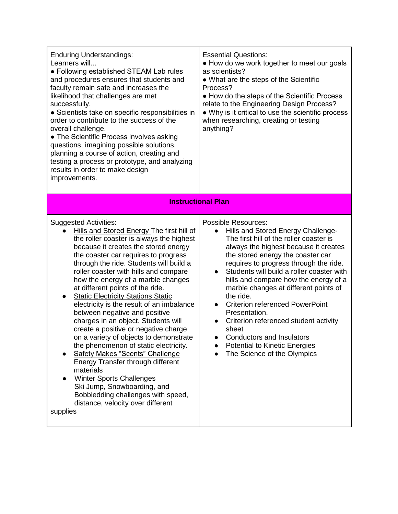| <b>Enduring Understandings:</b><br>Learners will<br>• Following established STEAM Lab rules<br>and procedures ensures that students and<br>faculty remain safe and increases the<br>likelihood that challenges are met<br>successfully.<br>• Scientists take on specific responsibilities in<br>order to contribute to the success of the<br>overall challenge.<br>• The Scientific Process involves asking<br>questions, imagining possible solutions,<br>planning a course of action, creating and<br>testing a process or prototype, and analyzing<br>results in order to make design<br>improvements.                                                                                                                                                                                                                                                                                                                   | <b>Essential Questions:</b><br>• How do we work together to meet our goals<br>as scientists?<br>• What are the steps of the Scientific<br>Process?<br>• How do the steps of the Scientific Process<br>relate to the Engineering Design Process?<br>• Why is it critical to use the scientific process<br>when researching, creating or testing<br>anything?                                                                                                                                                                                                                                                          |
|-----------------------------------------------------------------------------------------------------------------------------------------------------------------------------------------------------------------------------------------------------------------------------------------------------------------------------------------------------------------------------------------------------------------------------------------------------------------------------------------------------------------------------------------------------------------------------------------------------------------------------------------------------------------------------------------------------------------------------------------------------------------------------------------------------------------------------------------------------------------------------------------------------------------------------|----------------------------------------------------------------------------------------------------------------------------------------------------------------------------------------------------------------------------------------------------------------------------------------------------------------------------------------------------------------------------------------------------------------------------------------------------------------------------------------------------------------------------------------------------------------------------------------------------------------------|
|                                                                                                                                                                                                                                                                                                                                                                                                                                                                                                                                                                                                                                                                                                                                                                                                                                                                                                                             | <b>Instructional Plan</b>                                                                                                                                                                                                                                                                                                                                                                                                                                                                                                                                                                                            |
| <b>Suggested Activities:</b><br>Hills and Stored Energy The first hill of<br>the roller coaster is always the highest<br>because it creates the stored energy<br>the coaster car requires to progress<br>through the ride. Students will build a<br>roller coaster with hills and compare<br>how the energy of a marble changes<br>at different points of the ride.<br><b>Static Electricity Stations Static</b><br>$\bullet$<br>electricity is the result of an imbalance<br>between negative and positive<br>charges in an object. Students will<br>create a positive or negative charge<br>on a variety of objects to demonstrate<br>the phenomenon of static electricity.<br>Safety Makes "Scents" Challenge<br>Energy Transfer through different<br>materials<br><b>Winter Sports Challenges</b><br>Ski Jump, Snowboarding, and<br>Bobbledding challenges with speed,<br>distance, velocity over different<br>supplies | <b>Possible Resources:</b><br>Hills and Stored Energy Challenge-<br>The first hill of the roller coaster is<br>always the highest because it creates<br>the stored energy the coaster car<br>requires to progress through the ride.<br>Students will build a roller coaster with<br>$\bullet$<br>hills and compare how the energy of a<br>marble changes at different points of<br>the ride.<br><b>Criterion referenced PowerPoint</b><br>Presentation.<br>Criterion referenced student activity<br>sheet<br><b>Conductors and Insulators</b><br><b>Potential to Kinetic Energies</b><br>The Science of the Olympics |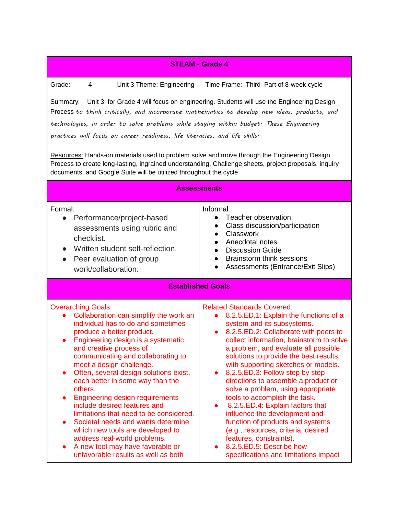| <b>STEAM - Grade 4</b>                                                                                                                                                                                                                                                                                                                                                                                                                                                                                                                                                                                                                                                                                                                               |                                                                                                                                                                                                                                                                                                                                                                                                                                                                                                                                                                                                                                                                                                                                                   |  |
|------------------------------------------------------------------------------------------------------------------------------------------------------------------------------------------------------------------------------------------------------------------------------------------------------------------------------------------------------------------------------------------------------------------------------------------------------------------------------------------------------------------------------------------------------------------------------------------------------------------------------------------------------------------------------------------------------------------------------------------------------|---------------------------------------------------------------------------------------------------------------------------------------------------------------------------------------------------------------------------------------------------------------------------------------------------------------------------------------------------------------------------------------------------------------------------------------------------------------------------------------------------------------------------------------------------------------------------------------------------------------------------------------------------------------------------------------------------------------------------------------------------|--|
| Grade:<br>4<br>Unit 3 Theme: Engineering<br>Time Frame: Third Part of 8-week cycle<br><b>Summary:</b> Unit 3 for Grade 4 will focus on engineering. Students will use the Engineering Design<br>Process to think critically, and incorporate mathematics to develop new ideas, products, and<br>technologies, in order to solve problems while staying within budget· These Engineering<br>practices will focus on career readiness, life literacies, and life skills.<br>Resources: Hands-on materials used to problem solve and move through the Engineering Design<br>Process to create long-lasting, ingrained understanding. Challenge sheets, project proposals, inquiry<br>documents, and Google Suite will be utilized throughout the cycle. |                                                                                                                                                                                                                                                                                                                                                                                                                                                                                                                                                                                                                                                                                                                                                   |  |
| <b>Assessments</b>                                                                                                                                                                                                                                                                                                                                                                                                                                                                                                                                                                                                                                                                                                                                   |                                                                                                                                                                                                                                                                                                                                                                                                                                                                                                                                                                                                                                                                                                                                                   |  |
| Formal:<br>Performance/project-based<br>$\bullet$<br>assessments using rubric and<br>checklist.<br>Written student self-reflection.<br>$\bullet$<br>Peer evaluation of group<br>$\bullet$<br>work/collaboration.                                                                                                                                                                                                                                                                                                                                                                                                                                                                                                                                     | Informal:<br>Teacher observation<br>Class discussion/participation<br>Classwork<br>Anecdotal notes<br><b>Discussion Guide</b><br><b>Brainstorm think sessions</b><br>$\bullet$<br>Assessments (Entrance/Exit Slips)                                                                                                                                                                                                                                                                                                                                                                                                                                                                                                                               |  |
| <b>Established Goals</b>                                                                                                                                                                                                                                                                                                                                                                                                                                                                                                                                                                                                                                                                                                                             |                                                                                                                                                                                                                                                                                                                                                                                                                                                                                                                                                                                                                                                                                                                                                   |  |
| <b>Overarching Goals:</b><br>Collaboration can simplify the work an<br>individual has to do and sometimes<br>produce a better product.<br>Engineering design is a systematic<br>$\bullet$<br>and creative process of<br>communicating and collaborating to<br>meet a design challenge.<br>Often, several design solutions exist,<br>each better in some way than the<br>others.<br><b>Engineering design requirements</b><br>include desired features and<br>limitations that need to be considered.<br>Societal needs and wants determine<br>$\bullet$<br>which new tools are developed to<br>address real-world problems.<br>A new tool may have favorable or<br>unfavorable results as well as both                                               | <b>Related Standards Covered:</b><br>8.2.5.ED.1: Explain the functions of a<br>$\bullet$<br>system and its subsystems.<br>8.2.5.ED.2: Collaborate with peers to<br>collect information, brainstorm to solve<br>a problem, and evaluate all possible<br>solutions to provide the best results<br>with supporting sketches or models.<br>8.2.5.ED.3: Follow step by step<br>$\bullet$<br>directions to assemble a product or<br>solve a problem, using appropriate<br>tools to accomplish the task.<br>8.2.5.ED.4: Explain factors that<br>influence the development and<br>function of products and systems<br>(e.g., resources, criteria, desired<br>features, constraints).<br>8.2.5.ED.5: Describe how<br>specifications and limitations impact |  |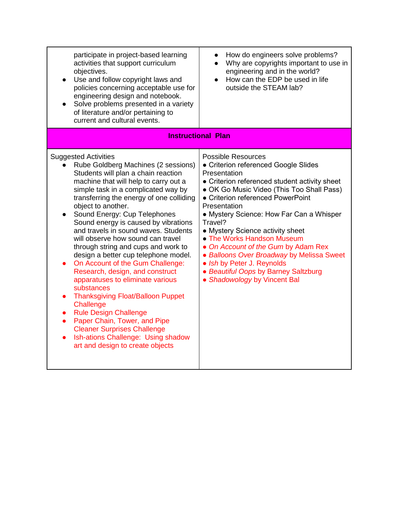| participate in project-based learning<br>activities that support curriculum<br>objectives.<br>Use and follow copyright laws and<br>policies concerning acceptable use for<br>engineering design and notebook.<br>Solve problems presented in a variety<br>of literature and/or pertaining to<br>current and cultural events.                                                                                                                                                                                                                                                                                                                                                                                                                                                                                                                                                                                          | How do engineers solve problems?<br>$\bullet$<br>Why are copyrights important to use in<br>$\bullet$<br>engineering and in the world?<br>How can the EDP be used in life<br>$\bullet$<br>outside the STEAM lab?                                                                                                                                                                                                                                                                                                                                         |
|-----------------------------------------------------------------------------------------------------------------------------------------------------------------------------------------------------------------------------------------------------------------------------------------------------------------------------------------------------------------------------------------------------------------------------------------------------------------------------------------------------------------------------------------------------------------------------------------------------------------------------------------------------------------------------------------------------------------------------------------------------------------------------------------------------------------------------------------------------------------------------------------------------------------------|---------------------------------------------------------------------------------------------------------------------------------------------------------------------------------------------------------------------------------------------------------------------------------------------------------------------------------------------------------------------------------------------------------------------------------------------------------------------------------------------------------------------------------------------------------|
|                                                                                                                                                                                                                                                                                                                                                                                                                                                                                                                                                                                                                                                                                                                                                                                                                                                                                                                       | <b>Instructional Plan</b>                                                                                                                                                                                                                                                                                                                                                                                                                                                                                                                               |
| <b>Suggested Activities</b><br>Rube Goldberg Machines (2 sessions)<br>Students will plan a chain reaction<br>machine that will help to carry out a<br>simple task in a complicated way by<br>transferring the energy of one colliding<br>object to another.<br>Sound Energy: Cup Telephones<br>Sound energy is caused by vibrations<br>and travels in sound waves. Students<br>will observe how sound can travel<br>through string and cups and work to<br>design a better cup telephone model.<br>On Account of the Gum Challenge:<br>Research, design, and construct<br>apparatuses to eliminate various<br>substances<br><b>Thanksgiving Float/Balloon Puppet</b><br>$\bullet$<br>Challenge<br><b>Rule Design Challenge</b><br>$\bullet$<br>Paper Chain, Tower, and Pipe<br>$\bullet$<br><b>Cleaner Surprises Challenge</b><br>Ish-ations Challenge: Using shadow<br>$\bullet$<br>art and design to create objects | <b>Possible Resources</b><br>• Criterion referenced Google Slides<br>Presentation<br>• Criterion referenced student activity sheet<br>• OK Go Music Video (This Too Shall Pass)<br>• Criterion referenced PowerPoint<br>Presentation<br>• Mystery Science: How Far Can a Whisper<br>Travel?<br>• Mystery Science activity sheet<br>• The Works Handson Museum<br>• On Account of the Gum by Adam Rex<br>• Balloons Over Broadway by Melissa Sweet<br>• Ish by Peter J. Reynolds<br>• Beautiful Oops by Barney Saltzburg<br>• Shadowology by Vincent Bal |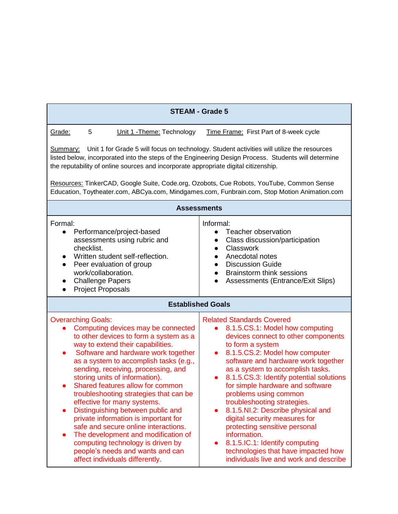| <b>STEAM - Grade 5</b>                                                                                                                                                                                                                                                                                                                                                                                                                                                                                                                                                                                                                                                                                                  |                                                                                                                                                                                                                                                                                                                                                                                                                                                                                                                                                                                                                                                         |  |
|-------------------------------------------------------------------------------------------------------------------------------------------------------------------------------------------------------------------------------------------------------------------------------------------------------------------------------------------------------------------------------------------------------------------------------------------------------------------------------------------------------------------------------------------------------------------------------------------------------------------------------------------------------------------------------------------------------------------------|---------------------------------------------------------------------------------------------------------------------------------------------------------------------------------------------------------------------------------------------------------------------------------------------------------------------------------------------------------------------------------------------------------------------------------------------------------------------------------------------------------------------------------------------------------------------------------------------------------------------------------------------------------|--|
| Grade:<br>5<br>Unit 1 - Theme: Technology                                                                                                                                                                                                                                                                                                                                                                                                                                                                                                                                                                                                                                                                               | Time Frame: First Part of 8-week cycle                                                                                                                                                                                                                                                                                                                                                                                                                                                                                                                                                                                                                  |  |
| Unit 1 for Grade 5 will focus on technology. Student activities will utilize the resources<br>Summary:<br>listed below, incorporated into the steps of the Engineering Design Process. Students will determine<br>the reputability of online sources and incorporate appropriate digital citizenship.                                                                                                                                                                                                                                                                                                                                                                                                                   |                                                                                                                                                                                                                                                                                                                                                                                                                                                                                                                                                                                                                                                         |  |
| Resources: TinkerCAD, Google Suite, Code.org, Ozobots, Cue Robots, YouTube, Common Sense<br>Education, Toytheater.com, ABCya.com, Mindgames.com, Funbrain.com, Stop Motion Animation.com                                                                                                                                                                                                                                                                                                                                                                                                                                                                                                                                |                                                                                                                                                                                                                                                                                                                                                                                                                                                                                                                                                                                                                                                         |  |
|                                                                                                                                                                                                                                                                                                                                                                                                                                                                                                                                                                                                                                                                                                                         | <b>Assessments</b>                                                                                                                                                                                                                                                                                                                                                                                                                                                                                                                                                                                                                                      |  |
| Formal:<br>Performance/project-based<br>$\bullet$<br>assessments using rubric and<br>checklist.<br>Written student self-reflection.<br>Peer evaluation of group<br>work/collaboration.<br><b>Challenge Papers</b><br>$\bullet$<br><b>Project Proposals</b><br>$\bullet$                                                                                                                                                                                                                                                                                                                                                                                                                                                 | Informal:<br>Teacher observation<br>$\bullet$<br>Class discussion/participation<br>$\bullet$<br>Classwork<br>Anecdotal notes<br><b>Discussion Guide</b><br><b>Brainstorm think sessions</b><br>$\bullet$<br>Assessments (Entrance/Exit Slips)                                                                                                                                                                                                                                                                                                                                                                                                           |  |
| <b>Established Goals</b>                                                                                                                                                                                                                                                                                                                                                                                                                                                                                                                                                                                                                                                                                                |                                                                                                                                                                                                                                                                                                                                                                                                                                                                                                                                                                                                                                                         |  |
| <b>Overarching Goals:</b><br>Computing devices may be connected<br>$\bullet$<br>to other devices to form a system as a<br>way to extend their capabilities.<br>Software and hardware work together<br>$\bullet$<br>as a system to accomplish tasks (e.g.,<br>sending, receiving, processing, and<br>storing units of information).<br>Shared features allow for common<br>troubleshooting strategies that can be<br>effective for many systems.<br>Distinguishing between public and<br>private information is important for<br>safe and secure online interactions.<br>The development and modification of<br>computing technology is driven by<br>people's needs and wants and can<br>affect individuals differently. | <b>Related Standards Covered</b><br>8.1.5.CS.1: Model how computing<br>$\bullet$<br>devices connect to other components<br>to form a system<br>8.1.5.CS.2: Model how computer<br>$\bullet$<br>software and hardware work together<br>as a system to accomplish tasks.<br>8.1.5.CS.3: Identify potential solutions<br>for simple hardware and software<br>problems using common<br>troubleshooting strategies.<br>8.1.5.NI.2: Describe physical and<br>digital security measures for<br>protecting sensitive personal<br>information.<br>8.1.5.IC.1: Identify computing<br>technologies that have impacted how<br>individuals live and work and describe |  |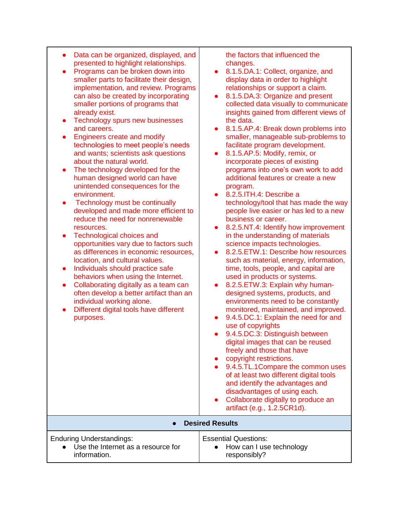| Data can be organized, displayed, and |
|---------------------------------------|
| presented to highlight relationships. |

- Programs can be broken down into smaller parts to facilitate their design, implementation, and review. Programs can also be created by incorporating smaller portions of programs that already exist.
- Technology spurs new businesses and careers.
- Engineers create and modify technologies to meet people's needs and wants; scientists ask questions about the natural world.
- The technology developed for the human designed world can have unintended consequences for the environment.
- Technology must be continually developed and made more efficient to reduce the need for nonrenewable resources.
- Technological choices and opportunities vary due to factors such as differences in economic resources, location, and cultural values.
- Individuals should practice safe behaviors when using the Internet.
- Collaborating digitally as a team can often develop a better artifact than an individual working alone.
- Different digital tools have different purposes.

the factors that influenced the changes.

- 8.1.5.DA.1: Collect, organize, and display data in order to highlight relationships or support a claim.
- 8.1.5.DA.3: Organize and present collected data visually to communicate insights gained from different views of the data.
- 8.1.5.AP.4: Break down problems into smaller, manageable sub-problems to facilitate program development.
- 8.1.5.AP.5: Modify, remix, or incorporate pieces of existing programs into one's own work to add additional features or create a new program.
- 8.2.5.ITH.4: Describe a technology/tool that has made the way people live easier or has led to a new business or career.
- 8.2.5.NT.4: Identify how improvement in the understanding of materials science impacts technologies.
- 8.2.5.ETW.1: Describe how resources such as material, energy, information, time, tools, people, and capital are used in products or systems.
- 8.2.5. ETW. 3: Explain why humandesigned systems, products, and environments need to be constantly monitored, maintained, and improved.
- 9.4.5.DC.1: Explain the need for and use of copyrights
- 9.4.5.DC.3: Distinguish between digital images that can be reused freely and those that have
- copyright restrictions.
- 9.4.5.TL.1Compare the common uses of at least two different digital tools and identify the advantages and disadvantages of using each.
- Collaborate digitally to produce an artifact (e.g., 1.2.5CR1d).

# ● **Desired Results**

| <b>Enduring Understandings:</b>      | <b>Essential Questions:</b> |
|--------------------------------------|-----------------------------|
| • Use the Internet as a resource for | • How can I use technology  |
| information.                         | responsibly?                |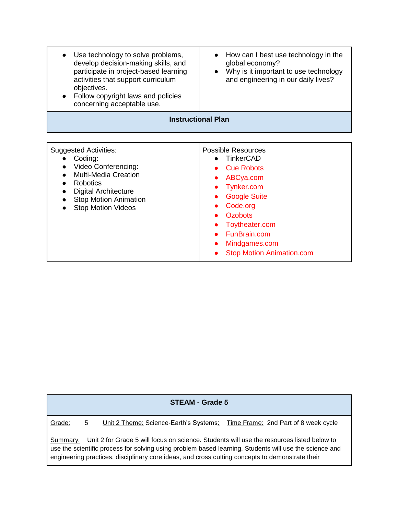| Use technology to solve problems,<br>develop decision-making skills, and<br>participate in project-based learning<br>activities that support curriculum<br>objectives.<br>Follow copyright laws and policies<br>concerning acceptable use. | How can I best use technology in the<br>global economy?<br>Why is it important to use technology<br>and engineering in our daily lives?            |
|--------------------------------------------------------------------------------------------------------------------------------------------------------------------------------------------------------------------------------------------|----------------------------------------------------------------------------------------------------------------------------------------------------|
|                                                                                                                                                                                                                                            | <b>Instructional Plan</b>                                                                                                                          |
| <b>Suggested Activities:</b><br>Coding:<br>Video Conferencing:<br><b>Multi-Media Creation</b><br><b>Robotics</b><br><b>Digital Architecture</b><br><b>Stop Motion Animation</b><br><b>Stop Motion Videos</b>                               | <b>Possible Resources</b><br><b>TinkerCAD</b><br><b>Cue Robots</b><br>ABCya.com<br>Tynker.com<br><b>Google Suite</b><br>Code.org<br><b>Ozobots</b> |
|                                                                                                                                                                                                                                            | Toytheater.com<br>FunBrain.com                                                                                                                     |

Mindgames.com

● Stop Motion Animation.com

## **STEAM - Grade 5**

Grade: 5 Unit 2 Theme: Science-Earth's Systems: Time Frame: 2nd Part of 8 week cycle

Summary: Unit 2 for Grade 5 will focus on science. Students will use the resources listed below to use the scientific process for solving using problem based learning. Students will use the science and engineering practices, disciplinary core ideas, and cross cutting concepts to demonstrate their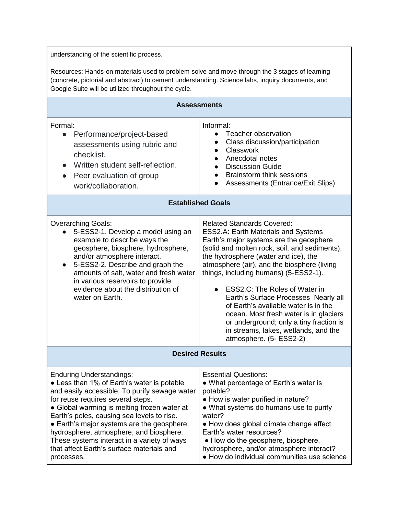understanding of the scientific process.

Resources: Hands-on materials used to problem solve and move through the 3 stages of learning (concrete, pictorial and abstract) to cement understanding. Science labs, inquiry documents, and Google Suite will be utilized throughout the cycle.

| <b>Assessments</b>                                                                                                                                                                                                                                                                                                                                                                                                                                                  |                                                                                                                                                                                                                                                                                                                                                                                                                                                                                                                                                                               |  |
|---------------------------------------------------------------------------------------------------------------------------------------------------------------------------------------------------------------------------------------------------------------------------------------------------------------------------------------------------------------------------------------------------------------------------------------------------------------------|-------------------------------------------------------------------------------------------------------------------------------------------------------------------------------------------------------------------------------------------------------------------------------------------------------------------------------------------------------------------------------------------------------------------------------------------------------------------------------------------------------------------------------------------------------------------------------|--|
| Formal:<br>Performance/project-based<br>$\bullet$<br>assessments using rubric and<br>checklist.<br>Written student self-reflection.<br>Peer evaluation of group<br>work/collaboration.                                                                                                                                                                                                                                                                              | Informal:<br>Teacher observation<br>$\bullet$<br>Class discussion/participation<br>$\bullet$<br><b>Classwork</b><br>$\bullet$<br>Anecdotal notes<br>$\bullet$<br><b>Discussion Guide</b><br>$\bullet$<br><b>Brainstorm think sessions</b><br>$\bullet$<br>Assessments (Entrance/Exit Slips)                                                                                                                                                                                                                                                                                   |  |
| <b>Established Goals</b>                                                                                                                                                                                                                                                                                                                                                                                                                                            |                                                                                                                                                                                                                                                                                                                                                                                                                                                                                                                                                                               |  |
| <b>Overarching Goals:</b><br>5-ESS2-1. Develop a model using an<br>example to describe ways the<br>geosphere, biosphere, hydrosphere,<br>and/or atmosphere interact.<br>5-ESS2-2. Describe and graph the<br>$\bullet$<br>amounts of salt, water and fresh water<br>in various reservoirs to provide<br>evidence about the distribution of<br>water on Earth.                                                                                                        | <b>Related Standards Covered:</b><br>ESS2.A: Earth Materials and Systems<br>Earth's major systems are the geosphere<br>(solid and molten rock, soil, and sediments),<br>the hydrosphere (water and ice), the<br>atmosphere (air), and the biosphere (living<br>things, including humans) (5-ESS2-1).<br>ESS2.C: The Roles of Water in<br>Earth's Surface Processes Nearly all<br>of Earth's available water is in the<br>ocean. Most fresh water is in glaciers<br>or underground; only a tiny fraction is<br>in streams, lakes, wetlands, and the<br>atmosphere. (5- ESS2-2) |  |
| <b>Desired Results</b>                                                                                                                                                                                                                                                                                                                                                                                                                                              |                                                                                                                                                                                                                                                                                                                                                                                                                                                                                                                                                                               |  |
| <b>Enduring Understandings:</b><br>• Less than 1% of Earth's water is potable<br>and easily accessible. To purify sewage water<br>for reuse requires several steps.<br>• Global warming is melting frozen water at<br>Earth's poles, causing sea levels to rise.<br>• Earth's major systems are the geosphere,<br>hydrosphere, atmosphere, and biosphere.<br>These systems interact in a variety of ways<br>that affect Earth's surface materials and<br>processes. | <b>Essential Questions:</b><br>• What percentage of Earth's water is<br>potable?<br>• How is water purified in nature?<br>• What systems do humans use to purify<br>water?<br>• How does global climate change affect<br>Earth's water resources?<br>• How do the geosphere, biosphere,<br>hydrosphere, and/or atmosphere interact?<br>• How do individual communities use science                                                                                                                                                                                            |  |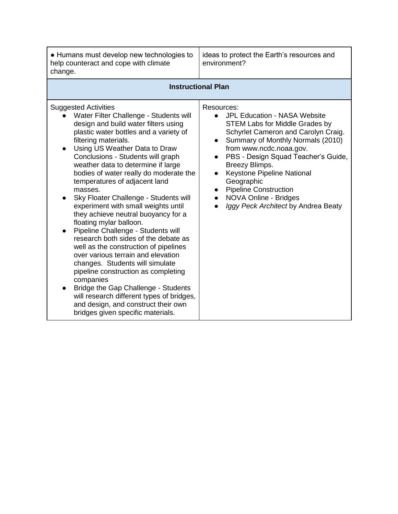| • Humans must develop new technologies to<br>help counteract and cope with climate<br>change.                                                                                                                                                                                                                                                                                                                                                                                                                                                                                                                                                                                                                                                                                                                                                                                                                                                                        | ideas to protect the Earth's resources and<br>environment?                                                                                                                                                                                                                                                                                                                                                                 |  |
|----------------------------------------------------------------------------------------------------------------------------------------------------------------------------------------------------------------------------------------------------------------------------------------------------------------------------------------------------------------------------------------------------------------------------------------------------------------------------------------------------------------------------------------------------------------------------------------------------------------------------------------------------------------------------------------------------------------------------------------------------------------------------------------------------------------------------------------------------------------------------------------------------------------------------------------------------------------------|----------------------------------------------------------------------------------------------------------------------------------------------------------------------------------------------------------------------------------------------------------------------------------------------------------------------------------------------------------------------------------------------------------------------------|--|
| <b>Instructional Plan</b>                                                                                                                                                                                                                                                                                                                                                                                                                                                                                                                                                                                                                                                                                                                                                                                                                                                                                                                                            |                                                                                                                                                                                                                                                                                                                                                                                                                            |  |
| <b>Suggested Activities</b><br>Water Filter Challenge - Students will<br>design and build water filters using<br>plastic water bottles and a variety of<br>filtering materials.<br>Using US Weather Data to Draw<br>$\bullet$<br>Conclusions - Students will graph<br>weather data to determine if large<br>bodies of water really do moderate the<br>temperatures of adjacent land<br>masses.<br>Sky Floater Challenge - Students will<br>experiment with small weights until<br>they achieve neutral buoyancy for a<br>floating mylar balloon.<br>Pipeline Challenge - Students will<br>research both sides of the debate as<br>well as the construction of pipelines<br>over various terrain and elevation<br>changes. Students will simulate<br>pipeline construction as completing<br>companies<br>Bridge the Gap Challenge - Students<br>will research different types of bridges,<br>and design, and construct their own<br>bridges given specific materials. | Resources:<br><b>JPL Education - NASA Website</b><br><b>STEM Labs for Middle Grades by</b><br>Schyrlet Cameron and Carolyn Craig.<br>Summary of Monthly Normals (2010)<br>from www.ncdc.noaa.gov.<br>PBS - Design Squad Teacher's Guide,<br>Breezy Blimps.<br><b>Keystone Pipeline National</b><br>Geographic<br><b>Pipeline Construction</b><br>$\bullet$<br>NOVA Online - Bridges<br>Iggy Peck Architect by Andrea Beaty |  |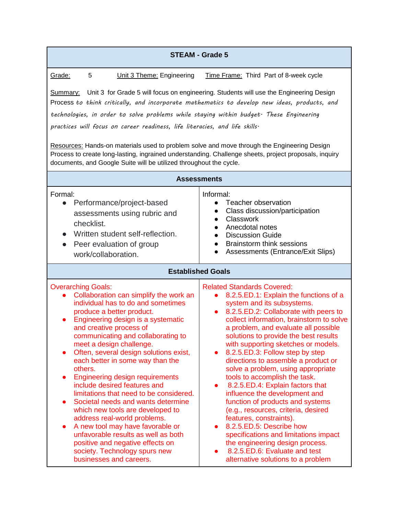Grade: 5 Unit 3 Theme: Engineering Time Frame: Third Part of 8-week cycle

Summary: Unit 3 for Grade 5 will focus on engineering. Students will use the Engineering Design Process *to think critically, and incorporate mathematics to develop new ideas, products, and technologies, in order to solve problems while staying within budget. These Engineering practices will focus on career readiness, life literacies, and life skills.*

Resources: Hands-on materials used to problem solve and move through the Engineering Design Process to create long-lasting, ingrained understanding. Challenge sheets, project proposals, inquiry documents, and Google Suite will be utilized throughout the cycle.

| <b>Assessments</b>                                                                                                                                                                                                                                                                                                                                                                                                                                                                                                                                                                                                                                                                                                                                                                                                  |                                                                                                                                                                                                                                                                                                                                                                                                                                                                                                                                                                                                                                                                                                                                                                                                                                                                          |
|---------------------------------------------------------------------------------------------------------------------------------------------------------------------------------------------------------------------------------------------------------------------------------------------------------------------------------------------------------------------------------------------------------------------------------------------------------------------------------------------------------------------------------------------------------------------------------------------------------------------------------------------------------------------------------------------------------------------------------------------------------------------------------------------------------------------|--------------------------------------------------------------------------------------------------------------------------------------------------------------------------------------------------------------------------------------------------------------------------------------------------------------------------------------------------------------------------------------------------------------------------------------------------------------------------------------------------------------------------------------------------------------------------------------------------------------------------------------------------------------------------------------------------------------------------------------------------------------------------------------------------------------------------------------------------------------------------|
| Formal:<br>Performance/project-based<br>$\bullet$<br>assessments using rubric and<br>checklist.<br>Written student self-reflection.<br>$\bullet$<br>Peer evaluation of group<br>work/collaboration.                                                                                                                                                                                                                                                                                                                                                                                                                                                                                                                                                                                                                 | Informal:<br>Teacher observation<br>$\bullet$<br>Class discussion/participation<br>$\bullet$<br><b>Classwork</b><br>$\bullet$<br>Anecdotal notes<br>$\bullet$<br><b>Discussion Guide</b><br>$\bullet$<br><b>Brainstorm think sessions</b><br>$\bullet$<br>Assessments (Entrance/Exit Slips)                                                                                                                                                                                                                                                                                                                                                                                                                                                                                                                                                                              |
| <b>Established Goals</b>                                                                                                                                                                                                                                                                                                                                                                                                                                                                                                                                                                                                                                                                                                                                                                                            |                                                                                                                                                                                                                                                                                                                                                                                                                                                                                                                                                                                                                                                                                                                                                                                                                                                                          |
| <b>Overarching Goals:</b><br>Collaboration can simplify the work an<br>individual has to do and sometimes<br>produce a better product.<br>Engineering design is a systematic<br>$\bullet$<br>and creative process of<br>communicating and collaborating to<br>meet a design challenge.<br>Often, several design solutions exist,<br>$\bullet$<br>each better in some way than the<br>others.<br><b>Engineering design requirements</b><br>include desired features and<br>limitations that need to be considered.<br>Societal needs and wants determine<br>$\bullet$<br>which new tools are developed to<br>address real-world problems.<br>A new tool may have favorable or<br>unfavorable results as well as both<br>positive and negative effects on<br>society. Technology spurs new<br>businesses and careers. | <b>Related Standards Covered:</b><br>8.2.5.ED.1: Explain the functions of a<br>$\bullet$<br>system and its subsystems.<br>8.2.5.ED.2: Collaborate with peers to<br>$\bullet$<br>collect information, brainstorm to solve<br>a problem, and evaluate all possible<br>solutions to provide the best results<br>with supporting sketches or models.<br>8.2.5.ED.3: Follow step by step<br>directions to assemble a product or<br>solve a problem, using appropriate<br>tools to accomplish the task.<br>8.2.5.ED.4: Explain factors that<br>$\bullet$<br>influence the development and<br>function of products and systems<br>(e.g., resources, criteria, desired<br>features, constraints).<br>8.2.5.ED.5: Describe how<br>specifications and limitations impact<br>the engineering design process.<br>8.2.5.ED.6: Evaluate and test<br>alternative solutions to a problem |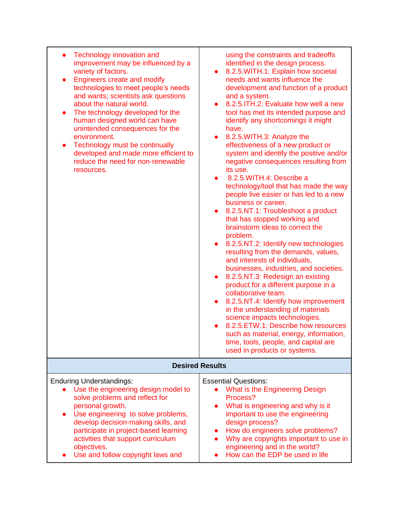| Technology innovation and<br>improvement may be influenced by a<br>variety of factors.<br><b>Engineers create and modify</b><br>$\bullet$<br>technologies to meet people's needs<br>and wants; scientists ask questions<br>about the natural world.<br>The technology developed for the<br>$\bullet$<br>human designed world can have<br>unintended consequences for the<br>environment.<br>Technology must be continually<br>$\bullet$<br>developed and made more efficient to<br>reduce the need for non-renewable<br>resources. | using the constraints and tradeoffs<br>identified in the design process.<br>8.2.5. WITH.1: Explain how societal<br>$\bullet$<br>needs and wants influence the<br>development and function of a product<br>and a system.<br>8.2.5. ITH.2: Evaluate how well a new<br>$\bullet$<br>tool has met its intended purpose and<br>identify any shortcomings it might<br>have.<br>8.2.5. WITH.3: Analyze the<br>$\bullet$<br>effectiveness of a new product or<br>system and identify the positive and/or<br>negative consequences resulting from<br>its use.<br>8.2.5. WITH.4: Describe a<br>$\bullet$<br>technology/tool that has made the way<br>people live easier or has led to a new<br>business or career.<br>8.2.5.NT.1: Troubleshoot a product<br>$\bullet$<br>that has stopped working and<br>brainstorm ideas to correct the<br>problem.<br>8.2.5.NT.2: Identify new technologies<br>resulting from the demands, values,<br>and interests of individuals,<br>businesses, industries, and societies.<br>8.2.5.NT.3: Redesign an existing<br>$\bullet$<br>product for a different purpose in a<br>collaborative team.<br>8.2.5.NT.4: Identify how improvement<br>$\bullet$<br>in the understanding of materials<br>science impacts technologies.<br>8.2.5. ETW.1: Describe how resources<br>such as material, energy, information,<br>time, tools, people, and capital are<br>used in products or systems. |
|------------------------------------------------------------------------------------------------------------------------------------------------------------------------------------------------------------------------------------------------------------------------------------------------------------------------------------------------------------------------------------------------------------------------------------------------------------------------------------------------------------------------------------|------------------------------------------------------------------------------------------------------------------------------------------------------------------------------------------------------------------------------------------------------------------------------------------------------------------------------------------------------------------------------------------------------------------------------------------------------------------------------------------------------------------------------------------------------------------------------------------------------------------------------------------------------------------------------------------------------------------------------------------------------------------------------------------------------------------------------------------------------------------------------------------------------------------------------------------------------------------------------------------------------------------------------------------------------------------------------------------------------------------------------------------------------------------------------------------------------------------------------------------------------------------------------------------------------------------------------------------------------------------------------------------------------------|
| <b>Desired Results</b>                                                                                                                                                                                                                                                                                                                                                                                                                                                                                                             |                                                                                                                                                                                                                                                                                                                                                                                                                                                                                                                                                                                                                                                                                                                                                                                                                                                                                                                                                                                                                                                                                                                                                                                                                                                                                                                                                                                                            |
| <b>Enduring Understandings:</b><br>Use the engineering design model to<br>solve problems and reflect for<br>personal growth.<br>Use engineering to solve problems,<br>develop decision-making skills, and<br>participate in project-based learning<br>activities that support curriculum<br>objectives.<br>Use and follow copyright laws and                                                                                                                                                                                       | <b>Essential Questions:</b><br>What is the Engineering Design<br>Process?<br>What is engineering and why is it<br>important to use the engineering<br>design process?<br>How do engineers solve problems?<br>Why are copyrights important to use in<br>engineering and in the world?<br>How can the EDP be used in life                                                                                                                                                                                                                                                                                                                                                                                                                                                                                                                                                                                                                                                                                                                                                                                                                                                                                                                                                                                                                                                                                    |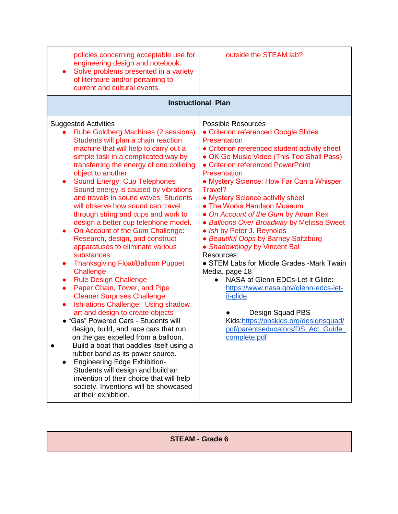| policies concerning acceptable use for<br>engineering design and notebook.<br>Solve problems presented in a variety<br>of literature and/or pertaining to<br>current and cultural events.                                                                                                                                                                                                                                                                                                                                                                                                                                                                                                                                                                                                                                                                                                                                                                                                                                                                                                                                                                                                                                                                                                                                                                      | outside the STEAM lab?                                                                                                                                                                                                                                                                                                                                                                                                                                                                                                                                                                                                                                                                                                                                                                                                                          |
|----------------------------------------------------------------------------------------------------------------------------------------------------------------------------------------------------------------------------------------------------------------------------------------------------------------------------------------------------------------------------------------------------------------------------------------------------------------------------------------------------------------------------------------------------------------------------------------------------------------------------------------------------------------------------------------------------------------------------------------------------------------------------------------------------------------------------------------------------------------------------------------------------------------------------------------------------------------------------------------------------------------------------------------------------------------------------------------------------------------------------------------------------------------------------------------------------------------------------------------------------------------------------------------------------------------------------------------------------------------|-------------------------------------------------------------------------------------------------------------------------------------------------------------------------------------------------------------------------------------------------------------------------------------------------------------------------------------------------------------------------------------------------------------------------------------------------------------------------------------------------------------------------------------------------------------------------------------------------------------------------------------------------------------------------------------------------------------------------------------------------------------------------------------------------------------------------------------------------|
| <b>Instructional Plan</b>                                                                                                                                                                                                                                                                                                                                                                                                                                                                                                                                                                                                                                                                                                                                                                                                                                                                                                                                                                                                                                                                                                                                                                                                                                                                                                                                      |                                                                                                                                                                                                                                                                                                                                                                                                                                                                                                                                                                                                                                                                                                                                                                                                                                                 |
| <b>Suggested Activities</b><br><b>Rube Goldberg Machines (2 sessions)</b><br>Students will plan a chain reaction<br>machine that will help to carry out a<br>simple task in a complicated way by<br>transferring the energy of one colliding<br>object to another.<br><b>Sound Energy: Cup Telephones</b><br>$\bullet$<br>Sound energy is caused by vibrations<br>and travels in sound waves. Students<br>will observe how sound can travel<br>through string and cups and work to<br>design a better cup telephone model.<br>On Account of the Gum Challenge:<br>$\bullet$<br>Research, design, and construct<br>apparatuses to eliminate various<br>substances<br><b>Thanksgiving Float/Balloon Puppet</b><br>$\bullet$<br>Challenge<br><b>Rule Design Challenge</b><br>$\bullet$<br>Paper Chain, Tower, and Pipe<br>$\bullet$<br><b>Cleaner Surprises Challenge</b><br>Ish-ations Challenge: Using shadow<br>$\bullet$<br>art and design to create objects<br>• "Gas" Powered Cars - Students will<br>design, build, and race cars that run<br>on the gas expelled from a balloon.<br>Build a boat that paddles itself using a<br>rubber band as its power source.<br><b>Engineering Edge Exhibition-</b><br>Students will design and build an<br>invention of their choice that will help<br>society. Inventions will be showcased<br>at their exhibition. | <b>Possible Resources</b><br>• Criterion referenced Google Slides<br>Presentation<br>• Criterion referenced student activity sheet<br>• OK Go Music Video (This Too Shall Pass)<br>• Criterion referenced PowerPoint<br>Presentation<br>• Mystery Science: How Far Can a Whisper<br>Travel?<br>• Mystery Science activity sheet<br>• The Works Handson Museum<br>• On Account of the Gum by Adam Rex<br>• Balloons Over Broadway by Melissa Sweet<br>• Ish by Peter J. Reynolds<br>• Beautiful Oops by Barney Saltzburg<br>• Shadowology by Vincent Bal<br>Resources:<br>• STEM Labs for Middle Grades -Mark Twain<br>Media, page 18<br>NASA at Glenn EDCs-Let it Glide:<br>https://www.nasa.gov/glenn-edcs-let-<br>it-glide<br>Design Squad PBS<br>Kids:https://pbskids.org/designsquad/<br>pdf/parentseducators/DS_Act_Guide_<br>complete.pdf |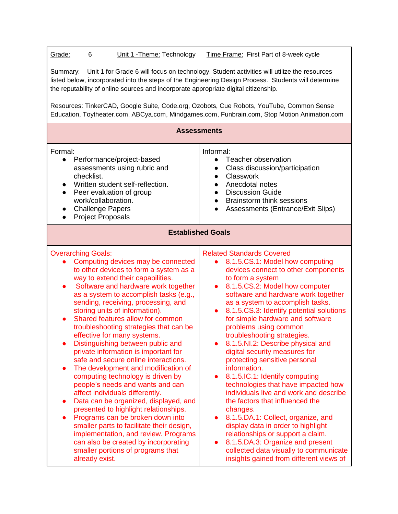| Grade:<br>Unit 1 - Theme: Technology | Time Frame: First Part of 8-week cycle |
|--------------------------------------|----------------------------------------|
|--------------------------------------|----------------------------------------|

Summary: Unit 1 for Grade 6 will focus on technology. Student activities will utilize the resources listed below, incorporated into the steps of the Engineering Design Process. Students will determine the reputability of online sources and incorporate appropriate digital citizenship.

Resources: TinkerCAD, Google Suite, Code.org, Ozobots, Cue Robots, YouTube, Common Sense Education, Toytheater.com, ABCya.com, Mindgames.com, Funbrain.com, Stop Motion Animation.com

| <b>Assessments</b>                                                                                                                                                                                                                                                                                                                                                                                                                                                                                                                                                                                                                                                                                                                                                                                                                                                                                                                                                                                                                |                                                                                                                                                                                                                                                                                                                                                                                                                                                                                                                                                                                                                                                                                                                                                                                                                                                                                                                                                                                         |  |
|-----------------------------------------------------------------------------------------------------------------------------------------------------------------------------------------------------------------------------------------------------------------------------------------------------------------------------------------------------------------------------------------------------------------------------------------------------------------------------------------------------------------------------------------------------------------------------------------------------------------------------------------------------------------------------------------------------------------------------------------------------------------------------------------------------------------------------------------------------------------------------------------------------------------------------------------------------------------------------------------------------------------------------------|-----------------------------------------------------------------------------------------------------------------------------------------------------------------------------------------------------------------------------------------------------------------------------------------------------------------------------------------------------------------------------------------------------------------------------------------------------------------------------------------------------------------------------------------------------------------------------------------------------------------------------------------------------------------------------------------------------------------------------------------------------------------------------------------------------------------------------------------------------------------------------------------------------------------------------------------------------------------------------------------|--|
| Formal:<br>Performance/project-based<br>$\bullet$<br>assessments using rubric and<br>checklist.<br>Written student self-reflection.<br>Peer evaluation of group<br>$\bullet$<br>work/collaboration.<br><b>Challenge Papers</b><br>$\bullet$<br><b>Project Proposals</b><br>$\bullet$                                                                                                                                                                                                                                                                                                                                                                                                                                                                                                                                                                                                                                                                                                                                              | Informal:<br>Teacher observation<br>$\bullet$<br>Class discussion/participation<br>$\bullet$<br><b>Classwork</b><br>$\bullet$<br>Anecdotal notes<br><b>Discussion Guide</b><br><b>Brainstorm think sessions</b><br>$\bullet$<br>Assessments (Entrance/Exit Slips)                                                                                                                                                                                                                                                                                                                                                                                                                                                                                                                                                                                                                                                                                                                       |  |
| <b>Established Goals</b>                                                                                                                                                                                                                                                                                                                                                                                                                                                                                                                                                                                                                                                                                                                                                                                                                                                                                                                                                                                                          |                                                                                                                                                                                                                                                                                                                                                                                                                                                                                                                                                                                                                                                                                                                                                                                                                                                                                                                                                                                         |  |
| <b>Overarching Goals:</b><br>Computing devices may be connected<br>to other devices to form a system as a<br>way to extend their capabilities.<br>Software and hardware work together<br>as a system to accomplish tasks (e.g.,<br>sending, receiving, processing, and<br>storing units of information).<br>Shared features allow for common<br>$\bullet$<br>troubleshooting strategies that can be<br>effective for many systems.<br>Distinguishing between public and<br>private information is important for<br>safe and secure online interactions.<br>The development and modification of<br>$\bullet$<br>computing technology is driven by<br>people's needs and wants and can<br>affect individuals differently.<br>Data can be organized, displayed, and<br>presented to highlight relationships.<br>Programs can be broken down into<br>smaller parts to facilitate their design,<br>implementation, and review. Programs<br>can also be created by incorporating<br>smaller portions of programs that<br>already exist. | <b>Related Standards Covered</b><br>8.1.5.CS.1: Model how computing<br>devices connect to other components<br>to form a system<br>8.1.5.CS.2: Model how computer<br>$\bullet$<br>software and hardware work together<br>as a system to accomplish tasks.<br>8.1.5.CS.3: Identify potential solutions<br>$\bullet$<br>for simple hardware and software<br>problems using common<br>troubleshooting strategies.<br>8.1.5.NI.2: Describe physical and<br>$\bullet$<br>digital security measures for<br>protecting sensitive personal<br>information.<br>8.1.5.IC.1: Identify computing<br>$\bullet$<br>technologies that have impacted how<br>individuals live and work and describe<br>the factors that influenced the<br>changes.<br>8.1.5.DA.1: Collect, organize, and<br>display data in order to highlight<br>relationships or support a claim.<br>8.1.5.DA.3: Organize and present<br>$\bullet$<br>collected data visually to communicate<br>insights gained from different views of |  |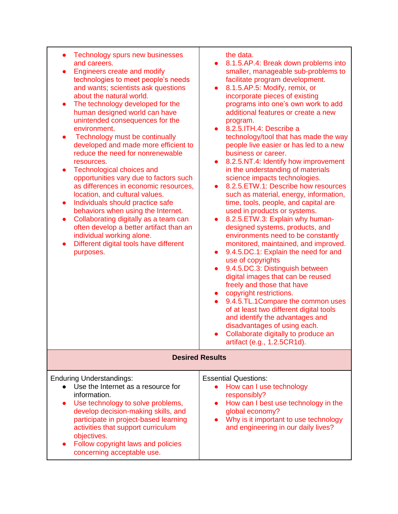| Technology spurs new businesses<br>$\bullet$<br>and careers.<br><b>Engineers create and modify</b><br>technologies to meet people's needs<br>and wants; scientists ask questions<br>about the natural world.<br>The technology developed for the<br>$\bullet$<br>human designed world can have<br>unintended consequences for the<br>environment.<br>Technology must be continually<br>$\bullet$<br>developed and made more efficient to<br>reduce the need for nonrenewable<br>resources.<br>Technological choices and<br>$\bullet$<br>opportunities vary due to factors such<br>as differences in economic resources,<br>location, and cultural values.<br>Individuals should practice safe<br>$\bullet$<br>behaviors when using the Internet.<br>Collaborating digitally as a team can<br>$\bullet$<br>often develop a better artifact than an<br>individual working alone.<br>Different digital tools have different<br>purposes. | the data.<br>8.1.5.AP.4: Break down problems into<br>smaller, manageable sub-problems to<br>facilitate program development.<br>8.1.5.AP.5: Modify, remix, or<br>$\bullet$<br>incorporate pieces of existing<br>programs into one's own work to add<br>additional features or create a new<br>program.<br>$\bullet$ 8.2.5. ITH.4: Describe a<br>technology/tool that has made the way<br>people live easier or has led to a new<br>business or career.<br>8.2.5.NT.4: Identify how improvement<br>$\bullet$<br>in the understanding of materials<br>science impacts technologies.<br>8.2.5. ETW.1: Describe how resources<br>such as material, energy, information,<br>time, tools, people, and capital are<br>used in products or systems.<br>8.2.5. ETW.3: Explain why human-<br>designed systems, products, and<br>environments need to be constantly<br>monitored, maintained, and improved.<br>9.4.5.DC.1: Explain the need for and<br>$\bullet$<br>use of copyrights<br>9.4.5.DC.3: Distinguish between<br>digital images that can be reused<br>freely and those that have<br>copyright restrictions.<br>$\bullet$<br>9.4.5.TL.1Compare the common uses<br>of at least two different digital tools<br>and identify the advantages and<br>disadvantages of using each.<br>Collaborate digitally to produce an<br>artifact (e.g., 1.2.5CR1d). |
|---------------------------------------------------------------------------------------------------------------------------------------------------------------------------------------------------------------------------------------------------------------------------------------------------------------------------------------------------------------------------------------------------------------------------------------------------------------------------------------------------------------------------------------------------------------------------------------------------------------------------------------------------------------------------------------------------------------------------------------------------------------------------------------------------------------------------------------------------------------------------------------------------------------------------------------|--------------------------------------------------------------------------------------------------------------------------------------------------------------------------------------------------------------------------------------------------------------------------------------------------------------------------------------------------------------------------------------------------------------------------------------------------------------------------------------------------------------------------------------------------------------------------------------------------------------------------------------------------------------------------------------------------------------------------------------------------------------------------------------------------------------------------------------------------------------------------------------------------------------------------------------------------------------------------------------------------------------------------------------------------------------------------------------------------------------------------------------------------------------------------------------------------------------------------------------------------------------------------------------------------------------------------------------------------|
| <b>Desired Results</b>                                                                                                                                                                                                                                                                                                                                                                                                                                                                                                                                                                                                                                                                                                                                                                                                                                                                                                                |                                                                                                                                                                                                                                                                                                                                                                                                                                                                                                                                                                                                                                                                                                                                                                                                                                                                                                                                                                                                                                                                                                                                                                                                                                                                                                                                                  |
| <b>Enduring Understandings:</b><br>Use the Internet as a resource for<br>information.<br>Use technology to solve problems,<br>$\bullet$<br>develop decision-making skills, and<br>participate in project-based learning<br>activities that support curriculum<br>objectives.<br>Follow copyright laws and policies<br>concerning acceptable use.                                                                                                                                                                                                                                                                                                                                                                                                                                                                                                                                                                                      | <b>Essential Questions:</b><br>How can I use technology<br>responsibly?<br>How can I best use technology in the<br>$\bullet$<br>global economy?<br>Why is it important to use technology<br>and engineering in our daily lives?                                                                                                                                                                                                                                                                                                                                                                                                                                                                                                                                                                                                                                                                                                                                                                                                                                                                                                                                                                                                                                                                                                                  |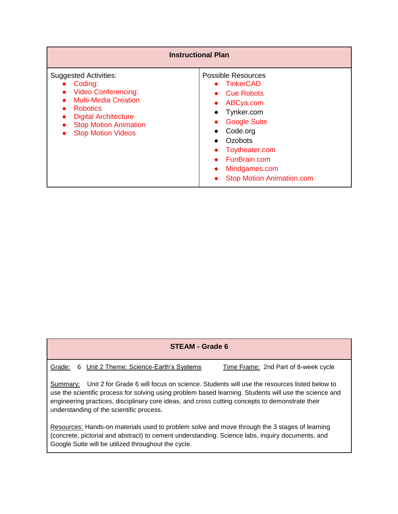| <b>Instructional Plan</b>                                                                                                                                                                                                        |                                                                                                                                                                                                                                                                                           |
|----------------------------------------------------------------------------------------------------------------------------------------------------------------------------------------------------------------------------------|-------------------------------------------------------------------------------------------------------------------------------------------------------------------------------------------------------------------------------------------------------------------------------------------|
| <b>Suggested Activities:</b><br>Coding:<br><b>Video Conferencing:</b><br><b>Multi-Media Creation</b><br><b>Robotics</b><br><b>Digital Architecture</b><br>$\bullet$<br><b>Stop Motion Animation</b><br><b>Stop Motion Videos</b> | <b>Possible Resources</b><br>• TinkerCAD<br>• Cue Robots<br>ABCya.com<br>$\bullet$<br>Tynker.com<br>$\bullet$<br><b>Google Suite</b><br>Code.org<br>$\bullet$<br>Ozobots<br>$\bullet$<br>Toytheater.com<br>FunBrain.com<br>Mindgames.com<br>$\bullet$<br><b>Stop Motion Animation.com</b> |

Grade: 6 Unit 2 Theme: Science-Earth's Systems Time Frame: 2nd Part of 8-week cycle

Summary: Unit 2 for Grade 6 will focus on science. Students will use the resources listed below to use the scientific process for solving using problem based learning. Students will use the science and engineering practices, disciplinary core ideas, and cross cutting concepts to demonstrate their understanding of the scientific process.

Resources: Hands-on materials used to problem solve and move through the 3 stages of learning (concrete, pictorial and abstract) to cement understanding. Science labs, inquiry documents, and Google Suite will be utilized throughout the cycle.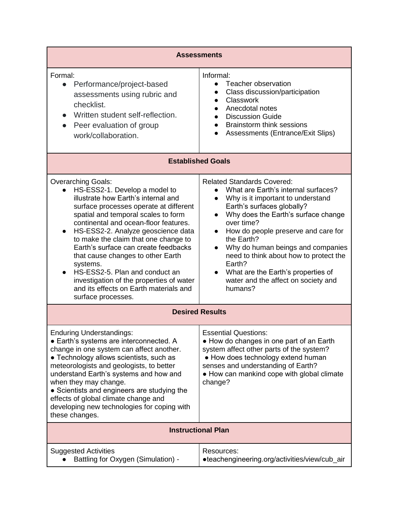| <b>Assessments</b>                                                                                                                                                                                                                                                                                                                                                                                                                                                                                                                                            |                                                                                                                                                                                                                                                                                                                                                                                                                                                                                            |  |
|---------------------------------------------------------------------------------------------------------------------------------------------------------------------------------------------------------------------------------------------------------------------------------------------------------------------------------------------------------------------------------------------------------------------------------------------------------------------------------------------------------------------------------------------------------------|--------------------------------------------------------------------------------------------------------------------------------------------------------------------------------------------------------------------------------------------------------------------------------------------------------------------------------------------------------------------------------------------------------------------------------------------------------------------------------------------|--|
| Formal:<br>Performance/project-based<br>$\bullet$<br>assessments using rubric and<br>checklist.<br>Written student self-reflection.<br>Peer evaluation of group<br>$\bullet$<br>work/collaboration.                                                                                                                                                                                                                                                                                                                                                           | Informal:<br>Teacher observation<br>Class discussion/participation<br>Classwork<br>$\bullet$<br>Anecdotal notes<br>$\bullet$<br><b>Discussion Guide</b><br>$\bullet$<br><b>Brainstorm think sessions</b><br>$\bullet$<br>Assessments (Entrance/Exit Slips)<br>$\bullet$                                                                                                                                                                                                                    |  |
| <b>Established Goals</b>                                                                                                                                                                                                                                                                                                                                                                                                                                                                                                                                      |                                                                                                                                                                                                                                                                                                                                                                                                                                                                                            |  |
| <b>Overarching Goals:</b><br>HS-ESS2-1. Develop a model to<br>illustrate how Earth's internal and<br>surface processes operate at different<br>spatial and temporal scales to form<br>continental and ocean-floor features.<br>HS-ESS2-2. Analyze geoscience data<br>$\bullet$<br>to make the claim that one change to<br>Earth's surface can create feedbacks<br>that cause changes to other Earth<br>systems.<br>HS-ESS2-5. Plan and conduct an<br>investigation of the properties of water<br>and its effects on Earth materials and<br>surface processes. | <b>Related Standards Covered:</b><br>What are Earth's internal surfaces?<br>$\bullet$<br>Why is it important to understand<br>$\bullet$<br>Earth's surfaces globally?<br>Why does the Earth's surface change<br>$\bullet$<br>over time?<br>How do people preserve and care for<br>the Earth?<br>Why do human beings and companies<br>need to think about how to protect the<br>Earth?<br>What are the Earth's properties of<br>$\bullet$<br>water and the affect on society and<br>humans? |  |
| <b>Desired Results</b>                                                                                                                                                                                                                                                                                                                                                                                                                                                                                                                                        |                                                                                                                                                                                                                                                                                                                                                                                                                                                                                            |  |
| <b>Enduring Understandings:</b><br>• Earth's systems are interconnected. A<br>change in one system can affect another.<br>• Technology allows scientists, such as<br>meteorologists and geologists, to better<br>understand Earth's systems and how and<br>when they may change.<br>• Scientists and engineers are studying the<br>effects of global climate change and<br>developing new technologies for coping with<br>these changes.                                                                                                                      | <b>Essential Questions:</b><br>• How do changes in one part of an Earth<br>system affect other parts of the system?<br>• How does technology extend human<br>senses and understanding of Earth?<br>• How can mankind cope with global climate<br>change?                                                                                                                                                                                                                                   |  |
| <b>Instructional Plan</b>                                                                                                                                                                                                                                                                                                                                                                                                                                                                                                                                     |                                                                                                                                                                                                                                                                                                                                                                                                                                                                                            |  |
| <b>Suggested Activities</b><br>Battling for Oxygen (Simulation) -                                                                                                                                                                                                                                                                                                                                                                                                                                                                                             | Resources:<br>•teachengineering.org/activities/view/cub_air                                                                                                                                                                                                                                                                                                                                                                                                                                |  |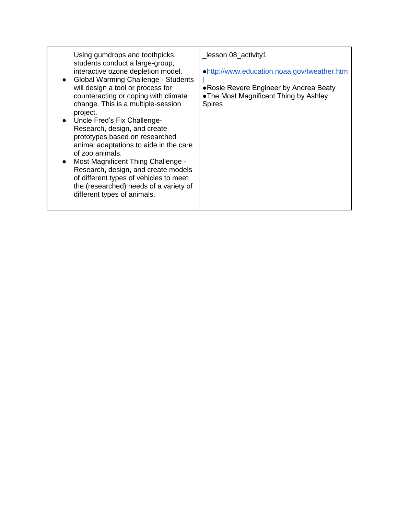| Using gumdrops and toothpicks,<br>students conduct a large-group,<br>interactive ozone depletion model.<br>Global Warming Challenge - Students<br>will design a tool or process for<br>counteracting or coping with climate<br>change. This is a multiple-session<br>project.<br>Uncle Fred's Fix Challenge-<br>Research, design, and create<br>prototypes based on researched<br>animal adaptations to aide in the care<br>of zoo animals.<br>Most Magnificent Thing Challenge -<br>Research, design, and create models<br>of different types of vehicles to meet<br>the (researched) needs of a variety of<br>different types of animals. | _lesson 08_activity1<br>.http://www.education.noaa.gov/tweather.htm<br>• Rosie Revere Engineer by Andrea Beaty<br>• The Most Magnificent Thing by Ashley<br><b>Spires</b> |
|---------------------------------------------------------------------------------------------------------------------------------------------------------------------------------------------------------------------------------------------------------------------------------------------------------------------------------------------------------------------------------------------------------------------------------------------------------------------------------------------------------------------------------------------------------------------------------------------------------------------------------------------|---------------------------------------------------------------------------------------------------------------------------------------------------------------------------|
|---------------------------------------------------------------------------------------------------------------------------------------------------------------------------------------------------------------------------------------------------------------------------------------------------------------------------------------------------------------------------------------------------------------------------------------------------------------------------------------------------------------------------------------------------------------------------------------------------------------------------------------------|---------------------------------------------------------------------------------------------------------------------------------------------------------------------------|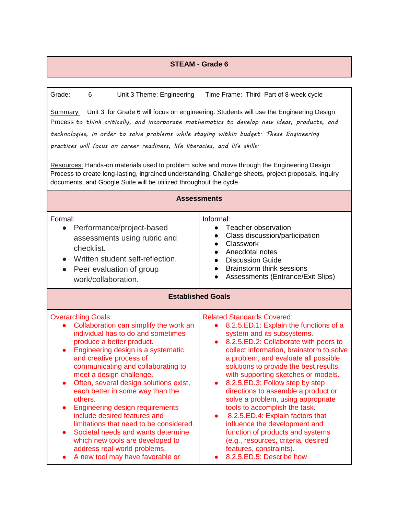| Grade:<br>6<br>Unit 3 Theme: Engineering                                                                                                                                                                                                                                                                                                                                                                                                                                                                                                                                                                                                           | Time Frame: Third Part of 8-week cycle                                                                                                                                                                                                                                                                                                                                                                                                                                                                                                                                                                                                                                                                                |  |
|----------------------------------------------------------------------------------------------------------------------------------------------------------------------------------------------------------------------------------------------------------------------------------------------------------------------------------------------------------------------------------------------------------------------------------------------------------------------------------------------------------------------------------------------------------------------------------------------------------------------------------------------------|-----------------------------------------------------------------------------------------------------------------------------------------------------------------------------------------------------------------------------------------------------------------------------------------------------------------------------------------------------------------------------------------------------------------------------------------------------------------------------------------------------------------------------------------------------------------------------------------------------------------------------------------------------------------------------------------------------------------------|--|
| Unit 3 for Grade 6 will focus on engineering. Students will use the Engineering Design<br>Summary:<br>Process to think critically, and incorporate mathematics to develop new ideas, products, and<br>technologies, in order to solve problems while staying within budget. These Engineering<br>practices will focus on career readiness, life literacies, and life skills.<br>Resources: Hands-on materials used to problem solve and move through the Engineering Design<br>Process to create long-lasting, ingrained understanding. Challenge sheets, project proposals, inquiry                                                               |                                                                                                                                                                                                                                                                                                                                                                                                                                                                                                                                                                                                                                                                                                                       |  |
| documents, and Google Suite will be utilized throughout the cycle.                                                                                                                                                                                                                                                                                                                                                                                                                                                                                                                                                                                 |                                                                                                                                                                                                                                                                                                                                                                                                                                                                                                                                                                                                                                                                                                                       |  |
| <b>Assessments</b>                                                                                                                                                                                                                                                                                                                                                                                                                                                                                                                                                                                                                                 |                                                                                                                                                                                                                                                                                                                                                                                                                                                                                                                                                                                                                                                                                                                       |  |
| Formal:<br>Performance/project-based<br>$\bullet$<br>assessments using rubric and<br>checklist.<br>Written student self-reflection.<br>$\bullet$<br>Peer evaluation of group<br>$\bullet$<br>work/collaboration.                                                                                                                                                                                                                                                                                                                                                                                                                                   | Informal:<br>Teacher observation<br>Class discussion/participation<br><b>Classwork</b><br>$\bullet$<br>Anecdotal notes<br>$\bullet$<br><b>Discussion Guide</b><br>$\bullet$<br><b>Brainstorm think sessions</b><br>$\bullet$<br>Assessments (Entrance/Exit Slips)                                                                                                                                                                                                                                                                                                                                                                                                                                                     |  |
| <b>Established Goals</b>                                                                                                                                                                                                                                                                                                                                                                                                                                                                                                                                                                                                                           |                                                                                                                                                                                                                                                                                                                                                                                                                                                                                                                                                                                                                                                                                                                       |  |
| <b>Overarching Goals:</b><br>Collaboration can simplify the work an<br>individual has to do and sometimes<br>produce a better product.<br>Engineering design is a systematic<br>$\bullet$<br>and creative process of<br>communicating and collaborating to<br>meet a design challenge.<br>Often, several design solutions exist,<br>each better in some way than the<br>others.<br><b>Engineering design requirements</b><br>include desired features and<br>limitations that need to be considered.<br>Societal needs and wants determine<br>which new tools are developed to<br>address real-world problems.<br>A new tool may have favorable or | <b>Related Standards Covered:</b><br>8.2.5.ED.1: Explain the functions of a<br>$\bullet$<br>system and its subsystems.<br>8.2.5.ED.2: Collaborate with peers to<br>$\bullet$<br>collect information, brainstorm to solve<br>a problem, and evaluate all possible<br>solutions to provide the best results<br>with supporting sketches or models.<br>8.2.5.ED.3: Follow step by step<br>directions to assemble a product or<br>solve a problem, using appropriate<br>tools to accomplish the task.<br>8.2.5.ED.4: Explain factors that<br>$\bullet$<br>influence the development and<br>function of products and systems<br>(e.g., resources, criteria, desired<br>features, constraints).<br>8.2.5.ED.5: Describe how |  |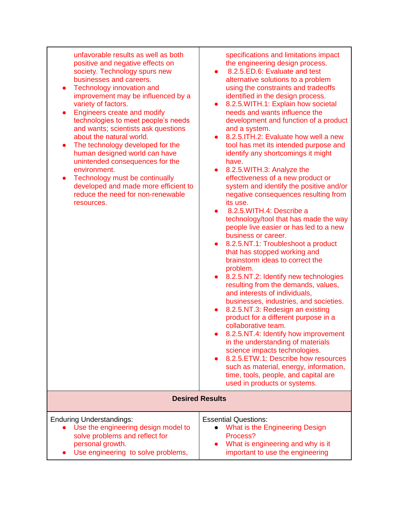| unfavorable results as well as both<br>positive and negative effects on<br>society. Technology spurs new<br>businesses and careers.<br>Technology innovation and<br>improvement may be influenced by a<br>variety of factors.<br><b>Engineers create and modify</b><br>technologies to meet people's needs<br>and wants; scientists ask questions<br>about the natural world.<br>The technology developed for the<br>$\bullet$<br>human designed world can have<br>unintended consequences for the<br>environment.<br>Technology must be continually<br>$\bullet$<br>developed and made more efficient to<br>reduce the need for non-renewable<br>resources. | specifications and limitations impact<br>the engineering design process.<br>8.2.5.ED.6: Evaluate and test<br>$\bullet$<br>alternative solutions to a problem<br>using the constraints and tradeoffs<br>identified in the design process.<br>8.2.5. WITH.1: Explain how societal<br>$\bullet$<br>needs and wants influence the<br>development and function of a product<br>and a system.<br>8.2.5. ITH.2: Evaluate how well a new<br>$\bullet$<br>tool has met its intended purpose and<br>identify any shortcomings it might<br>have.<br>8.2.5. WITH.3: Analyze the<br>$\bullet$<br>effectiveness of a new product or<br>system and identify the positive and/or<br>negative consequences resulting from<br>its use.<br>8.2.5. WITH. 4: Describe a<br>technology/tool that has made the way<br>people live easier or has led to a new<br>business or career.<br>8.2.5.NT.1: Troubleshoot a product<br>$\bullet$<br>that has stopped working and<br>brainstorm ideas to correct the<br>problem.<br>8.2.5.NT.2: Identify new technologies<br>$\bullet$<br>resulting from the demands, values,<br>and interests of individuals,<br>businesses, industries, and societies.<br>8.2.5.NT.3: Redesign an existing<br>$\bullet$<br>product for a different purpose in a<br>collaborative team.<br>8.2.5.NT.4: Identify how improvement<br>in the understanding of materials<br>science impacts technologies.<br>8.2.5. ETW.1: Describe how resources<br>$\bullet$<br>such as material, energy, information,<br>time, tools, people, and capital are<br>used in products or systems. |
|--------------------------------------------------------------------------------------------------------------------------------------------------------------------------------------------------------------------------------------------------------------------------------------------------------------------------------------------------------------------------------------------------------------------------------------------------------------------------------------------------------------------------------------------------------------------------------------------------------------------------------------------------------------|-----------------------------------------------------------------------------------------------------------------------------------------------------------------------------------------------------------------------------------------------------------------------------------------------------------------------------------------------------------------------------------------------------------------------------------------------------------------------------------------------------------------------------------------------------------------------------------------------------------------------------------------------------------------------------------------------------------------------------------------------------------------------------------------------------------------------------------------------------------------------------------------------------------------------------------------------------------------------------------------------------------------------------------------------------------------------------------------------------------------------------------------------------------------------------------------------------------------------------------------------------------------------------------------------------------------------------------------------------------------------------------------------------------------------------------------------------------------------------------------------------------------------------------------------------------------------------|
|                                                                                                                                                                                                                                                                                                                                                                                                                                                                                                                                                                                                                                                              | <b>Desired Results</b>                                                                                                                                                                                                                                                                                                                                                                                                                                                                                                                                                                                                                                                                                                                                                                                                                                                                                                                                                                                                                                                                                                                                                                                                                                                                                                                                                                                                                                                                                                                                                      |
| <b>Enduring Understandings:</b><br>Use the engineering design model to<br>solve problems and reflect for<br>personal growth.<br>Use engineering to solve problems,                                                                                                                                                                                                                                                                                                                                                                                                                                                                                           | <b>Essential Questions:</b><br>What is the Engineering Design<br>Process?<br>What is engineering and why is it<br>important to use the engineering                                                                                                                                                                                                                                                                                                                                                                                                                                                                                                                                                                                                                                                                                                                                                                                                                                                                                                                                                                                                                                                                                                                                                                                                                                                                                                                                                                                                                          |